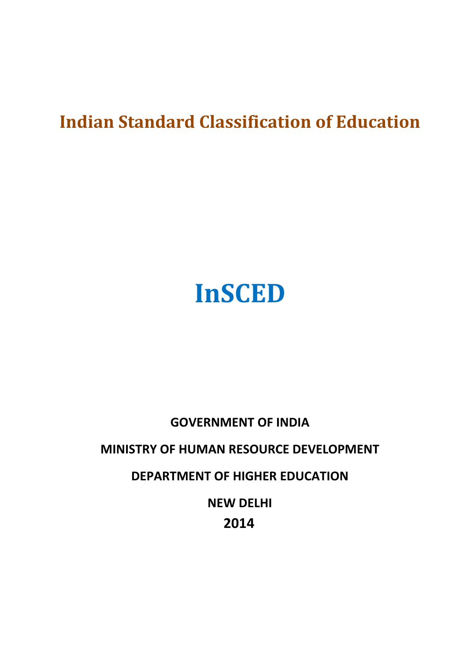## **Indian Standard Classification of Education**

# **InSCED**

## **GOVERNMENT OF INDIA MINISTRY OF HUMAN RESOURCE DEVELOPMENT DEPARTMENT OF HIGHER EDUCATION NEW DELHI 2014**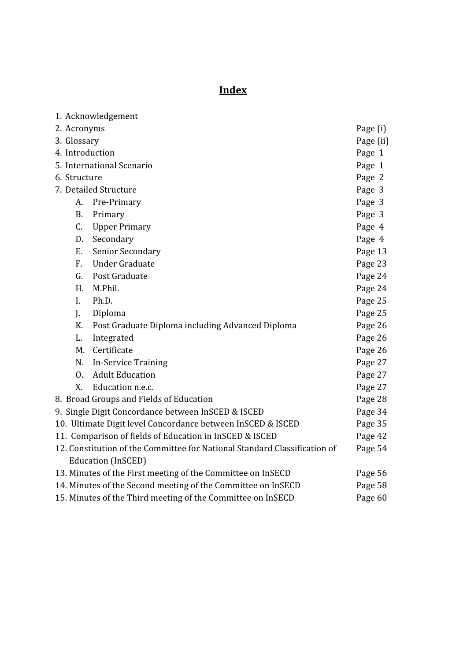## **Index**

|                                                                           | 1. Acknowledgement                               |           |
|---------------------------------------------------------------------------|--------------------------------------------------|-----------|
| 2. Acronyms                                                               |                                                  | Page (i)  |
| 3. Glossary                                                               |                                                  | Page (ii) |
| 4. Introduction                                                           |                                                  | Page 1    |
| 5. International Scenario                                                 |                                                  | Page 1    |
| 6. Structure                                                              |                                                  | Page 2    |
| 7. Detailed Structure                                                     |                                                  | Page 3    |
| A.                                                                        | Pre-Primary                                      | Page 3    |
| <b>B.</b>                                                                 | Primary                                          | Page 3    |
| C.                                                                        | <b>Upper Primary</b>                             | Page 4    |
| D.                                                                        | Secondary                                        | Page 4    |
| E.                                                                        | <b>Senior Secondary</b>                          | Page 13   |
| $F_{\cdot}$                                                               | <b>Under Graduate</b>                            | Page 23   |
| G.                                                                        | Post Graduate                                    | Page 24   |
| H.                                                                        | M.Phil.                                          | Page 24   |
| L.                                                                        | Ph.D.                                            | Page 25   |
| J.                                                                        | Diploma                                          | Page 25   |
| K.                                                                        | Post Graduate Diploma including Advanced Diploma | Page 26   |
| L.                                                                        | Integrated                                       | Page 26   |
| M.                                                                        | Certificate                                      | Page 26   |
| N.                                                                        | <b>In-Service Training</b>                       | Page 27   |
| 0.                                                                        | <b>Adult Education</b>                           | Page 27   |
| X.                                                                        | Education n.e.c.                                 | Page 27   |
| 8. Broad Groups and Fields of Education                                   |                                                  | Page 28   |
| 9. Single Digit Concordance between InSCED & ISCED                        |                                                  | Page 34   |
| 10. Ultimate Digit level Concordance between InSCED & ISCED               |                                                  | Page 35   |
| 11. Comparison of fields of Education in InSCED & ISCED                   |                                                  | Page 42   |
| 12. Constitution of the Committee for National Standard Classification of |                                                  | Page 54   |
|                                                                           | <b>Education (InSCED)</b>                        |           |
| 13. Minutes of the First meeting of the Committee on InSECD<br>Page 56    |                                                  |           |
| 14. Minutes of the Second meeting of the Committee on InSECD<br>Page 58   |                                                  |           |
| 15. Minutes of the Third meeting of the Committee on InSECD<br>Page 60    |                                                  |           |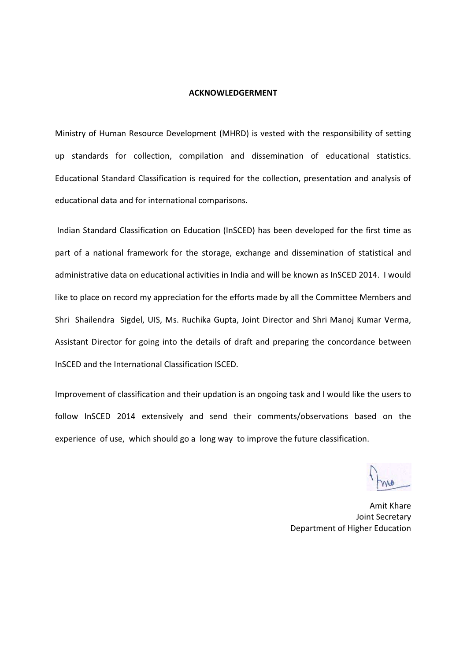#### **ACKNOWLEDGERMENT**

Ministry of Human Resource Development (MHRD) is vested with the responsibility of setting up standards for collection, compilation and dissemination of educational statistics. Educational Standard Classification is required for the collection, presentation and analysis of educational data and for international comparisons.

Indian Standard Classification on Education (InSCED) has been developed for the first time as part of a national framework for the storage, exchange and dissemination of statistical and administrative data on educational activities in India and will be known as InSCED 2014. I would like to place on record my appreciation for the efforts made by all the Committee Members and Shri Shailendra Sigdel, UIS, Ms. Ruchika Gupta, Joint Director and Shri Manoj Kumar Verma, Assistant Director for going into the details of draft and preparing the concordance between InSCED and the International Classification ISCED.

Improvement of classification and their updation is an ongoing task and I would like the users to follow InSCED 2014 extensively and send their comments/observations based on the experience of use, which should go a long way to improve the future classification.

Amit Khare Joint Secretary Department of Higher Education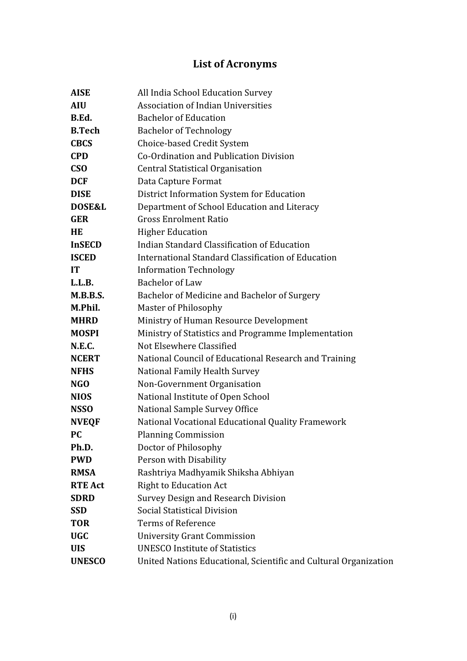## **List of Acronyms**

| <b>AISE</b>       | All India School Education Survey                                |  |
|-------------------|------------------------------------------------------------------|--|
| <b>AIU</b>        | <b>Association of Indian Universities</b>                        |  |
| B.Ed.             | <b>Bachelor of Education</b>                                     |  |
| <b>B.Tech</b>     | <b>Bachelor of Technology</b>                                    |  |
| <b>CBCS</b>       | Choice-based Credit System                                       |  |
| <b>CPD</b>        | Co-Ordination and Publication Division                           |  |
| <b>CSO</b>        | <b>Central Statistical Organisation</b>                          |  |
| <b>DCF</b>        | Data Capture Format                                              |  |
| <b>DISE</b>       | District Information System for Education                        |  |
| <b>DOSE&amp;L</b> | Department of School Education and Literacy                      |  |
| <b>GER</b>        | <b>Gross Enrolment Ratio</b>                                     |  |
| <b>HE</b>         | <b>Higher Education</b>                                          |  |
| <b>InSECD</b>     | Indian Standard Classification of Education                      |  |
| <b>ISCED</b>      | International Standard Classification of Education               |  |
| <b>IT</b>         | <b>Information Technology</b>                                    |  |
| L.L.B.            | <b>Bachelor of Law</b>                                           |  |
| M.B.B.S.          | Bachelor of Medicine and Bachelor of Surgery                     |  |
| M.Phil.           | <b>Master of Philosophy</b>                                      |  |
| <b>MHRD</b>       | Ministry of Human Resource Development                           |  |
| <b>MOSPI</b>      | Ministry of Statistics and Programme Implementation              |  |
| N.E.C.            | Not Elsewhere Classified                                         |  |
| <b>NCERT</b>      | National Council of Educational Research and Training            |  |
| <b>NFHS</b>       | National Family Health Survey                                    |  |
| NGO               | Non-Government Organisation                                      |  |
| <b>NIOS</b>       | National Institute of Open School                                |  |
| <b>NSSO</b>       | National Sample Survey Office                                    |  |
| <b>NVEQF</b>      | National Vocational Educational Quality Framework                |  |
| <b>PC</b>         | <b>Planning Commission</b>                                       |  |
| Ph.D.             | Doctor of Philosophy                                             |  |
| <b>PWD</b>        | Person with Disability                                           |  |
| <b>RMSA</b>       | Rashtriya Madhyamik Shiksha Abhiyan                              |  |
| <b>RTE Act</b>    | <b>Right to Education Act</b>                                    |  |
| <b>SDRD</b>       | <b>Survey Design and Research Division</b>                       |  |
| <b>SSD</b>        | Social Statistical Division                                      |  |
| <b>TOR</b>        | <b>Terms of Reference</b>                                        |  |
| <b>UGC</b>        | <b>University Grant Commission</b>                               |  |
| <b>UIS</b>        | <b>UNESCO Institute of Statistics</b>                            |  |
| <b>UNESCO</b>     | United Nations Educational, Scientific and Cultural Organization |  |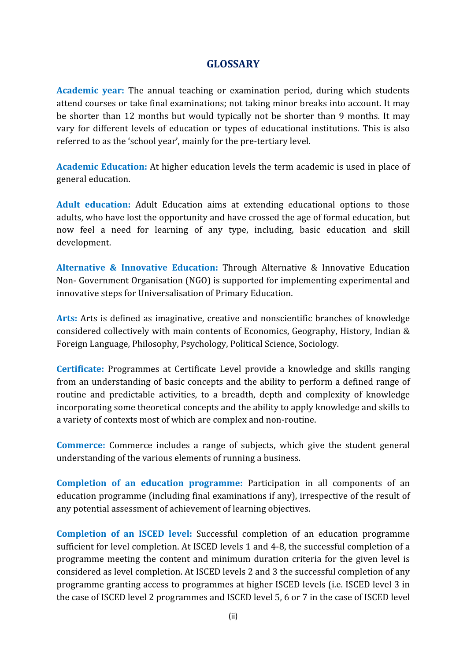#### **GLOSSARY**

**Academic vear:** The annual teaching or examination period, during which students attend courses or take final examinations; not taking minor breaks into account. It may be shorter than 12 months but would typically not be shorter than 9 months. It may vary for different levels of education or types of educational institutions. This is also referred to as the 'school year', mainly for the pre-tertiary level.

Academic Education: At higher education levels the term academic is used in place of general education.

**Adult education:** adults, who have lost the opportunity and have crossed the age of formal education, but now feel a need for learning of any type, including, basic education and skill development.

**Alternative & Innovative Education:** Through Alternative & Innovative Education Non- Government Organisation (NGO) is supported for implementing experimental and innovative steps for Universalisation of Primary Education.

Arts: Arts is defined as imaginative, creative and nonscientific branches of knowledge considered collectively with main contents of Economics, Geography, History, Indian & Foreign Language, Philosophy, Psychology, Political Science, Sociology.

**Certificate:** Programmes at Certificate Level provide a knowledge and skills ranging from an understanding of basic concepts and the ability to perform a defined range of routine and predictable activities, to a breadth, depth and complexity of knowledge incorporating some theoretical concepts and the ability to apply knowledge and skills to a variety of contexts most of which are complex and non-routine.

**Commerce:** Commerce includes a range of subjects, which give the student general understanding of the various elements of running a business.

**Completion of an education programme:** education programme (including final examinations if any), irrespective of the result of any potential assessment of achievement of learning objectives.

**Completion of an ISCED level:** Successful completion of an education programme sufficient for level completion. At ISCED levels 1 and 4-8, the successful completion of a programme meeting the content and minimum duration criteria for the given level is considered as level completion. At ISCED levels 2 and 3 the successful completion of any programme granting access to programmes at higher ISCED levels (i.e. ISCED level 3 in the case of ISCED level 2 programmes and ISCED level 5, 6 or 7 in the case of ISCED level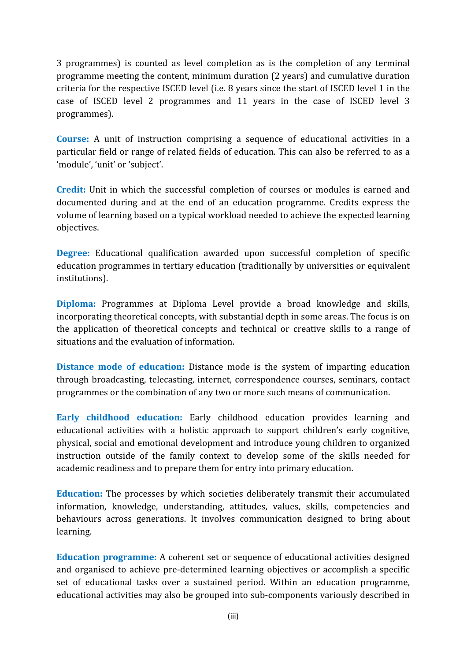3 programmes) is counted as level completion as is the completion of any terminal programme meeting the content, minimum duration (2 years) and cumulative duration criteria for the respective ISCED level (i.e. 8 years since the start of ISCED level 1 in the case of ISCED level 2 programmes and 11 years in the case of ISCED level 3 programmes).

**Course:** A unit of instruction comprising a sequence of educational activities in a particular field or range of related fields of education. This can also be referred to as a 'module', 'unit' or 'subject'.

**Credit:** Unit in which the successful completion of courses or modules is earned and documented during and at the end of an education programme. Credits express the volume of learning based on a typical workload needed to achieve the expected learning objectives.

**Degree:** Educational qualification awarded upon successful completion of specific education programmes in tertiary education (traditionally by universities or equivalent institutions).

**Diploma:** Programmes at Diploma Level provide a broad knowledge and skills, incorporating theoretical concepts, with substantial depth in some areas. The focus is on the application of theoretical concepts and technical or creative skills to a range of situations and the evaluation of information.

**Distance mode of education:** Distance mode is the system of imparting education through broadcasting, telecasting, internet, correspondence courses, seminars, contact programmes or the combination of any two or more such means of communication.

**Early childhood education:** educational activities with a holistic approach to support children's early cognitive, physical, social and emotional development and introduce young children to organized instruction outside of the family context to develop some of the skills needed for academic readiness and to prepare them for entry into primary education.

**Education:** The processes by which societies deliberately transmit their accumulated information, knowledge, understanding, attitudes, values, skills, competencies and behaviours across generations. It involves communication designed to bring about learning.

**Education programme:** and organised to achieve pre-determined learning objectives or accomplish a specific set of educational tasks over a sustained period. Within an education programme, educational activities may also be grouped into sub-components variously described in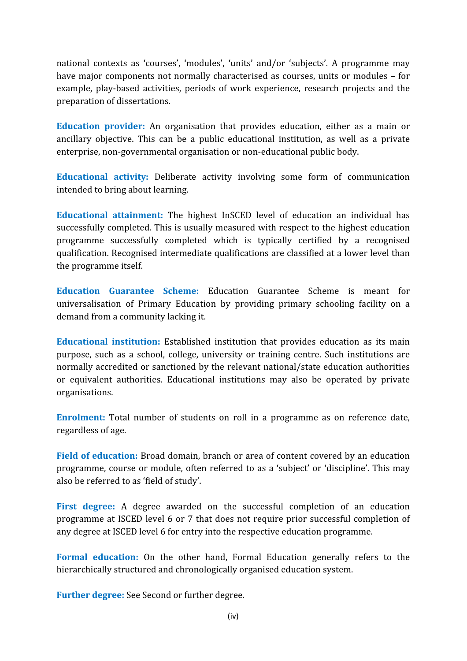national contexts as 'courses', 'modules', 'units' and/or 'subjects'. A programme may have major components not normally characterised as courses, units or modules - for example, play-based activities, periods of work experience, research projects and the preparation of dissertations.

**Education provider:** An organisation that provides education, either as a main or ancillary objective. This can be a public educational institution, as well as a private enterprise, non-governmental organisation or non-educational public body.

**Educational activity:** intended to bring about learning.

**Educational attainment:** successfully completed. This is usually measured with respect to the highest education programme successfully completed which is typically certified by a recognised qualification. Recognised intermediate qualifications are classified at a lower level than the programme itself.

**Education Guarantee Scheme:** universalisation of Primary Education by providing primary schooling facility on a demand from a community lacking it.

**Educational institution:** purpose, such as a school, college, university or training centre. Such institutions are normally accredited or sanctioned by the relevant national/state education authorities or equivalent authorities. Educational institutions may also be operated by private organisations.

**Enrolment:** Total number of students on roll in a programme as on reference date, regardless of age.

**Field of education:** Broad domain, branch or area of content covered by an education programme, course or module, often referred to as a 'subject' or 'discipline'. This may also be referred to as 'field of study'.

**First degree:** programme at ISCED level 6 or 7 that does not require prior successful completion of any degree at ISCED level 6 for entry into the respective education programme.

**Formal education:** On the other hand, Formal Education generally refers to the hierarchically structured and chronologically organised education system.

**Further degree:** See Second or further degree.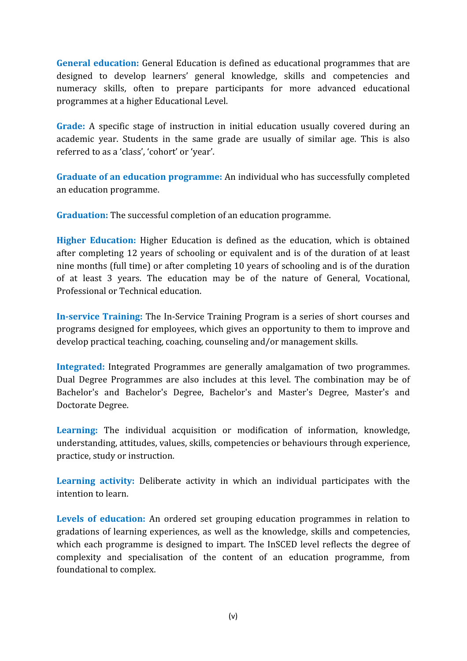**General education:** designed to develop learners' general knowledge, skills and competencies and numeracy skills, often to prepare participants for more advanced educational programmes at a higher Educational Level.

**Grade:** A specific stage of instruction in initial education usually covered during an academic year. Students in the same grade are usually of similar age. This is also referred to as a 'class', 'cohort' or 'year'.

**Graduate of an education programme:** an education programme.

**Graduation:** The successful completion of an education programme.

**Higher Education:** Higher Education is defined as the education, which is obtained after completing 12 years of schooling or equivalent and is of the duration of at least nine months (full time) or after completing 10 years of schooling and is of the duration of at least 3 years. The education may be of the nature of General, Vocational, Professional or Technical education.

**In-service Training:** The In-Service Training Program is a series of short courses and programs designed for employees, which gives an opportunity to them to improve and develop practical teaching, coaching, counseling and/or management skills.

**Integrated:** Integrated Programmes are generally amalgamation of two programmes. Dual Degree Programmes are also includes at this level. The combination may be of Bachelor's and Bachelor's Degree, Bachelor's and Master's Degree, Master's and Doctorate Degree.

Learning: The individual acquisition or modification of information, knowledge, understanding, attitudes, values, skills, competencies or behaviours through experience, practice, study or instruction.

Learning activity: Deliberate activity in which an individual participates with the intention to learn.

**Levels of education:** gradations of learning experiences, as well as the knowledge, skills and competencies, which each programme is designed to impart. The InSCED level reflects the degree of complexity and specialisation of the content of an education programme, from foundational to complex.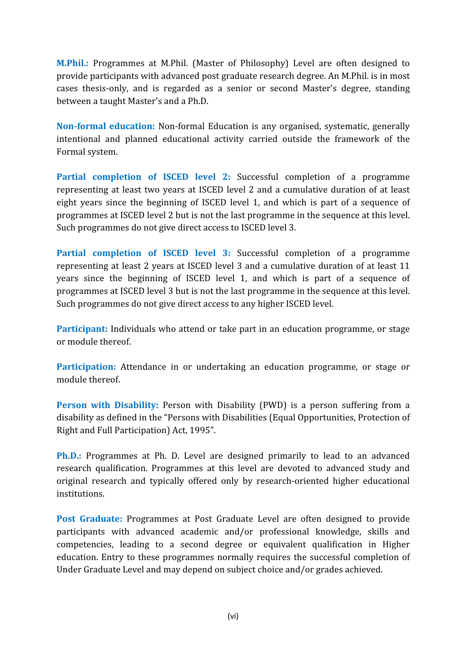**M.Phil.:** Programmes at M.Phil. (Master of Philosophy) Level are often designed to provide participants with advanced post graduate research degree. An M.Phil. is in most cases thesis-only, and is regarded as a senior or second Master's degree, standing between a taught Master's and a Ph.D.

**Non-formal education:** Non-formal Education is any organised, systematic, generally intentional and planned educational activity carried outside the framework of the Formal system.

**Partial completion of ISCED level 2:** representing at least two years at ISCED level 2 and a cumulative duration of at least eight years since the beginning of ISCED level 1, and which is part of a sequence of programmes at ISCED level 2 but is not the last programme in the sequence at this level. Such programmes do not give direct access to ISCED level 3.

**Partial completion of ISCED level 3:** representing at least 2 years at ISCED level 3 and a cumulative duration of at least 11 years since the beginning of ISCED level 1, and which is part of a sequence of programmes at ISCED level 3 but is not the last programme in the sequence at this level. Such programmes do not give direct access to any higher ISCED level.

**Participant:** Individuals who attend or take part in an education programme, or stage or module thereof.

**Participation:** Attendance in or undertaking an education programme, or stage or module thereof.

**Person with Disability:** Person with Disability (PWD) is a person suffering from a disability as defined in the "Persons with Disabilities (Equal Opportunities, Protection of Right and Full Participation) Act, 1995".

**Ph.D.:** Programmes at Ph. D. Level are designed primarily to lead to an advanced research qualification. Programmes at this level are devoted to advanced study and original research and typically offered only by research-oriented higher educational institutions.

**Post Graduate:** participants with advanced academic and/or professional knowledge, skills and competencies, leading to a second degree or equivalent qualification in Higher education. Entry to these programmes normally requires the successful completion of Under Graduate Level and may depend on subject choice and/or grades achieved.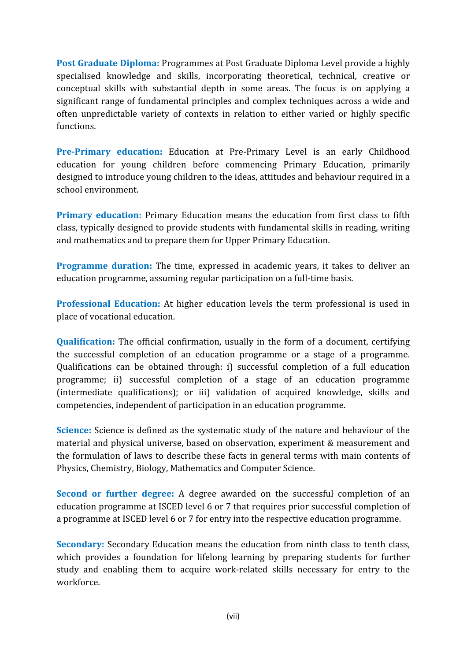**Post Graduate Diploma:** specialised knowledge and skills, incorporating theoretical, technical, creative or conceptual skills with substantial depth in some areas. The focus is on applying a significant range of fundamental principles and complex techniques across a wide and often unpredictable variety of contexts in relation to either varied or highly specific functions

**Pre-Primary education:** Education at Pre-Primary Level is an early Childhood education for young children before commencing Primary Education, primarily designed to introduce young children to the ideas, attitudes and behaviour required in a school environment.

**Primary education:** Primary Education means the education from first class to fifth class, typically designed to provide students with fundamental skills in reading, writing and mathematics and to prepare them for Upper Primary Education.

**Programme duration:** The time, expressed in academic years, it takes to deliver an education programme, assuming regular participation on a full-time basis.

**Professional Education:** place of vocational education.

**Qualification:** The official confirmation, usually in the form of a document, certifying the successful completion of an education programme or a stage of a programme. Qualifications can be obtained through: i) successful completion of a full education programme; ii) successful completion of a stage of an education programme (intermediate qualifications); or iii) validation of acquired knowledge, skills and competencies, independent of participation in an education programme.

**Science:** Science is defined as the systematic study of the nature and behaviour of the material and physical universe, based on observation, experiment & measurement and the formulation of laws to describe these facts in general terms with main contents of Physics, Chemistry, Biology, Mathematics and Computer Science.

**Second or further degree:** education programme at ISCED level 6 or 7 that requires prior successful completion of a programme at ISCED level 6 or 7 for entry into the respective education programme.

**Secondary:** Secondary Education means the education from ninth class to tenth class, which provides a foundation for lifelong learning by preparing students for further study and enabling them to acquire work-related skills necessary for entry to the workforce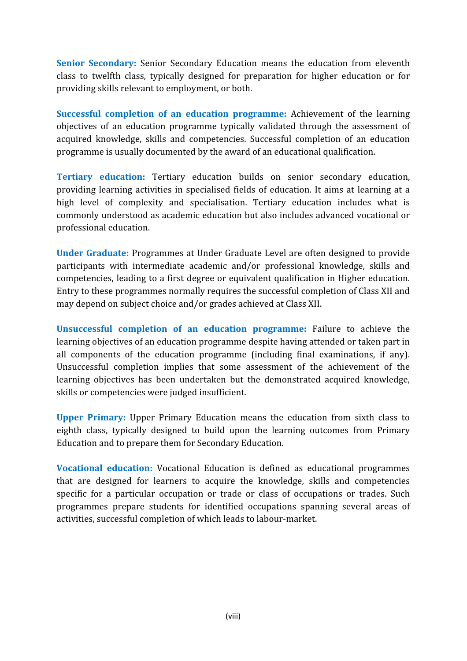**Senior Secondary:** Senior Secondary Education means the education from eleventh class to twelfth class, typically designed for preparation for higher education or for providing skills relevant to employment, or both.

**Successful completion of an education programme:** objectives of an education programme typically validated through the assessment of acquired knowledge, skills and competencies. Successful completion of an education programme is usually documented by the award of an educational qualification.

**Tertiary education:** Tertiary education builds on senior secondary education, providing learning activities in specialised fields of education. It aims at learning at a high level of complexity and specialisation. Tertiary education includes what is commonly understood as academic education but also includes advanced vocational or professional education.

**Under Graduate:** participants with intermediate academic and/or professional knowledge, skills and competencies, leading to a first degree or equivalent qualification in Higher education. Entry to these programmes normally requires the successful completion of Class XII and may depend on subject choice and/or grades achieved at Class XII.

**Unsuccessful completion of an education programme:** learning objectives of an education programme despite having attended or taken part in all components of the education programme (including final examinations, if any). Unsuccessful completion implies that some assessment of the achievement of the learning objectives has been undertaken but the demonstrated acquired knowledge, skills or competencies were judged insufficient.

**Upper Primary:** eighth class, typically designed to build upon the learning outcomes from Primary Education and to prepare them for Secondary Education.

**Vocational education:** that are designed for learners to acquire the knowledge, skills and competencies specific for a particular occupation or trade or class of occupations or trades. Such programmes prepare students for identified occupations spanning several areas of activities, successful completion of which leads to labour-market.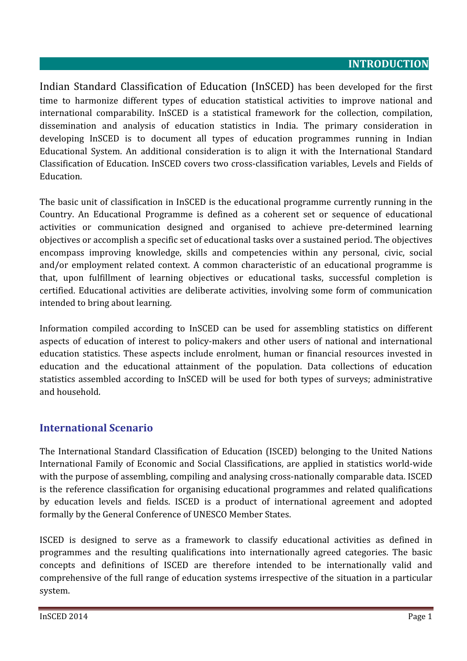#### **INTRODUCTION**

Indian Standard Classification of Education (InSCED) has been developed for the first time to harmonize different types of education statistical activities to improve national and international comparability. In SCED is a statistical framework for the collection, compilation, dissemination and analysis of education statistics in India. The primary consideration in developing InSCED is to document all types of education programmes running in Indian Educational System. An additional consideration is to align it with the International Standard Classification of Education. InSCED covers two cross-classification variables, Levels and Fields of Education.

The basic unit of classification in InSCED is the educational programme currently running in the Country. An Educational Programme is defined as a coherent set or sequence of educational activities or communication designed and organised to achieve pre-determined learning objectives or accomplish a specific set of educational tasks over a sustained period. The objectives encompass improving knowledge, skills and competencies within any personal, civic, social and/or employment related context. A common characteristic of an educational programme is that, upon fulfillment of learning objectives or educational tasks, successful completion is certified. Educational activities are deliberate activities, involving some form of communication intended to bring about learning.

Information compiled according to InSCED can be used for assembling statistics on different aspects of education of interest to policy-makers and other users of national and international education statistics. These aspects include enrolment, human or financial resources invested in education and the educational attainment of the population. Data collections of education statistics assembled according to InSCED will be used for both types of surveys; administrative and household.

#### **International Scenario**

The International Standard Classification of Education (ISCED) belonging to the United Nations International Family of Economic and Social Classifications, are applied in statistics world-wide with the purpose of assembling, compiling and analysing cross-nationally comparable data. ISCED is the reference classification for organising educational programmes and related qualifications by education levels and fields. ISCED is a product of international agreement and adopted formally by the General Conference of UNESCO Member States.

ISCED is designed to serve as a framework to classify educational activities as defined in programmes and the resulting qualifications into internationally agreed categories. The basic concepts and definitions of ISCED are therefore intended to be internationally valid and comprehensive of the full range of education systems irrespective of the situation in a particular system.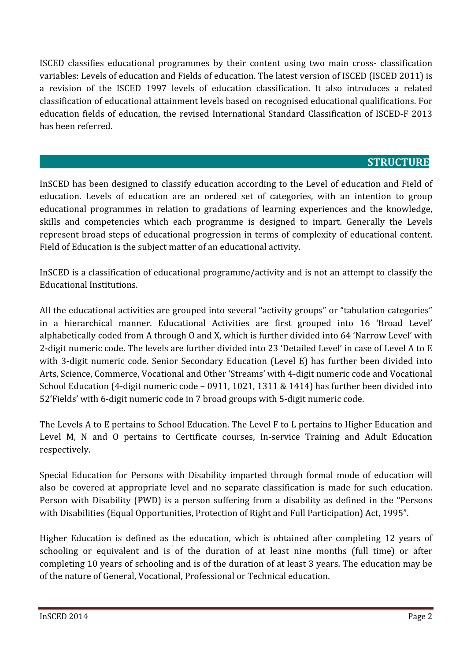ISCED classifies educational programmes by their content using two main cross- classification variables: Levels of education and Fields of education. The latest version of ISCED (ISCED 2011) is a revision of the ISCED 1997 levels of education classification. It also introduces a related classification of educational attainment levels based on recognised educational qualifications. For education fields of education, the revised International Standard Classification of ISCED-F 2013 has heen referred

#### **STRUCTURE**

InSCED has been designed to classify education according to the Level of education and Field of education. Levels of education are an ordered set of categories, with an intention to group educational programmes in relation to gradations of learning experiences and the knowledge, skills and competencies which each programme is designed to impart. Generally the Levels represent broad steps of educational progression in terms of complexity of educational content. Field of Education is the subject matter of an educational activity.

InSCED is a classification of educational programme/activity and is not an attempt to classify the Educational Institutions.

All the educational activities are grouped into several "activity groups" or "tabulation categories" in a hierarchical manner. Educational Activities are first grouped into 16 'Broad Level' alphabetically coded from A through O and X, which is further divided into 64 'Narrow Level' with 2-digit numeric code. The levels are further divided into 23 'Detailed Level' in case of Level A to E with 3-digit numeric code. Senior Secondary Education (Level E) has further been divided into Arts, Science, Commerce, Vocational and Other 'Streams' with 4-digit numeric code and Vocational School Education (4-digit numeric code - 0911, 1021, 1311 & 1414) has further been divided into 52'Fields' with 6-digit numeric code in 7 broad groups with 5-digit numeric code.

The Levels A to E pertains to School Education. The Level F to L pertains to Higher Education and Level M, N and O pertains to Certificate courses, In-service Training and Adult Education respectively.

Special Education for Persons with Disability imparted through formal mode of education will also be covered at appropriate level and no separate classification is made for such education. Person with Disability (PWD) is a person suffering from a disability as defined in the "Persons with Disabilities (Equal Opportunities, Protection of Right and Full Participation) Act, 1995".

Higher Education is defined as the education, which is obtained after completing 12 years of schooling or equivalent and is of the duration of at least nine months (full time) or after completing 10 years of schooling and is of the duration of at least 3 years. The education may be of the nature of General, Vocational, Professional or Technical education.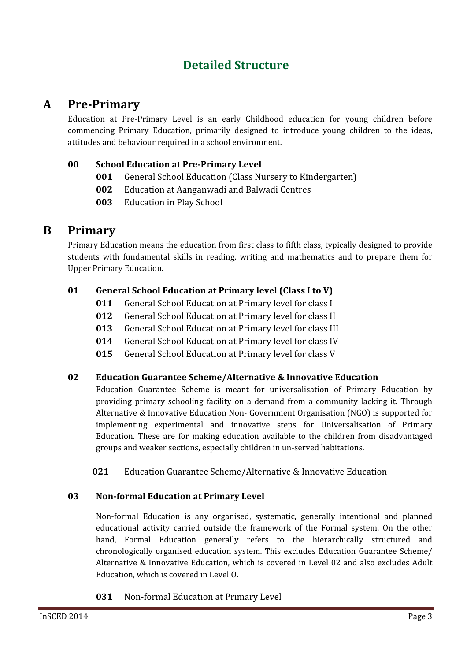## **Detailed Structure**

## **A PreǦPrimary**

Education at Pre-Primary Level is an early Childhood education for young children before commencing Primary Education, primarily designed to introduce young children to the ideas, attitudes and behaviour required in a school environment.

#### **00 School Education at PreǦPrimary Level**

- **<sup>001</sup>** General School Education (Class Nursery to Kindergarten)
- **002** Education at Aanganwadi and Balwadi Centres
- **003** Education in Play School

### **B Primary**

Primary Education means the education from first class to fifth class, typically designed to provide students with fundamental skills in reading, writing and mathematics and to prepare them for **Upper Primary Education.** 

#### **01 General School Education at Primary level (Class I to V)**

- **<sup>011</sup>** General School Education at Primary level for class I
- **<sup>012</sup>** General School Education at Primary level for class II
- **<sup>013</sup>** General School Education at Primary level for class III
- **<sup>014</sup>** General School Education at Primary level for class IV
- **<sup>015</sup>** General School Education at Primary level for class V

#### **02 Education Guarantee Scheme/Alternative & Innovative Education**

Education Guarantee Scheme is meant for universalisation of Primary Education by providing primary schooling facility on a demand from a community lacking it. Through Alternative & Innovative Education Non- Government Organisation (NGO) is supported for implementing experimental and innovative steps for Universalisation of Primary Education. These are for making education available to the children from disadvantaged groups and weaker sections, especially children in un-served habitations.

021 Education Guarantee Scheme/Alternative & Innovative Education

#### **03 NonǦformal Education at Primary Level**

Non-formal Education is any organised, systematic, generally intentional and planned educational activity carried outside the framework of the Formal system. On the other hand, Formal Education generally refers to the hierarchically structured and chronologically organised education system. This excludes Education Guarantee Scheme/ Alternative & Innovative Education, which is covered in Level 02 and also excludes Adult Education, which is covered in Level O.

031 Non-formal Education at Primary Level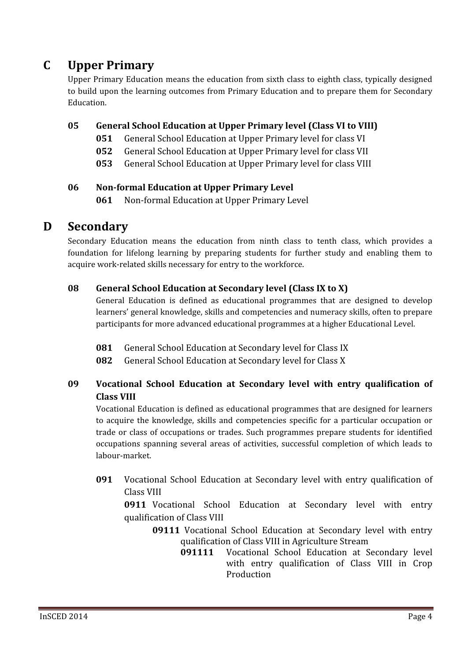## **C Upper Primary**

Upper Primary Education means the education from sixth class to eighth class, typically designed to build upon the learning outcomes from Primary Education and to prepare them for Secondary Education

#### **05 General School Education at Upper Primary level (Class VI to VIII)**

- **<sup>051</sup>** General School Education at Upper Primary level for class VI
- **<sup>052</sup>** General School Education at Upper Primary level for class VII
- **<sup>053</sup>** General School Education at Upper Primary level for class VIII

#### **06 NonǦformal Education at Upper Primary Level**

061 Non-formal Education at Upper Primary Level

### **D Secondary**

Secondary Education means the education from ninth class to tenth class, which provides a foundation for lifelong learning by preparing students for further study and enabling them to acquire work-related skills necessary for entry to the workforce.

#### **08 General School Education at Secondary level (Class IX to X)**

General Education is defined as educational programmes that are designed to develop learners' general knowledge, skills and competencies and numeracy skills, often to prepare participants for more advanced educational programmes at a higher Educational Level.

- **<sup>081</sup>** General School Education at Secondary level for Class IX
- **<sup>082</sup>** General School Education at Secondary level for Class X

#### **09 Vocational School Education at Secondary level with entry qualification of Class VIII**

Vocational Education is defined as educational programmes that are designed for learners to acquire the knowledge, skills and competencies specific for a particular occupation or trade or class of occupations or trades. Such programmes prepare students for identified occupations spanning several areas of activities, successful completion of which leads to labour-market.

**091** Vocational School Education at Secondary level with entry qualification of Class VIII

**0911** Vocational School Education at Secondary level with entry qualification of Class VIII

- **09111** Vocational School Education at Secondary level with entry qualification of Class VIII in Agriculture Stream<br>091111 Vocational School Education at S
	- Vocational School Education at Secondary level with entry qualification of Class VIII in Crop Production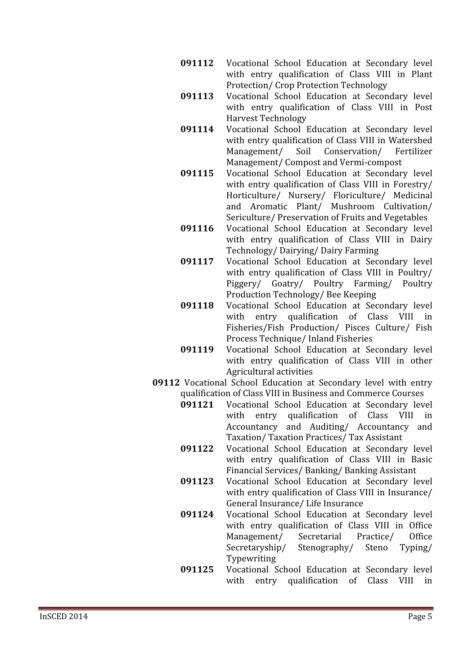- **091112** Vocational School Education at Secondary level with entry qualification of Class VIII in Plant **Protection/Crop Protection Technology**
- **091113** Vocational School Education at Secondary level with entry qualification of Class VIII in Post **Harvest Technology**
- **091114** Vocational School Education at Secondary level with entry qualification of Class VIII in Watershed<br>Management/ Soil Conservation/ Fertilizer Conservation/ Management/ Compost and Vermi-compost
- **091115** Vocational School Education at Secondary level with entry qualification of Class VIII in Forestry/ Horticulture/ Nursery/ Floriculture/ Medicinal and Aromatic Plant/ Mushroom Cultivation/ Sericulture/ Preservation of Fruits and Vegetables
- **091116** Vocational School Education at Secondary level with entry qualification of Class VIII in Dairy Technology/Dairying/Dairy Farming
- **091117** Vocational School Education at Secondary level with entry qualification of Class VIII in Poultry/ Piggery/ Goatry/ Poultry Farming/ Poultry Production Technology/Bee Keeping
- **091118** Vocational School Education at Secondary level<br>with entry qualification of Class VIII in entry qualification of Class VIII in Fisheries/Fish Production/ Pisces Culture/ Fish Process Technique/ Inland Fisheries
- **091119** Vocational School Education at Secondary level with entry qualification of Class VIII in other Agricultural activities
- **09112** Vocational School Education at Secondary level with entry qualification of Class VIII in Business and Commerce Courses<br>091121 Vocational School Education at Secondary leve
	- Vocational School Education at Secondary level<br>with entry qualification of Class VIII in entry qualification of Class VIII in Accountancy and Auditing/ Accountancy and Taxation/Taxation Practices/Tax Assistant
	- **091122** Vocational School Education at Secondary level with entry qualification of Class VIII in Basic Financial Services/ Banking/ Banking Assistant
	- **091123** Vocational School Education at Secondary level with entry qualification of Class VIII in Insurance/ General Insurance/ Life Insurance
	- **091124** Vocational School Education at Secondary level with entry qualification of Class VIII in Office<br>Management/ Secretarial Practice/ Office Management/ Secretarial Practice/ Office<br>Secretaryship/ Stenography/ Steno Typing/ Secretaryship/ Typewriting
	- **091125** Vocational School Education at Secondary level with entry qualification of Class VIII in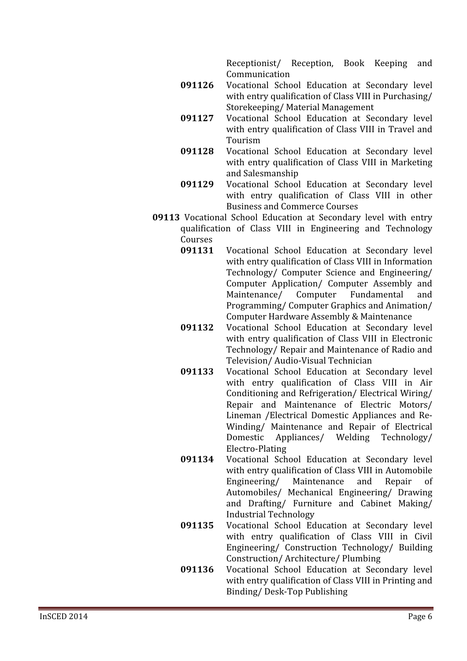Receptionist/ Reception, Book Keeping and Communication

- **091126** Vocational School Education at Secondary level with entry qualification of Class VIII in Purchasing/ Storekeeping/Material Management
- **091127** Vocational School Education at Secondary level with entry qualification of Class VIII in Travel and Tourism
- **091128** Vocational School Education at Secondary level with entry qualification of Class VIII in Marketing and Salesmanship
- **091129** Vocational School Education at Secondary level with entry qualification of Class VIII in other **Business and Commerce Courses**
- **09113** Vocational School Education at Secondary level with entry qualification of Class VIII in Engineering and Technology Courses<br>091131
	- Vocational School Education at Secondary level with entry qualification of Class VIII in Information Technology/ Computer Science and Engineering/ Computer Application/ Computer Assembly and<br>Maintenance/ Computer Fundamental and Maintenance/ Programming/ Computer Graphics and Animation/ Computer Hardware Assembly & Maintenance
	- **091132** Vocational School Education at Secondary level with entry qualification of Class VIII in Electronic Technology/ Repair and Maintenance of Radio and Television/Audio-Visual Technician
	- **091133** Vocational School Education at Secondary level with entry qualification of Class VIII in Air Conditioning and Refrigeration/ Electrical Wiring/ Repair and Maintenance of Electric Motors/ Lineman / Electrical Domestic Appliances and Re-Winding/ Maintenance and Repair of Electrical Domestic Appliances/ Welding Technology/ Electro-Plating
	- **091134** Vocational School Education at Secondary level with entry qualification of Class VIII in Automobile<br>Engineering/ Maintenance and Repair of Engineering/ Automobiles/ Mechanical Engineering/ Drawing and Drafting/ Furniture and Cabinet Making/ **Industrial Technology**
	- **091135** Vocational School Education at Secondary level with entry qualification of Class VIII in Civil Engineering/ Construction Technology/ Building Construction/Architecture/Plumbing
	- **091136** Vocational School Education at Secondary level with entry qualification of Class VIII in Printing and Binding/Desk-Top Publishing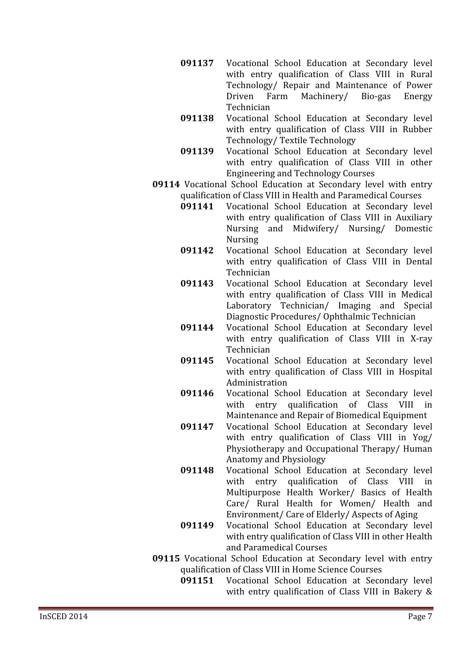- **091137** Vocational School Education at Secondary level with entry qualification of Class VIII in Rural Technology/ Repair and Maintenance of Power<br>Driven Farm Machinery/ Bio-gas Energy Machinery/ Technician
- **091138** Vocational School Education at Secondary level with entry qualification of Class VIII in Rubber Technology/Textile Technology
- 091139 Vocational School Education at Secondary level with entry qualification of Class VIII in other **Engineering and Technology Courses**
- **09114** Vocational School Education at Secondary level with entry qualification of Class VIII in Health and Paramedical Courses<br>091141 Vocational School Education at Secondary lev
	- Vocational School Education at Secondary level with entry qualification of Class VIII in Auxiliary Nursing and Midwifery/ Nursing/ Domestic **Nursing**
	- **091142** Vocational School Education at Secondary level with entry qualification of Class VIII in Dental Technician
	- 091143 Vocational School Education at Secondary level with entry qualification of Class VIII in Medical Laboratory Technician/ Imaging and Special Diagnostic Procedures/Ophthalmic Technician
	- **091144** Vocational School Education at Secondary level with entry qualification of Class VIII in X-ray Technician
	- **091145** Vocational School Education at Secondary level with entry qualification of Class VIII in Hospital Administration
	- **091146** Vocational School Education at Secondary level<br>with entry qualification of Class VIII in entry qualification of Class VIII in Maintenance and Repair of Biomedical Equipment
	- **091147** Vocational School Education at Secondary level with entry qualification of Class VIII in Yog/ Physiotherapy and Occupational Therapy/Human Anatomy and Physiology
	- **091148** Vocational School Education at Secondary level<br>with entry qualification of Class VIII in entry qualification of Class VIII in Multipurpose Health Worker/ Basics of Health Care/ Rural Health for Women/ Health and Environment/ Care of Elderly/ Aspects of Aging
	- **091149** Vocational School Education at Secondary level with entry qualification of Class VIII in other Health and Paramedical Courses
- **09115** Vocational School Education at Secondary level with entry qualification of Class VIII in Home Science Courses<br>091151 Vocational School Education at Seco
	- Vocational School Education at Secondary level with entry qualification of Class VIII in Bakery &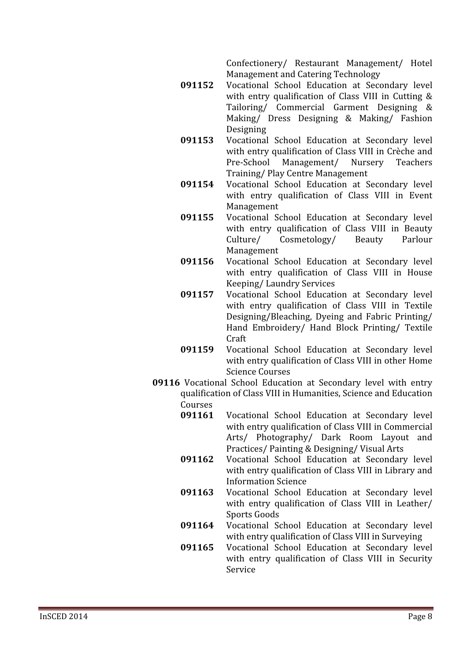Confectionery/ Restaurant Management/ Hotel Management and Catering Technology

- **091152** Vocational School Education at Secondary level with entry qualification of Class VIII in Cutting & Tailoring/ Commercial Garment Designing & Making/ Dress Designing & Making/ Fashion Designing
- 091153 Vocational School Education at Secondary level with entry qualification of Class VIII in Crèche and<br>Pre-School Management/ Nursery Teachers Pre-School Management/ Training/Play Centre Management
- **091154** Vocational School Education at Secondary level with entry qualification of Class VIII in Event Management
- **091155** Vocational School Education at Secondary level with entry qualification of Class VIII in Beauty<br>Culture/ Cosmetology/ Beauty Parlour Cosmetology/ Management
- 091156 Vocational School Education at Secondary level with entry qualification of Class VIII in House **Keeping/Laundry Services**
- **091157** Vocational School Education at Secondary level with entry qualification of Class VIII in Textile Designing/Bleaching, Dyeing and Fabric Printing/ Hand Embroidery/ Hand Block Printing/ Textile Craft
- **091159** Vocational School Education at Secondary level with entry qualification of Class VIII in other Home **Science Courses**
- **09116** Vocational School Education at Secondary level with entry qualification of Class VIII in Humanities, Science and Education Courses<br>091161
	- Vocational School Education at Secondary level with entry qualification of Class VIII in Commercial Arts/ Photography/ Dark Room Layout and Practices/Painting & Designing/Visual Arts
	- **091162** Vocational School Education at Secondary level with entry qualification of Class VIII in Library and **Information Science**
	- **091163** Vocational School Education at Secondary level with entry qualification of Class VIII in Leather/ Sports Goods
	- **091164** Vocational School Education at Secondary level with entry qualification of Class VIII in Surveying
	- **091165** Vocational School Education at Secondary level with entry qualification of Class VIII in Security Service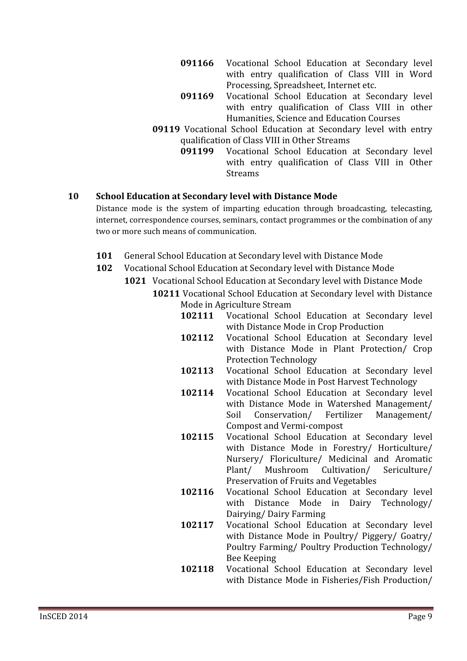- **091166** Vocational School Education at Secondary level with entry qualification of Class VIII in Word Processing, Spreadsheet, Internet etc.
- **091169** Vocational School Education at Secondary level with entry qualification of Class VIII in other Humanities, Science and Education Courses
- **09119** Vocational School Education at Secondary level with entry qualification of Class VIII in Other Streams<br>091199 Vocational School Education
	- Vocational School Education at Secondary level with entry qualification of Class VIII in Other **Streams**

#### **10 School Education at Secondary level with Distance Mode**

Distance mode is the system of imparting education through broadcasting, telecasting, internet, correspondence courses, seminars, contact programmes or the combination of any two or more such means of communication.

- **<sup>101</sup>** General School Education at Secondary level with Distance Mode
- **102** Vocational School Education at Secondary level with Distance Mode
	- **1021** Vocational School Education at Secondary level with Distance Mode **10211** Vocational School Education at Secondary level with Distance
		- Mode in Agriculture Stream<br>102111 Vocational Scho Vocational School Education at Secondary level with Distance Mode in Crop Production
		- 102112 Vocational School Education at Secondary level with Distance Mode in Plant Protection/ Crop **Protection Technology**
		- **102113** Vocational School Education at Secondary level with Distance Mode in Post Harvest Technology
		- **102114** Vocational School Education at Secondary level with Distance Mode in Watershed Management/<br>Soil Conservation/ Fertilizer Management/ Conservation/ **Compost and Vermi-compost**
		- 102115 Vocational School Education at Secondary level with Distance Mode in Forestry/ Horticulture/ Nursery/ Floriculture/ Medicinal and Aromatic<br>Plant/ Mushroom Cultivation/ Sericulture/ Plant/ Mushroom Cultivation/ Preservation of Fruits and Vegetables
		- **102116** Vocational School Education at Secondary level with Distance Mode in Dairy Technology/ Dairying/Dairy Farming
		- **102117** Vocational School Education at Secondary level with Distance Mode in Poultry/ Piggery/ Goatry/ Poultry Farming/ Poultry Production Technology/ Bee Keeping
		- **102118** Vocational School Education at Secondary level with Distance Mode in Fisheries/Fish Production/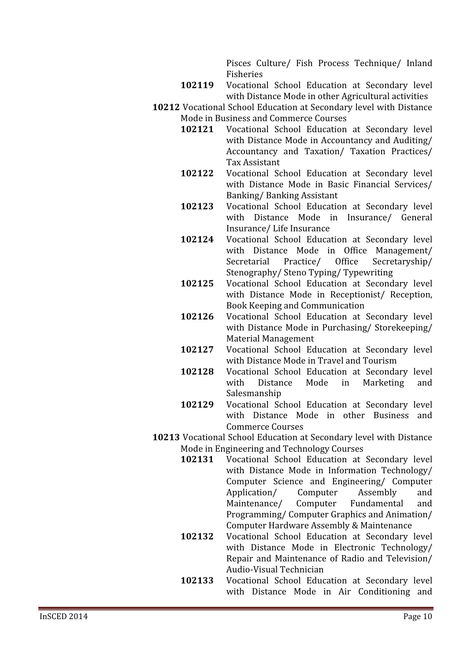Pisces Culture/ Fish Process Technique/ Inland Fisheries

- 102119 Vocational School Education at Secondary level with Distance Mode in other Agricultural activities
- **10212** Vocational School Education at Secondary level with Distance Mode in Business and Commerce Courses<br>102121 Vocational School Education
	- Vocational School Education at Secondary level with Distance Mode in Accountancy and Auditing/ Accountancy and Taxation/ Taxation Practices/ **Tax Assistant**
	- 102122 Vocational School Education at Secondary level with Distance Mode in Basic Financial Services/ Banking/Banking Assistant
	- 102123 Vocational School Education at Secondary level with Distance Mode in Insurance/ General Insurance/Life Insurance
	- 102124 Vocational School Education at Secondary level with Distance Mode in Office Management/<br>Secretarial Practice/ Office Secretaryship/ Secretaryship/ Stenography/Steno Typing/Typewriting
	- 102125 Vocational School Education at Secondary level with Distance Mode in Receptionist/ Reception, **Book Keeping and Communication**
	- **102126** Vocational School Education at Secondary level with Distance Mode in Purchasing/ Storekeeping/ **Material Management**
	- **102127** Vocational School Education at Secondary level with Distance Mode in Travel and Tourism
	- **102128** Vocational School Education at Secondary level<br>with Distance Mode in Marketing and Marketing Salesmanship
	- 102129 Vocational School Education at Secondary level with Distance Mode in other Business and **Commerce Courses**
- **10213** Vocational School Education at Secondary level with Distance Mode in Engineering and Technology Courses<br>102131 Vocational School Education at
	- Vocational School Education at Secondary level with Distance Mode in Information Technology/ Computer Science and Engineering/ Computer<br>Application/ Computer Assembly and Application/ Computer Assembly and<br>Maintenance/ Computer Fundamental and Maintenance/ Computer Fundamental and Programming/ Computer Graphics and Animation/ Computer Hardware Assembly & Maintenance
	- 102132 Vocational School Education at Secondary level with Distance Mode in Electronic Technology/ Repair and Maintenance of Radio and Television/ Audio-Visual Technician
	- 102133 Vocational School Education at Secondary level with Distance Mode in Air Conditioning and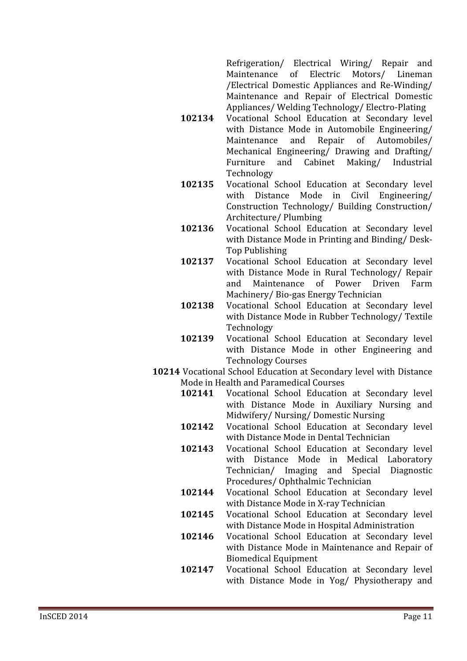Refrigeration/ Electrical Wiring/ Repair and<br>Maintenance of Electric Motors/ Lineman Maintenance of /Electrical Domestic Appliances and Re-Winding/ Maintenance and Repair of Electrical Domestic Appliances/Welding Technology/Electro-Plating

- **102134** Vocational School Education at Secondary level with Distance Mode in Automobile Engineering/<br>Maintenance and Repair of Automobiles/ of Automobiles/ Mechanical Engineering/ Drawing and Drafting/<br>Furniture and Cabinet Making/ Industrial and Cabinet Technology
- **102135** Vocational School Education at Secondary level<br>with Distance Mode in Civil Engineering/ Distance Mode in Civil Engineering/ Construction Technology/ Building Construction/ Architecture/Plumbing
- 102136 Vocational School Education at Secondary level with Distance Mode in Printing and Binding/Desk-**Top Publishing**
- **102137** Vocational School Education at Secondary level with Distance Mode in Rural Technology/ Repair<br>and Maintenance of Power Driven Farm and Maintenance of Power Driven Farm Machinery/ Bio-gas Energy Technician
- 102138 Vocational School Education at Secondary level with Distance Mode in Rubber Technology/ Textile Technology
- 102139 Vocational School Education at Secondary level with Distance Mode in other Engineering and **Technology Courses**
- **10214** Vocational School Education at Secondary level with Distance Mode in Health and Paramedical Courses<br>102141 Vocational School Education
	- Vocational School Education at Secondary level with Distance Mode in Auxiliary Nursing and Midwifery/ Nursing/ Domestic Nursing
	- **102142** Vocational School Education at Secondary level with Distance Mode in Dental Technician
	- **102143** Vocational School Education at Secondary level with Distance Mode in Medical Laboratory Technician/ Imaging and Special Diagnostic Procedures/Ophthalmic Technician
	- **102144** Vocational School Education at Secondary level with Distance Mode in X-ray Technician
	- 102145 Vocational School Education at Secondary level with Distance Mode in Hospital Administration
	- **102146** Vocational School Education at Secondary level with Distance Mode in Maintenance and Repair of **Biomedical Equipment**
	- **102147** Vocational School Education at Secondary level with Distance Mode in Yog/ Physiotherapy and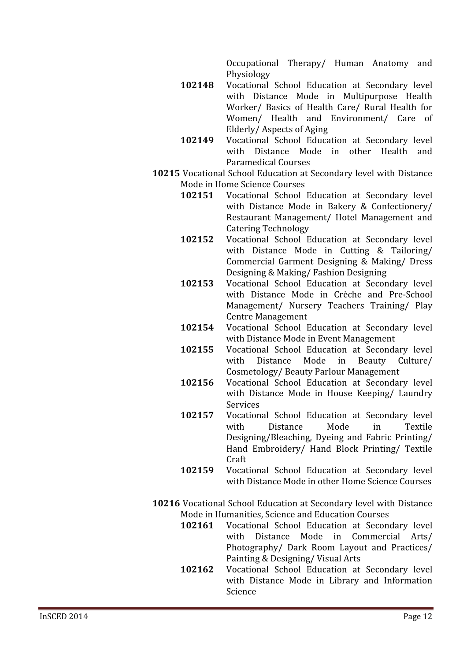Occupational Therapy/ Human Anatomy and Physiology

- **102148** Vocational School Education at Secondary level with Distance Mode in Multipurpose Health Worker/ Basics of Health Care/ Rural Health for Women/ Health and Environment/ Care of Elderly/Aspects of Aging
- **102149** Vocational School Education at Secondary level<br>with Distance Mode in other Health and Distance Mode in other Health and **Paramedical Courses**
- **10215** Vocational School Education at Secondary level with Distance Mode in Home Science Courses<br>102151 Vocational School
	- Vocational School Education at Secondary level with Distance Mode in Bakery & Confectionery/ Restaurant Management/ Hotel Management and **Catering Technology**
	- 102152 Vocational School Education at Secondary level with Distance Mode in Cutting & Tailoring/ Commercial Garment Designing & Making/ Dress Designing & Making/Fashion Designing
	- 102153 Vocational School Education at Secondary level with Distance Mode in Crèche and Pre-School Management/ Nursery Teachers Training/ Play **Centre Management**
	- **102154** Vocational School Education at Secondary level with Distance Mode in Event Management
	- **102155** Vocational School Education at Secondary level<br>with Distance Mode in Beauty Culture/ Beauty Culture/ Cosmetology/Beauty Parlour Management
	- **102156** Vocational School Education at Secondary level with Distance Mode in House Keeping/ Laundry **Services**
	- **102157** Vocational School Education at Secondary level<br>with Distance Mode in Textile with Distance Mode in Textile Designing/Bleaching, Dyeing and Fabric Printing/ Hand Embroidery/ Hand Block Printing/ Textile Craft
	- 102159 Vocational School Education at Secondary level with Distance Mode in other Home Science Courses
- **10216** Vocational School Education at Secondary level with Distance Mode in Humanities, Science and Education Courses<br>**102161** Vocational School Education at Secone
	- Vocational School Education at Secondary level<br>with Distance Mode in Commercial Arts/ Distance Mode in Commercial Arts/ Photography/ Dark Room Layout and Practices/ Painting & Designing/Visual Arts
	- **102162** Vocational School Education at Secondary level with Distance Mode in Library and Information Science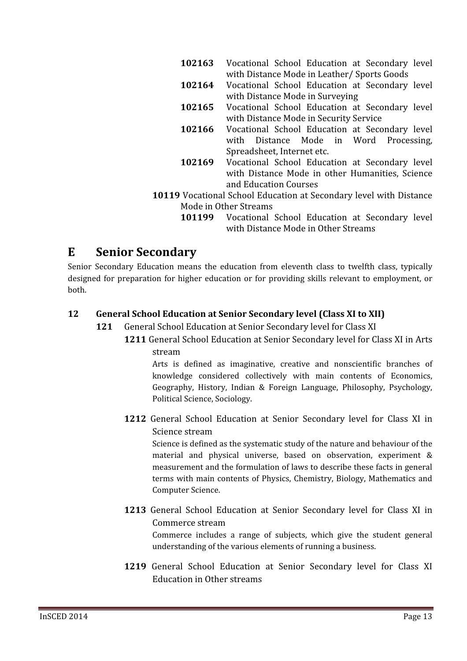- 102163 Vocational School Education at Secondary level with Distance Mode in Leather/ Sports Goods
- **102164** Vocational School Education at Secondary level with Distance Mode in Surveying
- **102165** Vocational School Education at Secondary level with Distance Mode in Security Service
- **102166** Vocational School Education at Secondary level<br>with Distance Mode in Word Processing Distance Mode in Word Processing, Spreadsheet. Internet etc.
- **102169** Vocational School Education at Secondary level with Distance Mode in other Humanities, Science and Education Courses
- **10119** Vocational School Education at Secondary level with Distance Mode in Other Streams<br>**101199** Vocational
	- Vocational School Education at Secondary level with Distance Mode in Other Streams

## **E Senior Secondary**

Senior Secondary Education means the education from eleventh class to twelfth class, typically designed for preparation for higher education or for providing skills relevant to employment, or hoth

#### **12 General School Education at Senior Secondary level (Class XI to XII)**

- **<sup>121</sup>** General School Education at Senior Secondary level for Class XI
	- **1211** General School Education at Senior Secondary level for Class XI in Arts stream

Arts is defined as imaginative, creative and nonscientific branches of knowledge considered collectively with main contents of Economics, Geography, History, Indian & Foreign Language, Philosophy, Psychology, Political Science, Sociology.

1212 General School Education at Senior Secondary level for Class XI in Science stream

Science is defined as the systematic study of the nature and behaviour of the material and physical universe, based on observation, experiment & measurement and the formulation of laws to describe these facts in general terms with main contents of Physics, Chemistry, Biology, Mathematics and Computer Science.

1213 General School Education at Senior Secondary level for Class XI in Commerce stream

Commerce includes a range of subjects, which give the student general understanding of the various elements of running a business.

1219 General School Education at Senior Secondary level for Class XI **Education in Other streams**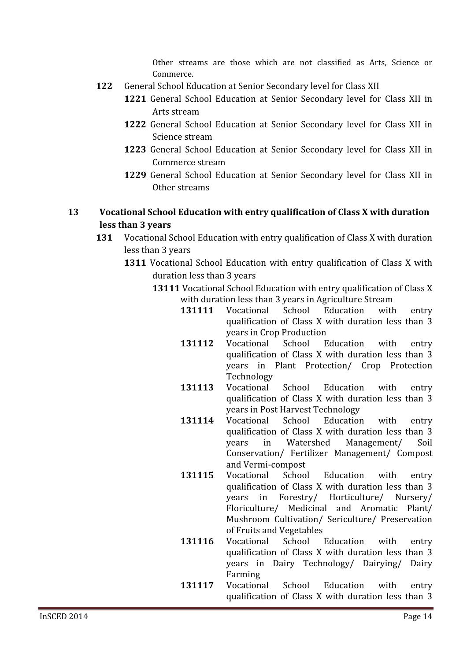Other streams are those which are not classified as Arts. Science or Commerce.

- **<sup>122</sup>** General School Education at Senior Secondary level for Class XII
	- 1221 General School Education at Senior Secondary level for Class XII in Arts stream
	- 1222 General School Education at Senior Secondary level for Class XII in Science stream
	- 1223 General School Education at Senior Secondary level for Class XII in Commerce stream
	- 1229 General School Education at Senior Secondary level for Class XII in Other streams

#### **13 Vocational School Education with entry qualification of Class X with duration less than 3 years**

- **131** Vocational School Education with entry qualification of Class X with duration less than 3 years
	- **1311** Vocational School Education with entry qualification of Class X with duration less than 3 years
		- **13111** Vocational School Education with entry qualification of Class X with duration less than 3 years in Agriculture Stream<br>131111 Vocational School Education with
			- 131111 Vocational School Education with entry qualification of Class X with duration less than 3 years in Crop Production<br>Vocational School E
			- **131112** Vocational School Education with entry qualification of Class X with duration less than 3 vears in Plant Protection/ Crop Protection Technology
			- 131113 Vocational School Education with entry qualification of Class X with duration less than 3 years in Post Harvest Technology<br>Vocational School Educatior
			- 131114 Vocational School Education with entry qualification of Class X with duration less than 3<br>years in Watershed Management/ Soil years in Watershed Management/ Soil Conservation/ Fertilizer Management/ Compost and Vermi-compost<br>Vocational School
			- **131115** Vocational School Education with entry qualification of Class X with duration less than 3 years in Forestry/ Horticulture/ Nursery/ Floriculture/ Medicinal and Aromatic Plant/ Mushroom Cultivation/ Sericulture/ Preservation
			- of Fruits and Vegetables<br>Vocational School l **131116** Vocational School Education with entry qualification of Class X with duration less than 3 years in Dairy Technology/ Dairying/ Dairy Farming
			- **131117** Vocational School Education with entry qualification of Class X with duration less than 3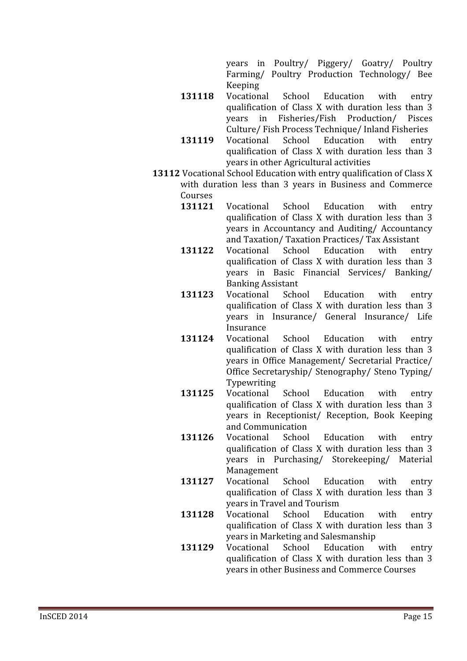years in Poultry/ Piggery/ Goatry/ Poultry Farming/ Poultry Production Technology/ Bee Keeping

- **131118** Vocational School Education with entry qualification of Class X with duration less than 3<br>vears in Fisheries/Fish Production/ Pisces Fisheries/Fish Production/ Culture/Fish Process Technique/Inland Fisheries<br>Vocational School Education with entry
- 131119 Vocational School Education qualification of Class X with duration less than 3 vears in other Agricultural activities
- **13112** Vocational School Education with entry qualification of Class X with duration less than 3 years in Business and Commerce Courses<br>131121
	- Vocational School Education with entry qualification of Class X with duration less than 3 years in Accountancy and Auditing/ Accountancy and Taxation/Taxation Practices/Tax Assistant<br>Vocational School Education with en
	- 131122 Vocational School Education with entry qualification of Class X with duration less than 3 years in Basic Financial Services/ Banking/ **Banking Assistant<br>Vocational School**
	- 131123 Vocational School Education with entry qualification of Class X with duration less than 3 years in Insurance/ General Insurance/ Life Insurance
	- 131124 Vocational School Education with entry qualification of Class X with duration less than 3 years in Office Management/ Secretarial Practice/ Office Secretaryship/ Stenography/ Steno Typing/ Typewriting
	- **131125** Vocational School Education with entry qualification of Class X with duration less than 3 years in Receptionist/ Reception, Book Keeping
	- and Communication<br>Vocational School **131126** Vocational School Education with entry qualification of Class X with duration less than 3 years in Purchasing/ Storekeeping/ Material Management
	- **131127** Vocational School Education with entry qualification of Class X with duration less than 3 years in Travel and Tourism<br>Vocational School Education
	- **131128** Vocational School Education with entry qualification of Class X with duration less than 3 years in Marketing and Salesmanship<br>Vocational School Education with
	- **131129** Vocational School Education with entry qualification of Class X with duration less than 3 years in other Business and Commerce Courses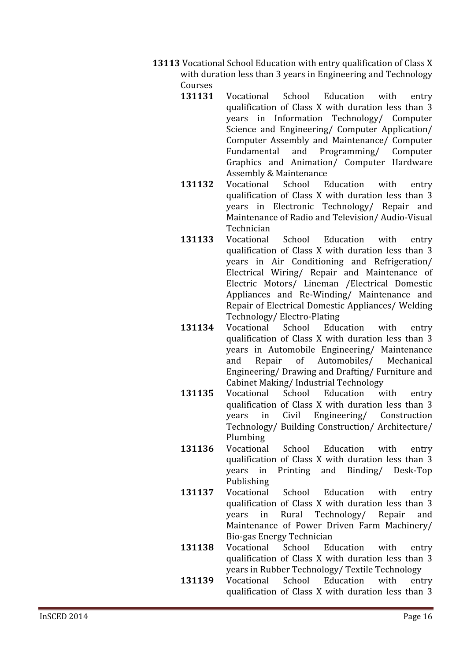- **13113** Vocational School Education with entry qualification of Class X with duration less than 3 years in Engineering and Technology Courses<br>131131
	- Vocational School Education with entry qualification of Class X with duration less than 3 years in Information Technology/ Computer Science and Engineering/ Computer Application/ Computer Assembly and Maintenance/ Computer<br>Fundamental and Programming/ Computer and Programming/ Computer Graphics and Animation/ Computer Hardware Assembly & Maintenance<br>Vocational School Education
	- 131132 Vocational School Education with entry qualification of Class X with duration less than 3 years in Electronic Technology/ Repair and Maintenance of Radio and Television/Audio-Visual Technician
	- 131133 Vocational School Education with entry qualification of Class X with duration less than 3 years in Air Conditioning and Refrigeration/ Electrical Wiring/ Repair and Maintenance of Electric Motors/ Lineman / Electrical Domestic Appliances and Re-Winding/ Maintenance and Repair of Electrical Domestic Appliances/ Welding
	- Technology/Electro-Plating<br>Vocational School Education 131134 Vocational School Education with entry qualification of Class X with duration less than 3 years in Automobile Engineering/ Maintenance<br>and Repair of Automobiles/ Mechanical Automobiles/ Engineering/Drawing and Drafting/Furniture and Cabinet Making/Industrial Technology<br>Vocational School Education with
	- 131135 Vocational School Education with entry qualification of Class X with duration less than 3<br>years in Civil Engineering/ Construction Engineering/ Technology/ Building Construction/ Architecture/
	- Plumbing<br>Vocational 131136 Vocational School Education with entry qualification of Class X with duration less than 3 years in Printing and Binding/ Desk-Top Publishing
	- **131137** Vocational School Education with entry qualification of Class X with duration less than 3<br>years in Rural Technology/ Repair and Technology/ Maintenance of Power Driven Farm Machinery/
	- **Bio-gas Energy Technician<br>Vocational School Education 131138** Vocational School Education with entry qualification of Class X with duration less than 3 years in Rubber Technology/ Textile Technology<br>Vocational School Education with entry
	- **<sup>131139</sup>** qualification of Class X with duration less than 3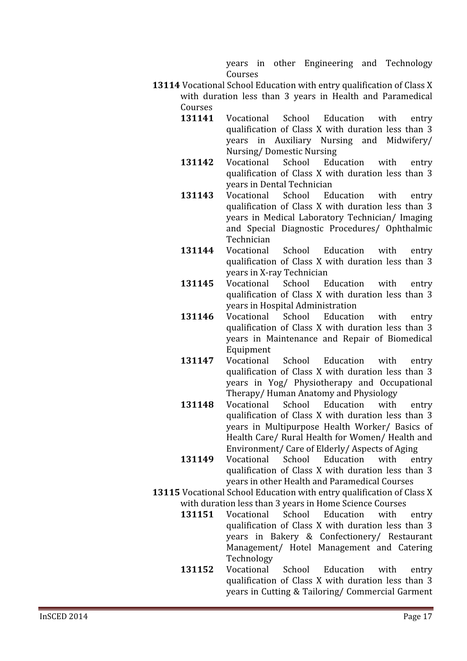years in other Engineering and Technology Courses

- **13114** Vocational School Education with entry qualification of Class X with duration less than 3 years in Health and Paramedical Courses<br>131141
	- Vocational School Education with entry qualification of Class X with duration less than 3 years in Auxiliary Nursing and Midwifery/ **Nursing/Domestic Nursing<br>Vocational School Education**
	- **131142** Vocational School Education with entry qualification of Class X with duration less than 3 years in Dental Technician<br>Vocational School Education
	- 131143 Vocational School Education with entry qualification of Class X with duration less than 3 years in Medical Laboratory Technician/ Imaging and Special Diagnostic Procedures/ Ophthalmic Technician
	- **131144** Vocational School Education with entry qualification of Class X with duration less than 3 years in X-ray Technician<br>Vocational School Education
	- **131145** Vocational School Education with entry qualification of Class X with duration less than 3 years in Hospital Administration<br>Vocational School Education
	- **131146** Vocational School Education with entry qualification of Class X with duration less than 3 years in Maintenance and Repair of Biomedical Equipment
	- **131147** Vocational School Education with entry qualification of Class X with duration less than 3 years in Yog/ Physiotherapy and Occupational Therapy/Human Anatomy and Physiology<br>Vocational School Education with
	- **131148** Vocational School Education with entry qualification of Class X with duration less than 3 years in Multipurpose Health Worker/ Basics of Health Care/ Rural Health for Women/ Health and
	- Environment/ Care of Elderly/ Aspects of Aging<br>Vocational School Education with entry **<sup>131149</sup>** qualification of Class X with duration less than 3 years in other Health and Paramedical Courses
- **13115** Vocational School Education with entry qualification of Class X with duration less than 3 years in Home Science Courses<br>131151 Vocational School Education with
	- Vocational School Education with entry qualification of Class X with duration less than 3 vears in Bakery & Confectionery/ Restaurant Management/ Hotel Management and Catering Technology
	- **131152** Vocational School Education with entry qualification of Class X with duration less than 3 years in Cutting & Tailoring/ Commercial Garment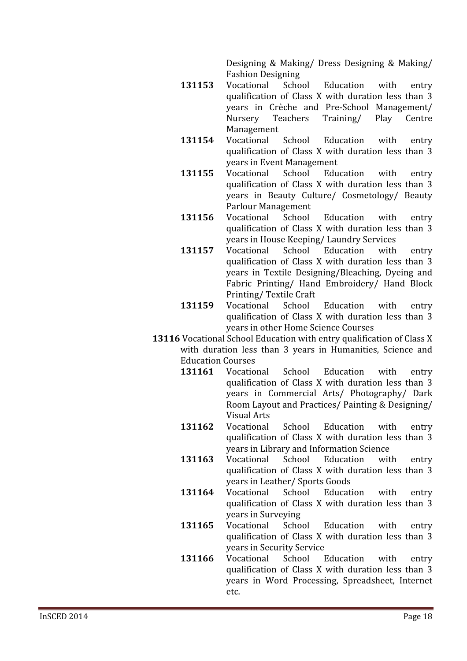Designing & Making/ Dress Designing & Making/ **Fashion Designing**<br>Vocational School

- 131153 Vocational School Education with entry qualification of Class X with duration less than 3 years in Crèche and Pre-School Management/<br>Nursery Teachers Training/ Play Centre **Teachers**
- Management<br>Vocational **131154** Vocational School Education with entry qualification of Class X with duration less than 3 years in Event Management<br>Vocational School Education
- **131155** Vocational School Education with entry qualification of Class X with duration less than 3 years in Beauty Culture/ Cosmetology/ Beauty
- Parlour Management<br>Vocational School **131156** Vocational School Education with entry qualification of Class X with duration less than 3 years in House Keeping/Laundry Services<br>Vocational School Education with
- **131157** Vocational School Education with entry qualification of Class X with duration less than 3 years in Textile Designing/Bleaching, Dyeing and Fabric Printing/ Hand Embroidery/ Hand Block Printing/Textile Craft<br>Vocational School
- 131159 Vocational School Education with entry qualification of Class X with duration less than 3 years in other Home Science Courses
- **13116** Vocational School Education with entry qualification of Class X with duration less than 3 years in Humanities, Science and Education Courses<br>131161 Vocational
	- 131161 Vocational School Education with entry qualification of Class X with duration less than 3 years in Commercial Arts/ Photography/ Dark Room Layout and Practices/ Painting & Designing/ **Visual Arts**
	- **131162** Vocational School Education with entry qualification of Class X with duration less than 3 years in Library and Information Science<br>Vocational School Education with
	- 131163 Vocational School Education with entry qualification of Class X with duration less than 3 years in Leather/ Sports Goods
	- **131164** Vocational School Education with entry qualification of Class X with duration less than 3 years in Surveying<br>Vocational School
	- **131165** Vocational School Education with entry qualification of Class X with duration less than 3 years in Security Service<br>Vocational School I
	- **131166** Vocational School Education with entry qualification of Class X with duration less than 3 years in Word Processing, Spreadsheet, Internet etc.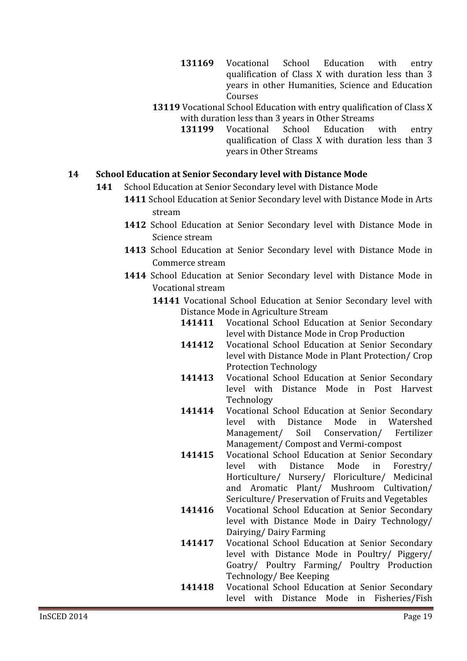- **131169** Vocational School Education with entry qualification of Class X with duration less than 3 vears in other Humanities, Science and Education Courses
- **13119** Vocational School Education with entry qualification of Class X with duration less than 3 years in Other Streams<br>131199 Vocational School Education
	- Vocational School Education with entry qualification of Class X with duration less than 3 years in Other Streams

#### **14 School Education at Senior Secondary level with Distance Mode**

- 141 School Education at Senior Secondary level with Distance Mode
	- **1411** School Education at Senior Secondary level with Distance Mode in Arts stream
	- 1412 School Education at Senior Secondary level with Distance Mode in Science stream
	- 1413 School Education at Senior Secondary level with Distance Mode in Commerce stream
	- 1414 School Education at Senior Secondary level with Distance Mode in Vocational stream
		- **14141** Vocational School Education at Senior Secondary level with Distance Mode in Agriculture Stream<br>141411 Vocational School Educat
			- **Vocational School Education at Senior Secondary** level with Distance Mode in Crop Production
			- **141412** Vocational School Education at Senior Secondary level with Distance Mode in Plant Protection/ Crop **Protection Technology**
			- **141413** Vocational School Education at Senior Secondary level with Distance Mode in Post Harvest Technology
			- **141414** Vocational School Education at Senior Secondary<br>level with Distance Mode in Watershed level with Distance Mode in Watershed<br>Management/ Soil Conservation/ Fertilizer Conservation/ Management/ Compost and Vermi-compost
			- **141415** Vocational School Education at Senior Secondary<br>level with Distance Mode in Forestry/ level with Distance Mode in Forestry/ Horticulture/ Nursery/ Floriculture/ Medicinal and Aromatic Plant/ Mushroom Cultivation/ Sericulture/ Preservation of Fruits and Vegetables
			- **141416** Vocational School Education at Senior Secondary level with Distance Mode in Dairy Technology/ Dairying/Dairy Farming
			- **141417** Vocational School Education at Senior Secondary level with Distance Mode in Poultry/ Piggery/ Goatry/ Poultry Farming/ Poultry Production Technology/Bee Keeping
			- **141418** Vocational School Education at Senior Secondary level with Distance Mode in Fisheries/Fish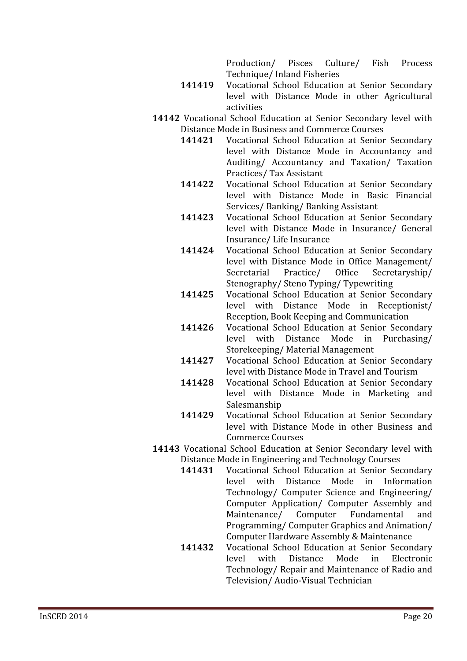Production/ Pisces Culture/ Fish Process Technique/ Inland Fisheries

- **141419** Vocational School Education at Senior Secondary level with Distance Mode in other Agricultural activities
- **14142** Vocational School Education at Senior Secondary level with Distance Mode in Business and Commerce Courses<br>141421 Vocational School Education at Senior
	- **Vocational School Education at Senior Secondary** level with Distance Mode in Accountancy and Auditing/ Accountancy and Taxation/ Taxation Practices/Tax Assistant
	- **141422** Vocational School Education at Senior Secondary level with Distance Mode in Basic Financial Services/ Banking/ Banking Assistant
	- **141423** Vocational School Education at Senior Secondary level with Distance Mode in Insurance/ General Insurance/Life Insurance
	- **141424** Vocational School Education at Senior Secondary level with Distance Mode in Office Management/<br>Secretarial Practice/ Office Secretaryship/ Secretaryship/ Stenography/Steno Typing/Typewriting
	- 141425 Vocational School Education at Senior Secondary level with Distance Mode in Receptionist/ Reception, Book Keeping and Communication
	- **141426** Vocational School Education at Senior Secondary<br>level with Distance Mode in Purchasing/ level with Distance Storekeeping/Material Management
	- **141427** Vocational School Education at Senior Secondary level with Distance Mode in Travel and Tourism
	- 141428 Vocational School Education at Senior Secondary level with Distance Mode in Marketing and Salesmanship
	- **141429** Vocational School Education at Senior Secondary level with Distance Mode in other Business and **Commerce Courses**
- **14143** Vocational School Education at Senior Secondary level with Distance Mode in Engineering and Technology Courses<br>141431 Vocational School Education at Senior Sec
	- Vocational School Education at Senior Secondary<br>level with Distance Mode in Information Mode in Technology/ Computer Science and Engineering/ Computer Application/ Computer Assembly and<br>Maintenance/ Computer Fundamental and Maintenance/ Programming/ Computer Graphics and Animation/ Computer Hardware Assembly & Maintenance
	- **141432** Vocational School Education at Senior Secondary<br>level with Distance Mode in Electronic Electronic Technology/ Repair and Maintenance of Radio and Television/Audio-Visual Technician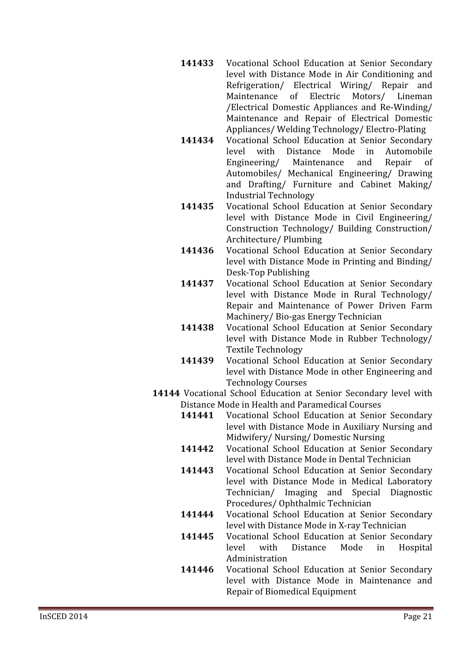- **141433** Vocational School Education at Senior Secondary level with Distance Mode in Air Conditioning and Refrigeration/ Electrical Wiring/ Repair and<br>Maintenance of Electric Motors/ Lineman Maintenance of /Electrical Domestic Appliances and Re-Winding/ Maintenance and Repair of Electrical Domestic Appliances/Welding Technology/Electro-Plating
- **141434** Vocational School Education at Senior Secondary<br>level with Distance Mode in Automobile istance Mode in Automobile<br>Maintenance and Repair of Engineering/ Automobiles/ Mechanical Engineering/ Drawing and Drafting/ Furniture and Cabinet Making/ **Industrial Technology**
- **141435** Vocational School Education at Senior Secondary level with Distance Mode in Civil Engineering/ Construction Technology/ Building Construction/ Architecture/Plumbing
- **141436** Vocational School Education at Senior Secondary level with Distance Mode in Printing and Binding/ Desk-Top Publishing
- **141437** Vocational School Education at Senior Secondary level with Distance Mode in Rural Technology/ Repair and Maintenance of Power Driven Farm Machinery/Bio-gas Energy Technician
- **141438** Vocational School Education at Senior Secondary level with Distance Mode in Rubber Technology/ **Textile Technology**
- 141439 Vocational School Education at Senior Secondary level with Distance Mode in other Engineering and **Technology Courses**
- **14144** Vocational School Education at Senior Secondary level with Distance Mode in Health and Paramedical Courses<br>141441 Vocational School Education at Senio
	- Vocational School Education at Senior Secondary level with Distance Mode in Auxiliary Nursing and Midwifery/ Nursing/ Domestic Nursing
	- **141442** Vocational School Education at Senior Secondary level with Distance Mode in Dental Technician
	- **141443** Vocational School Education at Senior Secondary level with Distance Mode in Medical Laboratory Technician/ Imaging and Special Diagnostic Procedures/Ophthalmic Technician
	- **141444** Vocational School Education at Senior Secondary level with Distance Mode in X-ray Technician
	- **141445** Vocational School Education at Senior Secondary<br>level with Distance Mode in Hospital Hospital Administration
	- **141446** Vocational School Education at Senior Secondary level with Distance Mode in Maintenance and Repair of Biomedical Equipment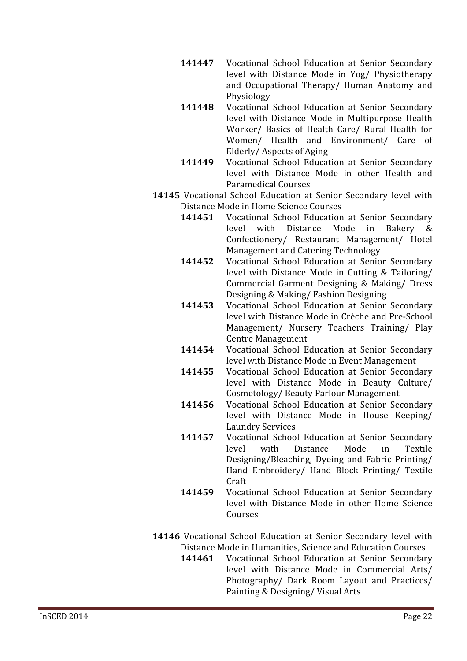- **141447** Vocational School Education at Senior Secondary level with Distance Mode in Yog/ Physiotherapy and Occupational Therapy/ Human Anatomy and Physiology
- **141448** Vocational School Education at Senior Secondary level with Distance Mode in Multipurpose Health Worker/ Basics of Health Care/ Rural Health for Women/ Health and Environment/ Care of Elderly/Aspects of Aging
- 141449 Vocational School Education at Senior Secondary level with Distance Mode in other Health and Paramedical Courses
- **14145** Vocational School Education at Senior Secondary level with Distance Mode in Home Science Courses<br>141451 Vocational School Education
	- Vocational School Education at Senior Secondary<br>level with Distance Mode in Bakery & with Distance Confectionery/ Restaurant Management/ Hotel Management and Catering Technology
	- **141452** Vocational School Education at Senior Secondary level with Distance Mode in Cutting & Tailoring/ Commercial Garment Designing & Making/ Dress Designing & Making/Fashion Designing
	- **141453** Vocational School Education at Senior Secondary level with Distance Mode in Crèche and Pre-School Management/ Nursery Teachers Training/ Play **Centre Management**
	- **141454** Vocational School Education at Senior Secondary level with Distance Mode in Event Management
	- **141455** Vocational School Education at Senior Secondary level with Distance Mode in Beauty Culture/ Cosmetology/Beauty Parlour Management
	- **141456** Vocational School Education at Senior Secondary level with Distance Mode in House Keeping/ **Laundry Services**
	- **141457** Vocational School Education at Senior Secondary<br>level with Distance Mode in Textile level with Distance Mode in Textile Designing/Bleaching, Dyeing and Fabric Printing/ Hand Embroidery/ Hand Block Printing/ Textile Craft
	- **141459** Vocational School Education at Senior Secondary level with Distance Mode in other Home Science Courses
- **14146** Vocational School Education at Senior Secondary level with
	- Distance Mode in Humanities, Science and Education Courses<br>141461 Vocational School Education at Senior Secondar **Vocational School Education at Senior Secondary** level with Distance Mode in Commercial Arts/ Photography/ Dark Room Layout and Practices/ Painting & Designing/Visual Arts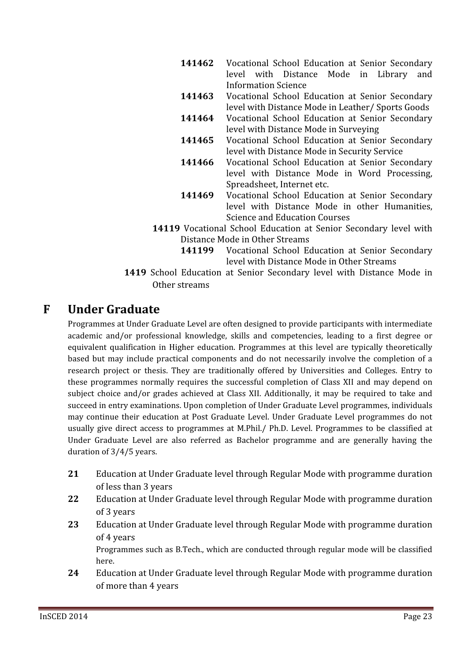- **141462** Vocational School Education at Senior Secondary level with Distance Mode in Library and **Information Science**
- **141463** Vocational School Education at Senior Secondary level with Distance Mode in Leather/ Sports Goods
- **141464** Vocational School Education at Senior Secondary level with Distance Mode in Surveying
- **141465** Vocational School Education at Senior Secondary level with Distance Mode in Security Service
- **141466** Vocational School Education at Senior Secondary level with Distance Mode in Word Processing, Spreadsheet, Internet etc.
- **141469** Vocational School Education at Senior Secondary level with Distance Mode in other Humanities, **Science and Education Courses**
- **14119** Vocational School Education at Senior Secondary level with Distance Mode in Other Streams<br>141199 Vocational School Eq
	- **Vocational School Education at Senior Secondary** level with Distance Mode in Other Streams
- 1419 School Education at Senior Secondary level with Distance Mode in Other streams

## **F Under Graduate**

Programmes at Under Graduate Level are often designed to provide participants with intermediate academic and/or professional knowledge, skills and competencies, leading to a first degree or equivalent qualification in Higher education. Programmes at this level are typically theoretically based but may include practical components and do not necessarily involve the completion of a research project or thesis. They are traditionally offered by Universities and Colleges. Entry to these programmes normally requires the successful completion of Class XII and may depend on subject choice and/or grades achieved at Class XII. Additionally, it may be required to take and succeed in entry examinations. Upon completion of Under Graduate Level programmes, individuals may continue their education at Post Graduate Level. Under Graduate Level programmes do not usually give direct access to programmes at M.Phil./ Ph.D. Level. Programmes to be classified at Under Graduate Level are also referred as Bachelor programme and are generally having the duration of  $3/4/5$  vears.

- 21 Education at Under Graduate level through Regular Mode with programme duration of less than 3 years
- 22 Education at Under Graduate level through Regular Mode with programme duration of 3 years
- 23 Education at Under Graduate level through Regular Mode with programme duration of 4 years

Programmes such as B.Tech., which are conducted through regular mode will be classified here.

24 Education at Under Graduate level through Regular Mode with programme duration of more than 4 years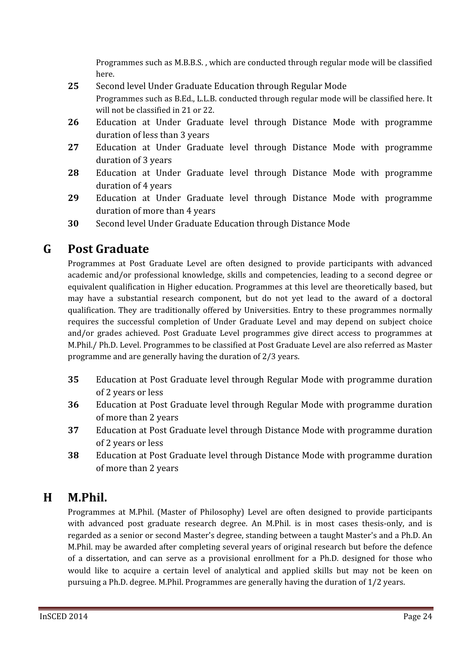Programmes such as M.B.B.S., which are conducted through regular mode will be classified here.

- 25 Second level Under Graduate Education through Regular Mode Programmes such as B.Ed., L.L.B. conducted through regular mode will be classified here. It will not be classified in 21 or 22.
- 26 Education at Under Graduate level through Distance Mode with programme duration of less than 3 years
- 27 Education at Under Graduate level through Distance Mode with programme duration of 3 years
- 28 Education at Under Graduate level through Distance Mode with programme duration of 4 years
- 29 Education at Under Graduate level through Distance Mode with programme duration of more than 4 years
- **30** Second level Under Graduate Education through Distance Mode

## **G Post Graduate**

Programmes at Post Graduate Level are often designed to provide participants with advanced academic and/or professional knowledge, skills and competencies, leading to a second degree or equivalent qualification in Higher education. Programmes at this level are theoretically based, but may have a substantial research component, but do not yet lead to the award of a doctoral qualification. They are traditionally offered by Universities. Entry to these programmes normally requires the successful completion of Under Graduate Level and may depend on subject choice and/or grades achieved. Post Graduate Level programmes give direct access to programmes at M.Phil./ Ph.D. Level. Programmes to be classified at Post Graduate Level are also referred as Master programme and are generally having the duration of 2/3 years.

- 35 Education at Post Graduate level through Regular Mode with programme duration of 2 years or less
- 36 Education at Post Graduate level through Regular Mode with programme duration of more than 2 years
- **37** Education at Post Graduate level through Distance Mode with programme duration of 2 years or less
- 38 Education at Post Graduate level through Distance Mode with programme duration of more than 2 years

## **H M.Phil.**

Programmes at M.Phil. (Master of Philosophy) Level are often designed to provide participants with advanced post graduate research degree. An M.Phil. is in most cases thesis-only, and is regarded as a senior or second Master's degree, standing between a taught Master's and a Ph.D. An M.Phil. may be awarded after completing several years of original research but before the defence of a dissertation, and can serve as a provisional enrollment for a Ph.D. designed for those who would like to acquire a certain level of analytical and applied skills but may not be keen on pursuing a Ph.D. degree. M.Phil. Programmes are generally having the duration of 1/2 years.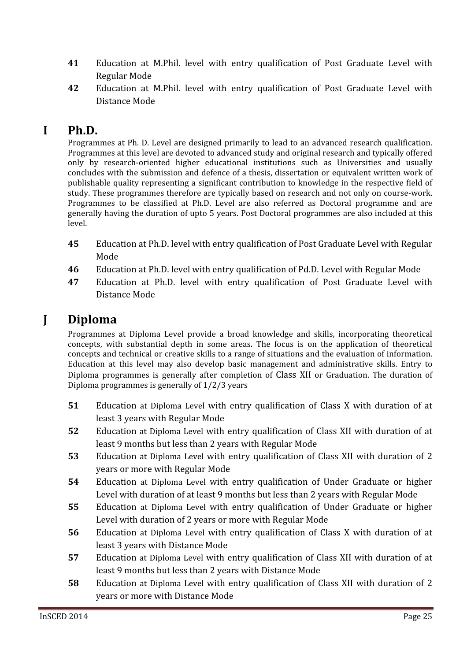- 41 Education at M.Phil. level with entry qualification of Post Graduate Level with **Regular Mode**
- 42 Education at M.Phil. level with entry qualification of Post Graduate Level with Distance Mode

## **I Ph.D.**

Programmes at Ph. D. Level are designed primarily to lead to an advanced research qualification. Programmes at this level are devoted to advanced study and original research and typically offered only by research-oriented higher educational institutions such as Universities and usually concludes with the submission and defence of a thesis, dissertation or equivalent written work of publishable quality representing a significant contribution to knowledge in the respective field of study. These programmes therefore are typically based on research and not only on course-work. Programmes to be classified at Ph.D. Level are also referred as Doctoral programme and are generally having the duration of upto 5 years. Post Doctoral programmes are also included at this level.

- 45 Education at Ph.D. level with entry qualification of Post Graduate Level with Regular Mode
- 46 Education at Ph.D. level with entry qualification of Pd.D. Level with Regular Mode
- 47 Education at Ph.D. level with entry qualification of Post Graduate Level with Distance Mode

## **J Diploma**

Programmes at Diploma Level provide a broad knowledge and skills, incorporating theoretical concepts, with substantial depth in some areas. The focus is on the application of theoretical concepts and technical or creative skills to a range of situations and the evaluation of information. Education at this level may also develop basic management and administrative skills. Entry to Diploma programmes is generally after completion of Class XII or Graduation. The duration of Diploma programmes is generally of 1/2/3 years

- 51 Education at Diploma Level with entry qualification of Class X with duration of at least 3 years with Regular Mode
- 52 Education at Diploma Level with entry qualification of Class XII with duration of at least 9 months but less than 2 years with Regular Mode
- **53** Education at Diploma Level with entry qualification of Class XII with duration of 2 vears or more with Regular Mode
- 54 Education at Diploma Level with entry qualification of Under Graduate or higher Level with duration of at least 9 months but less than 2 vears with Regular Mode
- 55 Education at Diploma Level with entry qualification of Under Graduate or higher Level with duration of 2 years or more with Regular Mode
- 56 Education at Diploma Level with entry qualification of Class X with duration of at least 3 years with Distance Mode
- 57 Education at Diploma Level with entry qualification of Class XII with duration of at least 9 months but less than 2 years with Distance Mode
- 58 Education at Diploma Level with entry qualification of Class XII with duration of 2 years or more with Distance Mode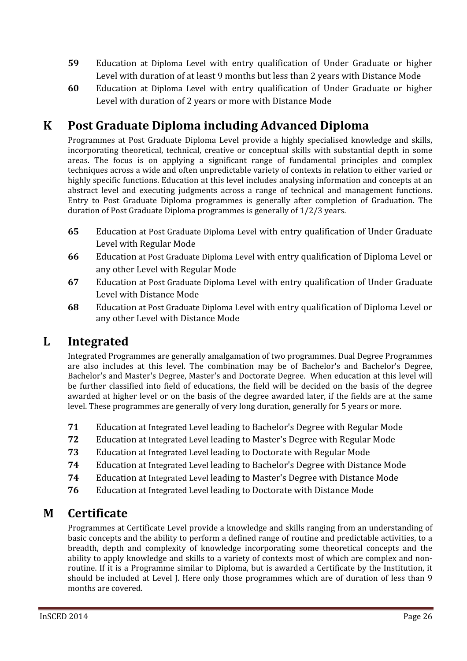- 59 Education at Diploma Level with entry qualification of Under Graduate or higher Level with duration of at least 9 months but less than 2 years with Distance Mode
- 60 Education at Diploma Level with entry qualification of Under Graduate or higher Level with duration of 2 years or more with Distance Mode

# **K Post Graduate Diploma including Advanced Diploma**

Programmes at Post Graduate Diploma Level provide a highly specialised knowledge and skills, incorporating theoretical, technical, creative or conceptual skills with substantial depth in some areas. The focus is on applying a significant range of fundamental principles and complex techniques across a wide and often unpredictable variety of contexts in relation to either varied or highly specific functions. Education at this level includes analysing information and concepts at an abstract level and executing judgments across a range of technical and management functions. Entry to Post Graduate Diploma programmes is generally after completion of Graduation. The duration of Post Graduate Diploma programmes is generally of 1/2/3 years.

- 65 Education at Post Graduate Diploma Level with entry qualification of Under Graduate Level with Regular Mode
- 66 Education at Post Graduate Diploma Level with entry qualification of Diploma Level or any other Level with Regular Mode
- 67 Education at Post Graduate Diploma Level with entry qualification of Under Graduate Level with Distance Mode
- 68 Education at Post Graduate Diploma Level with entry qualification of Diploma Level or any other Level with Distance Mode

# **L Integrated**

Integrated Programmes are generally amalgamation of two programmes. Dual Degree Programmes are also includes at this level. The combination may be of Bachelor's and Bachelor's Degree, Bachelor's and Master's Degree, Master's and Doctorate Degree. When education at this level will be further classified into field of educations, the field will be decided on the basis of the degree awarded at higher level or on the basis of the degree awarded later, if the fields are at the same level. These programmes are generally of very long duration, generally for 5 years or more.

- 71 Education at Integrated Level leading to Bachelor's Degree with Regular Mode
- 72 Education at Integrated Level leading to Master's Degree with Regular Mode
- 73 Education at Integrated Level leading to Doctorate with Regular Mode
- 74 Education at Integrated Level leading to Bachelor's Degree with Distance Mode
- 74 Education at Integrated Level leading to Master's Degree with Distance Mode
- 76 Education at Integrated Level leading to Doctorate with Distance Mode

## **M Certificate**

Programmes at Certificate Level provide a knowledge and skills ranging from an understanding of basic concepts and the ability to perform a defined range of routine and predictable activities, to a breadth, depth and complexity of knowledge incorporating some theoretical concepts and the ability to apply knowledge and skills to a variety of contexts most of which are complex and nonroutine. If it is a Programme similar to Diploma, but is awarded a Certificate by the Institution, it should be included at Level J. Here only those programmes which are of duration of less than 9 months are covered.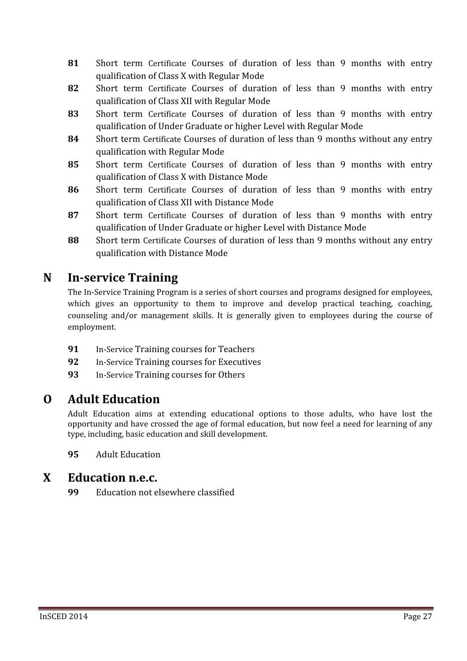- 81 Short term Certificate Courses of duration of less than 9 months with entry qualification of Class X with Regular Mode
- 82 Short term Certificate Courses of duration of less than 9 months with entry qualification of Class XII with Regular Mode
- **<sup>83</sup>** ͻ qualification of Under Graduate or higher Level with Regular Mode
- 84 Short term Certificate Courses of duration of less than 9 months without any entry qualification with Regular Mode
- 85 Short term Certificate Courses of duration of less than 9 months with entry qualification of Class X with Distance Mode
- 86 Short term Certificate Courses of duration of less than 9 months with entry qualification of Class XII with Distance Mode
- 87 Short term Certificate Courses of duration of less than 9 months with entry qualification of Under Graduate or higher Level with Distance Mode
- 88 Short term Certificate Courses of duration of less than 9 months without any entry qualification with Distance Mode

# **N InǦservice Training**

The In-Service Training Program is a series of short courses and programs designed for employees, which gives an opportunity to them to improve and develop practical teaching, coaching, counseling and/or management skills. It is generally given to employees during the course of employment.

- **91** In-Service Training courses for Teachers
- **92** In-Service Training courses for Executives
- **93** In-Service Training courses for Others

# **O Adult Education**

Adult Education aims at extending educational options to those adults, who have lost the opportunity and have crossed the age of formal education, but now feel a need for learning of any type, including, basic education and skill development.

**<sup>95</sup>**

## **X Education n.e.c.**

**99** Education not elsewhere classified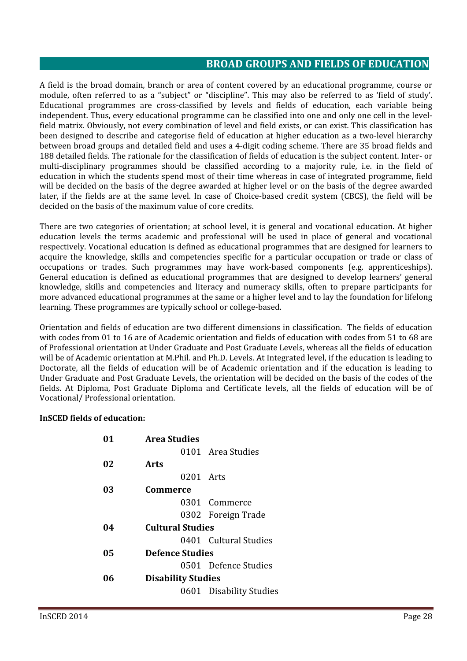## **BROAD GROUPS AND FIELDS OF EDUCATION**

A field is the broad domain, branch or area of content covered by an educational programme, course or module, often referred to as a "subject" or "discipline". This may also be referred to as 'field of study'. Educational programmes are cross-classified by levels and fields of education, each variable being independent. Thus, every educational programme can be classified into one and only one cell in the levelfield matrix. Obviously, not every combination of level and field exists, or can exist. This classification has been designed to describe and categorise field of education at higher education as a two-level hierarchy between broad groups and detailed field and uses a 4-digit coding scheme. There are 35 broad fields and 188 detailed fields. The rationale for the classification of fields of education is the subject content. Inter- or multi-disciplinary programmes should be classified according to a majority rule, i.e. in the field of education in which the students spend most of their time whereas in case of integrated programme, field will be decided on the basis of the degree awarded at higher level or on the basis of the degree awarded later, if the fields are at the same level. In case of Choice-based credit system (CBCS), the field will be decided on the basis of the maximum value of core credits

There are two categories of orientation; at school level, it is general and vocational education. At higher education levels the terms academic and professional will be used in place of general and vocational respectively. Vocational education is defined as educational programmes that are designed for learners to acquire the knowledge, skills and competencies specific for a particular occupation or trade or class of occupations or trades. Such programmes may have work-based components (e.g. apprenticeships). General education is defined as educational programmes that are designed to develop learners' general knowledge, skills and competencies and literacy and numeracy skills, often to prepare participants for more advanced educational programmes at the same or a higher level and to lay the foundation for lifelong learning. These programmes are typically school or college-based.

Orientation and fields of education are two different dimensions in classification. The fields of education with codes from 01 to 16 are of Academic orientation and fields of education with codes from 51 to 68 are of Professional orientation at Under Graduate and Post Graduate Levels, whereas all the fields of education (s will be of Academic orientation at M.Phil. and Ph.D. Levels. At Integrated level, if the education is leading to Doctorate, all the fields of education will be of Academic orientation and if the education is leading to Under Graduate and Post Graduate Levels, the orientation will be decided on the basis of the codes of the fields. At Diploma, Post Graduate Diploma and Certificate levels, all the fields of education will be of Vocational/Professional orientation.

#### **InSCED fields of education:**

| 01 | <b>Area Studies</b>       |                         |  |
|----|---------------------------|-------------------------|--|
|    |                           | 0101 Area Studies       |  |
| 02 | Arts                      |                         |  |
|    | 0201 Arts                 |                         |  |
| 03 | Commerce                  |                         |  |
|    |                           | 0301 Commerce           |  |
|    |                           | 0302 Foreign Trade      |  |
| 04 | <b>Cultural Studies</b>   |                         |  |
|    |                           | 0401 Cultural Studies   |  |
| 05 | <b>Defence Studies</b>    |                         |  |
|    |                           | 0501 Defence Studies    |  |
| በհ | <b>Disability Studies</b> |                         |  |
|    |                           | 0601 Disability Studies |  |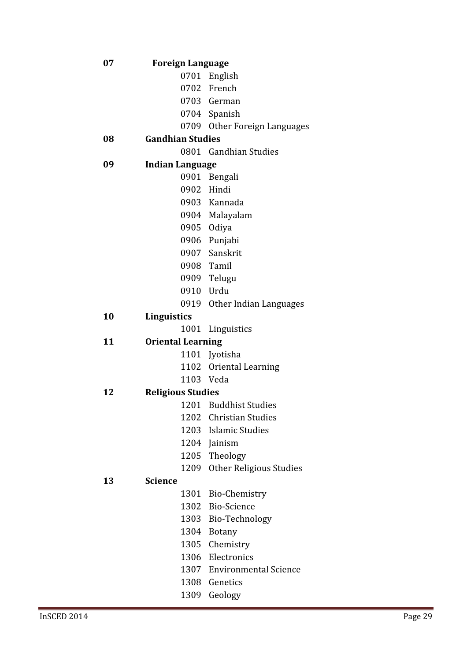| 07 | <b>Foreign Language</b>  |                                                 |
|----|--------------------------|-------------------------------------------------|
|    |                          | 0701 English                                    |
|    |                          | 0702 French                                     |
|    |                          | 0703 German                                     |
|    |                          | 0704 Spanish                                    |
|    |                          | 0709 Other Foreign Languages                    |
| 08 | <b>Gandhian Studies</b>  |                                                 |
|    |                          | 0801 Gandhian Studies                           |
| 09 | <b>Indian Language</b>   |                                                 |
|    |                          | 0901 Bengali                                    |
|    |                          | 0902 Hindi                                      |
|    |                          | 0903 Kannada                                    |
|    |                          | 0904 Malayalam                                  |
|    |                          | 0905 Odiya                                      |
|    |                          | 0906 Punjabi                                    |
|    |                          | 0907 Sanskrit                                   |
|    |                          | 0908 Tamil                                      |
|    |                          | 0909 Telugu                                     |
|    |                          | 0910 Urdu                                       |
|    |                          | 0919 Other Indian Languages                     |
| 10 | Linguistics              |                                                 |
|    |                          | 1001 Linguistics                                |
| 11 | <b>Oriental Learning</b> |                                                 |
|    |                          | 1101 Jyotisha                                   |
|    |                          | 1102 Oriental Learning                          |
|    |                          | 1103 Veda                                       |
| 12 | <b>Religious Studies</b> |                                                 |
|    |                          | 1201 Buddhist Studies<br>1202 Christian Studies |
|    |                          | 1203 Islamic Studies                            |
|    |                          | 1204 Jainism                                    |
|    |                          | 1205 Theology                                   |
|    | 1209                     | <b>Other Religious Studies</b>                  |
| 13 | <b>Science</b>           |                                                 |
|    |                          | 1301 Bio-Chemistry                              |
|    |                          | 1302 Bio-Science                                |
|    |                          | 1303 Bio-Technology                             |
|    |                          | 1304 Botany                                     |
|    |                          | 1305 Chemistry                                  |
|    |                          | 1306 Electronics                                |
|    |                          | 1307 Environmental Science                      |
|    |                          |                                                 |
|    |                          |                                                 |
|    | 1309                     | 1308 Genetics<br>Geology                        |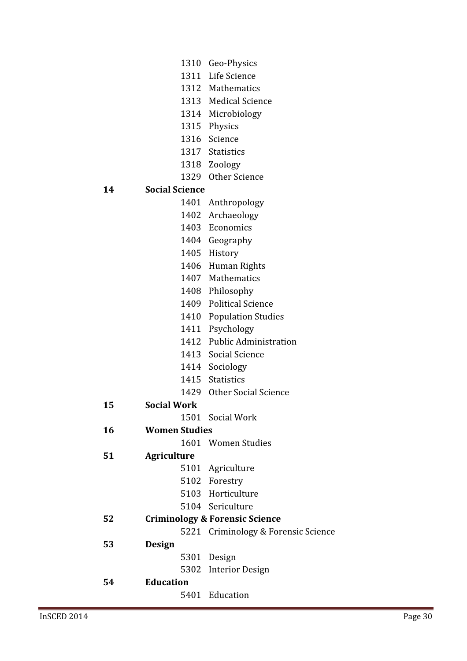- 1310 Geo-Physics
	- 1311 Life Science
	- 1312 Mathematics
	- 1313 Medical Science
	- 1314 Microbiology
	- 1315 Physics
	- 1316 Science
	- 1317 Statistics
	- 1318 Zoology
	- 1329 Other Science

#### **14 Social Science**

- 1401 Anthropology
- 1402 Archaeology
- 1403 Economics
- 1404 Geography
	- 1405 History
	- 1406 Human Rights
	- 1407 Mathematics
	- 1408 Philosophy
	- 1409 Political Science
	- 1410 Population Studies
	- 1411 Psychology
	- 1412 Public Administration
	- 1413 Social Science
	- 1414 Sociology
	- 1415 Statistics
	- 1429 Other Social Science

#### **15 Social Work**

1501 Social Work

#### **16 Women Studies**

1601 Women Studies

### **51 Agriculture**

- 5101 Agriculture
- 5102 Forestry
- 5103 Horticulture
- 5104 Sericulture

### **52 Criminology & Forensic Science**

- 5221 Criminology & Forensic Science
- **53 Design**
- 5301 Design
- 5302 Interior Design

## **54 Education**

5401 Education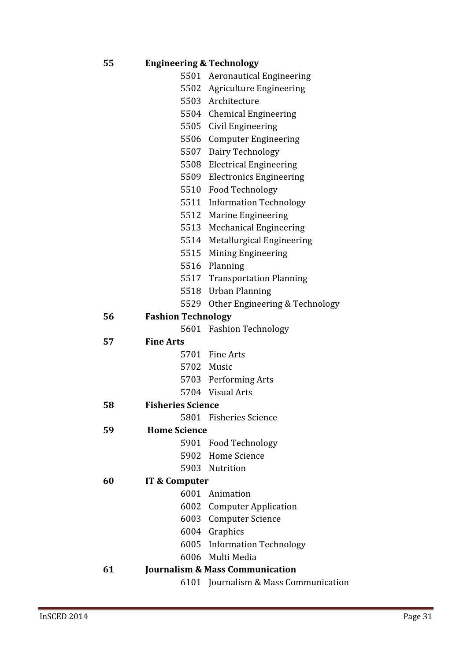| 55 | <b>Engineering &amp; Technology</b> |                                     |
|----|-------------------------------------|-------------------------------------|
|    |                                     | 5501 Aeronautical Engineering       |
|    |                                     | 5502 Agriculture Engineering        |
|    |                                     | 5503 Architecture                   |
|    |                                     | 5504 Chemical Engineering           |
|    |                                     | 5505 Civil Engineering              |
|    |                                     | 5506 Computer Engineering           |
|    |                                     | 5507 Dairy Technology               |
|    |                                     | 5508 Electrical Engineering         |
|    |                                     | 5509 Electronics Engineering        |
|    |                                     | 5510 Food Technology                |
|    |                                     | 5511 Information Technology         |
|    |                                     | 5512 Marine Engineering             |
|    |                                     | 5513 Mechanical Engineering         |
|    |                                     | 5514 Metallurgical Engineering      |
|    |                                     | 5515 Mining Engineering             |
|    |                                     | 5516 Planning                       |
|    |                                     | 5517 Transportation Planning        |
|    |                                     | 5518 Urban Planning                 |
|    |                                     | 5529 Other Engineering & Technology |
| 56 | <b>Fashion Technology</b>           |                                     |
|    |                                     | 5601 Fashion Technology             |
| 57 | <b>Fine Arts</b>                    |                                     |
|    |                                     | 5701 Fine Arts                      |
|    |                                     | 5702 Music                          |
|    |                                     | 5703 Performing Arts                |
|    |                                     | 5704 Visual Arts                    |
| 58 | <b>Fisheries Science</b>            |                                     |
|    |                                     | 5801 Fisheries Science              |
| 59 | <b>Home Science</b>                 |                                     |
|    |                                     | 5901 Food Technology                |
|    |                                     | 5902 Home Science                   |
|    |                                     | 5903 Nutrition                      |
| 60 | IT & Computer                       |                                     |
|    |                                     | 6001 Animation                      |
|    |                                     | 6002 Computer Application           |
|    |                                     | 6003 Computer Science               |
|    |                                     | 6004 Graphics                       |
|    |                                     | 6005 Information Technology         |
|    |                                     | 6006 Multi Media                    |
| 61 |                                     | Journalism & Mass Communication     |

6101 Journalism & Mass Communication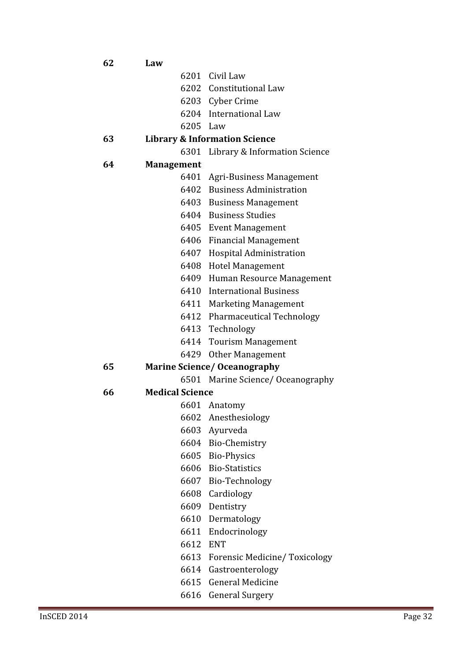| 62 | Law                    |                                          |
|----|------------------------|------------------------------------------|
|    |                        | 6201 Civil Law                           |
|    |                        | 6202 Constitutional Law                  |
|    |                        | 6203 Cyber Crime                         |
|    |                        | 6204 International Law                   |
|    | 6205 Law               |                                          |
| 63 |                        | <b>Library &amp; Information Science</b> |
|    | 6301                   | Library & Information Science            |
| 64 | <b>Management</b>      |                                          |
|    |                        | 6401 Agri-Business Management            |
|    |                        | 6402 Business Administration             |
|    |                        | 6403 Business Management                 |
|    |                        | 6404 Business Studies                    |
|    |                        | 6405 Event Management                    |
|    |                        | 6406 Financial Management                |
|    |                        | 6407 Hospital Administration             |
|    |                        | 6408 Hotel Management                    |
|    |                        | 6409 Human Resource Management           |
|    |                        | 6410 International Business              |
|    |                        | 6411 Marketing Management                |
|    |                        | 6412 Pharmaceutical Technology           |
|    |                        | 6413 Technology                          |
|    |                        | 6414 Tourism Management                  |
|    |                        | 6429 Other Management                    |
| 65 |                        | <b>Marine Science/ Oceanography</b>      |
|    |                        | 6501 Marine Science/ Oceanography        |
| 66 | <b>Medical Science</b> |                                          |
|    |                        | 6601 Anatomy                             |
|    |                        | 6602 Anesthesiology                      |
|    |                        | 6603 Ayurveda                            |
|    |                        | 6604 Bio-Chemistry                       |
|    |                        | 6605 Bio-Physics                         |
|    |                        | 6606 Bio-Statistics                      |
|    |                        | 6607 Bio-Technology                      |
|    |                        | 6608 Cardiology                          |
|    | 6609                   | Dentistry                                |
|    |                        | 6610 Dermatology                         |
|    |                        | 6611 Endocrinology                       |
|    | 6612                   | <b>ENT</b>                               |
|    |                        | 6613 Forensic Medicine/Toxicology        |
|    |                        | 6614 Gastroenterology                    |
|    | 6615                   | <b>General Medicine</b>                  |

6616 General Surgery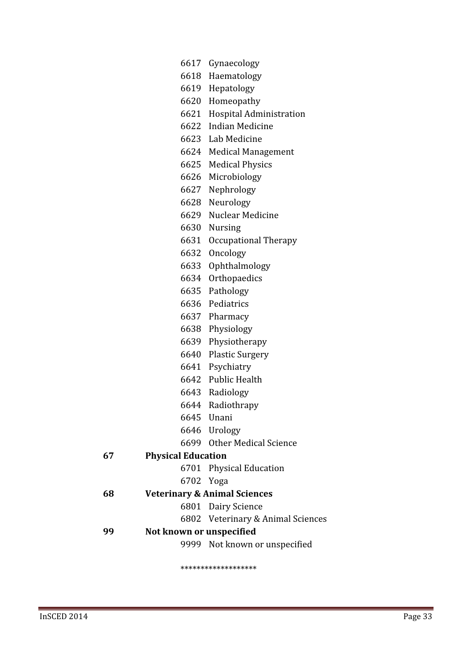|    |                           | 6617 Gynaecology                        |
|----|---------------------------|-----------------------------------------|
|    |                           | 6618 Haematology                        |
|    |                           | 6619 Hepatology                         |
|    |                           | 6620 Homeopathy                         |
|    |                           | 6621 Hospital Administration            |
|    |                           | 6622 Indian Medicine                    |
|    |                           | 6623 Lab Medicine                       |
|    |                           | 6624 Medical Management                 |
|    |                           | 6625 Medical Physics                    |
|    |                           | 6626 Microbiology                       |
|    |                           | 6627 Nephrology                         |
|    |                           | 6628 Neurology                          |
|    |                           | 6629 Nuclear Medicine                   |
|    |                           | 6630 Nursing                            |
|    |                           | 6631 Occupational Therapy               |
|    | 6632                      | Oncology                                |
|    |                           | 6633 Ophthalmology                      |
|    |                           | 6634 Orthopaedics                       |
|    |                           | 6635 Pathology                          |
|    |                           | 6636 Pediatrics                         |
|    |                           | 6637 Pharmacy                           |
|    |                           | 6638 Physiology                         |
|    |                           | 6639 Physiotherapy                      |
|    |                           | 6640 Plastic Surgery                    |
|    |                           | 6641 Psychiatry                         |
|    |                           | 6642 Public Health                      |
|    |                           | 6643 Radiology                          |
|    |                           | 6644 Radiothrapy                        |
|    |                           | 6645 Unani                              |
|    |                           | 6646 Urology                            |
|    |                           | 6699 Other Medical Science              |
| 67 | <b>Physical Education</b> |                                         |
|    |                           | 6701 Physical Education                 |
|    | 6702 Yoga                 |                                         |
| 68 |                           | <b>Veterinary &amp; Animal Sciences</b> |
|    |                           | 6801 Dairy Science                      |
|    |                           | 6802 Veterinary & Animal Sciences       |
| 99 | Not known or unspecified  |                                         |
|    |                           | 9999 Not known or unspecified           |

ȗȗȗȗȗȗȗȗȗȗȗȗȗȗȗȗȗȗȗ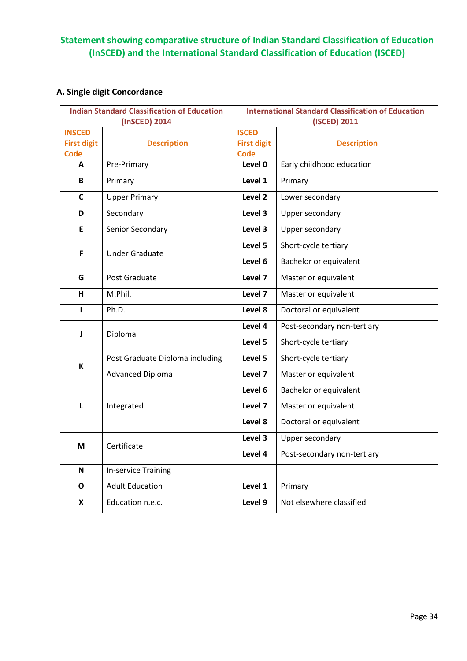## Statement showing comparative structure of Indian Standard Classification of Education (InSCED) and the International Standard Classification of Education (ISCED)

## A. Single digit Concordance

| <b>Indian Standard Classification of Education</b> |                                 | <b>International Standard Classification of Education</b> |                             |  |
|----------------------------------------------------|---------------------------------|-----------------------------------------------------------|-----------------------------|--|
|                                                    | (InSCED) 2014                   | (ISCED) 2011                                              |                             |  |
| <b>INSCED</b><br><b>First digit</b>                |                                 | <b>ISCED</b>                                              |                             |  |
| <b>Code</b>                                        | <b>Description</b>              | <b>First digit</b><br><b>Code</b>                         | <b>Description</b>          |  |
| A                                                  | Pre-Primary                     | Level 0                                                   | Early childhood education   |  |
| B                                                  | Primary                         | Level 1                                                   | Primary                     |  |
| C                                                  | <b>Upper Primary</b>            | Level 2                                                   | Lower secondary             |  |
| D                                                  | Secondary                       | Level 3                                                   | Upper secondary             |  |
| E                                                  | Senior Secondary                | Level 3                                                   | Upper secondary             |  |
| F                                                  | <b>Under Graduate</b>           | Level 5                                                   | Short-cycle tertiary        |  |
|                                                    |                                 | Level 6                                                   | Bachelor or equivalent      |  |
| G                                                  | Post Graduate                   | Level 7                                                   | Master or equivalent        |  |
| н                                                  | M.Phil.                         | Level 7                                                   | Master or equivalent        |  |
| L                                                  | Ph.D.                           | Level 8                                                   | Doctoral or equivalent      |  |
| J                                                  | Diploma                         | Level 4                                                   | Post-secondary non-tertiary |  |
|                                                    |                                 | Level 5                                                   | Short-cycle tertiary        |  |
|                                                    | Post Graduate Diploma including | Level 5                                                   | Short-cycle tertiary        |  |
| К                                                  | <b>Advanced Diploma</b>         | Level 7                                                   | Master or equivalent        |  |
|                                                    |                                 | Level 6                                                   | Bachelor or equivalent      |  |
| L                                                  | Integrated                      | Level 7                                                   | Master or equivalent        |  |
|                                                    |                                 | Level 8                                                   | Doctoral or equivalent      |  |
| M                                                  | Certificate                     | Level 3                                                   | Upper secondary             |  |
|                                                    |                                 | Level 4                                                   | Post-secondary non-tertiary |  |
| N                                                  | <b>In-service Training</b>      |                                                           |                             |  |
| O                                                  | <b>Adult Education</b>          | Level 1                                                   | Primary                     |  |
| X                                                  | Education n.e.c.                | Level 9                                                   | Not elsewhere classified    |  |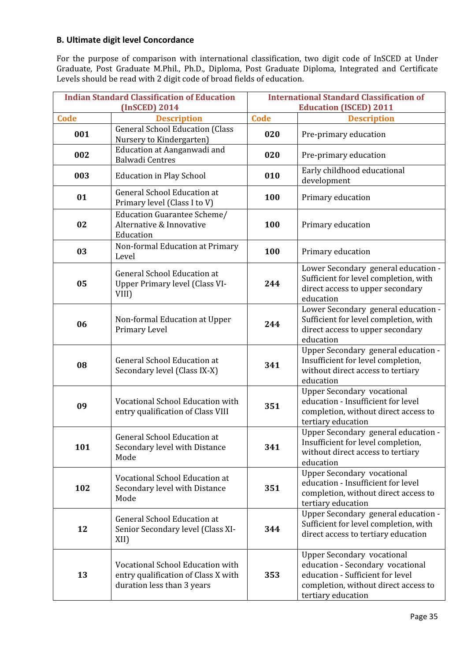#### B. Ultimate digit level Concordance

For the purpose of comparison with international classification, two digit code of InSCED at Under Graduate, Post Graduate M.Phil., Ph.D., Diploma, Post Graduate Diploma, Integrated and Certificate Levels should be read with 2 digit code of broad fields of education.

| <b>Indian Standard Classification of Education</b><br>(InSCED) 2014 |                                                                                                       | <b>International Standard Classification of</b><br><b>Education (ISCED) 2011</b> |                                                                                                                                                                         |
|---------------------------------------------------------------------|-------------------------------------------------------------------------------------------------------|----------------------------------------------------------------------------------|-------------------------------------------------------------------------------------------------------------------------------------------------------------------------|
| Code                                                                | <b>Description</b>                                                                                    | <b>Code</b>                                                                      | <b>Description</b>                                                                                                                                                      |
| 001                                                                 | <b>General School Education (Class</b><br>Nursery to Kindergarten)                                    | 020                                                                              | Pre-primary education                                                                                                                                                   |
| 002                                                                 | Education at Aanganwadi and<br><b>Balwadi Centres</b>                                                 | 020                                                                              | Pre-primary education                                                                                                                                                   |
| 003                                                                 | <b>Education in Play School</b>                                                                       | 010                                                                              | Early childhood educational<br>development                                                                                                                              |
| 01                                                                  | <b>General School Education at</b><br>Primary level (Class I to V)                                    | 100                                                                              | Primary education                                                                                                                                                       |
| 02                                                                  | Education Guarantee Scheme/<br>Alternative & Innovative<br>Education                                  | 100                                                                              | Primary education                                                                                                                                                       |
| 03                                                                  | Non-formal Education at Primary<br>Level                                                              | 100                                                                              | Primary education                                                                                                                                                       |
| 05                                                                  | <b>General School Education at</b><br><b>Upper Primary level (Class VI-</b><br>VIII)                  | 244                                                                              | Lower Secondary general education -<br>Sufficient for level completion, with<br>direct access to upper secondary<br>education                                           |
| 06                                                                  | Non-formal Education at Upper<br>Primary Level                                                        | 244                                                                              | Lower Secondary general education -<br>Sufficient for level completion, with<br>direct access to upper secondary<br>education                                           |
| 08                                                                  | <b>General School Education at</b><br>Secondary level (Class IX-X)                                    | 341                                                                              | Upper Secondary general education -<br>Insufficient for level completion,<br>without direct access to tertiary<br>education                                             |
| 09                                                                  | Vocational School Education with<br>entry qualification of Class VIII                                 | 351                                                                              | <b>Upper Secondary vocational</b><br>education - Insufficient for level<br>completion, without direct access to<br>tertiary education                                   |
| 101                                                                 | <b>General School Education at</b><br>Secondary level with Distance<br>Mode                           | 341                                                                              | Upper Secondary general education -<br>Insufficient for level completion,<br>without direct access to tertiary<br>education                                             |
| 102                                                                 | Vocational School Education at<br>Secondary level with Distance<br>Mode                               | 351                                                                              | <b>Upper Secondary vocational</b><br>education - Insufficient for level<br>completion, without direct access to<br>tertiary education                                   |
| 12                                                                  | <b>General School Education at</b><br>Senior Secondary level (Class XI-<br>XII)                       | 344                                                                              | Upper Secondary general education -<br>Sufficient for level completion, with<br>direct access to tertiary education                                                     |
| 13                                                                  | Vocational School Education with<br>entry qualification of Class X with<br>duration less than 3 years | 353                                                                              | <b>Upper Secondary vocational</b><br>education - Secondary vocational<br>education - Sufficient for level<br>completion, without direct access to<br>tertiary education |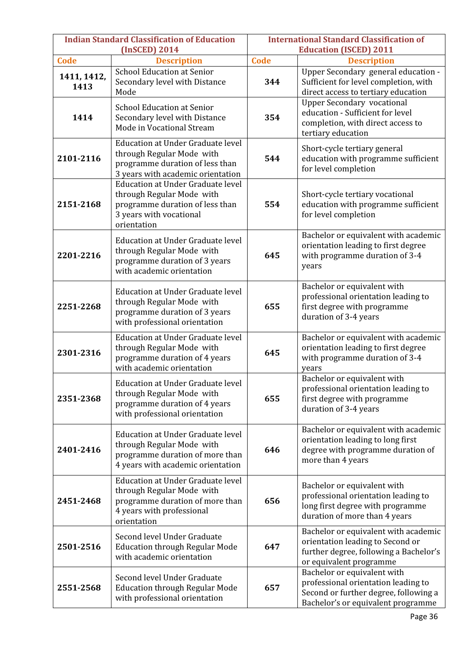| <b>Indian Standard Classification of Education</b><br>(InSCED) 2014 |                                                                                                                                                    | <b>International Standard Classification of</b><br><b>Education (ISCED) 2011</b> |                                                                                                                                                   |
|---------------------------------------------------------------------|----------------------------------------------------------------------------------------------------------------------------------------------------|----------------------------------------------------------------------------------|---------------------------------------------------------------------------------------------------------------------------------------------------|
| <b>Code</b>                                                         | <b>Description</b>                                                                                                                                 | <b>Code</b>                                                                      | <b>Description</b>                                                                                                                                |
| 1411, 1412,<br>1413                                                 | <b>School Education at Senior</b><br>Secondary level with Distance<br>Mode                                                                         | 344                                                                              | Upper Secondary general education -<br>Sufficient for level completion, with<br>direct access to tertiary education                               |
| 1414                                                                | <b>School Education at Senior</b><br>Secondary level with Distance<br>Mode in Vocational Stream                                                    | 354                                                                              | <b>Upper Secondary vocational</b><br>education - Sufficient for level<br>completion, with direct access to<br>tertiary education                  |
| 2101-2116                                                           | <b>Education at Under Graduate level</b><br>through Regular Mode with<br>programme duration of less than<br>3 years with academic orientation      | 544                                                                              | Short-cycle tertiary general<br>education with programme sufficient<br>for level completion                                                       |
| 2151-2168                                                           | <b>Education at Under Graduate level</b><br>through Regular Mode with<br>programme duration of less than<br>3 years with vocational<br>orientation | 554                                                                              | Short-cycle tertiary vocational<br>education with programme sufficient<br>for level completion                                                    |
| 2201-2216                                                           | <b>Education at Under Graduate level</b><br>through Regular Mode with<br>programme duration of 3 years<br>with academic orientation                | 645                                                                              | Bachelor or equivalent with academic<br>orientation leading to first degree<br>with programme duration of 3-4<br>years                            |
| 2251-2268                                                           | Education at Under Graduate level<br>through Regular Mode with<br>programme duration of 3 years<br>with professional orientation                   | 655                                                                              | Bachelor or equivalent with<br>professional orientation leading to<br>first degree with programme<br>duration of 3-4 years                        |
| 2301-2316                                                           | Education at Under Graduate level<br>through Regular Mode with<br>programme duration of 4 years<br>with academic orientation                       | 645                                                                              | Bachelor or equivalent with academic<br>orientation leading to first degree<br>with programme duration of 3-4<br>years                            |
| 2351-2368                                                           | <b>Education at Under Graduate level</b><br>through Regular Mode with<br>programme duration of 4 years<br>with professional orientation            | 655                                                                              | Bachelor or equivalent with<br>professional orientation leading to<br>first degree with programme<br>duration of 3-4 years                        |
| 2401-2416                                                           | <b>Education at Under Graduate level</b><br>through Regular Mode with<br>programme duration of more than<br>4 years with academic orientation      | 646                                                                              | Bachelor or equivalent with academic<br>orientation leading to long first<br>degree with programme duration of<br>more than 4 years               |
| 2451-2468                                                           | Education at Under Graduate level<br>through Regular Mode with<br>programme duration of more than<br>4 years with professional<br>orientation      | 656                                                                              | Bachelor or equivalent with<br>professional orientation leading to<br>long first degree with programme<br>duration of more than 4 years           |
| 2501-2516                                                           | Second level Under Graduate<br><b>Education through Regular Mode</b><br>with academic orientation                                                  | 647                                                                              | Bachelor or equivalent with academic<br>orientation leading to Second or<br>further degree, following a Bachelor's<br>or equivalent programme     |
| 2551-2568                                                           | Second level Under Graduate<br><b>Education through Regular Mode</b><br>with professional orientation                                              | 657                                                                              | Bachelor or equivalent with<br>professional orientation leading to<br>Second or further degree, following a<br>Bachelor's or equivalent programme |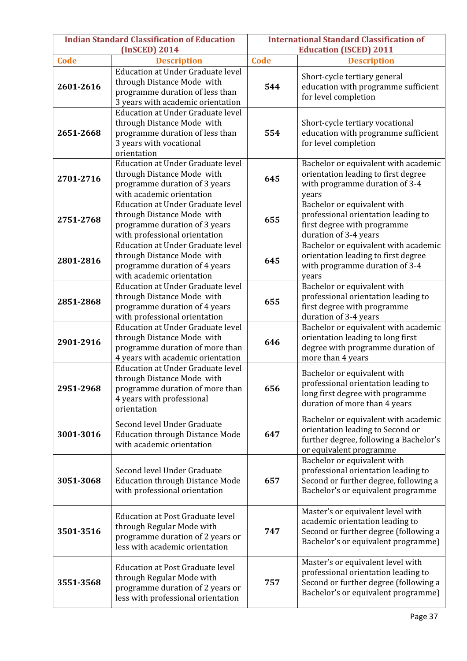| <b>Indian Standard Classification of Education</b> |                                                                                                                                                                      | <b>International Standard Classification of</b><br><b>Education (ISCED) 2011</b> |                                                                                                                                                          |  |
|----------------------------------------------------|----------------------------------------------------------------------------------------------------------------------------------------------------------------------|----------------------------------------------------------------------------------|----------------------------------------------------------------------------------------------------------------------------------------------------------|--|
| <b>Code</b>                                        | (InSCED) 2014                                                                                                                                                        |                                                                                  | <b>Description</b>                                                                                                                                       |  |
| 2601-2616                                          | <b>Description</b><br><b>Education at Under Graduate level</b><br>through Distance Mode with<br>programme duration of less than<br>3 years with academic orientation | Code<br>544                                                                      | Short-cycle tertiary general<br>education with programme sufficient<br>for level completion                                                              |  |
| 2651-2668                                          | <b>Education at Under Graduate level</b><br>through Distance Mode with<br>programme duration of less than<br>3 years with vocational<br>orientation                  | 554                                                                              | Short-cycle tertiary vocational<br>education with programme sufficient<br>for level completion                                                           |  |
| 2701-2716                                          | <b>Education at Under Graduate level</b><br>through Distance Mode with<br>programme duration of 3 years<br>with academic orientation                                 | 645                                                                              | Bachelor or equivalent with academic<br>orientation leading to first degree<br>with programme duration of 3-4<br>years                                   |  |
| 2751-2768                                          | Education at Under Graduate level<br>through Distance Mode with<br>programme duration of 3 years<br>with professional orientation                                    | 655                                                                              | Bachelor or equivalent with<br>professional orientation leading to<br>first degree with programme<br>duration of 3-4 years                               |  |
| 2801-2816                                          | <b>Education at Under Graduate level</b><br>through Distance Mode with<br>programme duration of 4 years<br>with academic orientation                                 | 645                                                                              | Bachelor or equivalent with academic<br>orientation leading to first degree<br>with programme duration of 3-4<br>years                                   |  |
| 2851-2868                                          | <b>Education at Under Graduate level</b><br>through Distance Mode with<br>programme duration of 4 years<br>with professional orientation                             | 655                                                                              | Bachelor or equivalent with<br>professional orientation leading to<br>first degree with programme<br>duration of 3-4 years                               |  |
| 2901-2916                                          | <b>Education at Under Graduate level</b><br>through Distance Mode with<br>programme duration of more than<br>4 years with academic orientation                       | 646                                                                              | Bachelor or equivalent with academic<br>orientation leading to long first<br>degree with programme duration of<br>more than 4 years                      |  |
| 2951-2968                                          | <b>Education at Under Graduate level</b><br>through Distance Mode with<br>programme duration of more than<br>4 years with professional<br>orientation                | 656                                                                              | Bachelor or equivalent with<br>professional orientation leading to<br>long first degree with programme<br>duration of more than 4 years                  |  |
| 3001-3016                                          | Second level Under Graduate<br><b>Education through Distance Mode</b><br>with academic orientation                                                                   | 647                                                                              | Bachelor or equivalent with academic<br>orientation leading to Second or<br>further degree, following a Bachelor's<br>or equivalent programme            |  |
| 3051-3068                                          | Second level Under Graduate<br><b>Education through Distance Mode</b><br>with professional orientation                                                               | 657                                                                              | Bachelor or equivalent with<br>professional orientation leading to<br>Second or further degree, following a<br>Bachelor's or equivalent programme        |  |
| 3501-3516                                          | <b>Education at Post Graduate level</b><br>through Regular Mode with<br>programme duration of 2 years or<br>less with academic orientation                           | 747                                                                              | Master's or equivalent level with<br>academic orientation leading to<br>Second or further degree (following a<br>Bachelor's or equivalent programme)     |  |
| 3551-3568                                          | Education at Post Graduate level<br>through Regular Mode with<br>programme duration of 2 years or<br>less with professional orientation                              | 757                                                                              | Master's or equivalent level with<br>professional orientation leading to<br>Second or further degree (following a<br>Bachelor's or equivalent programme) |  |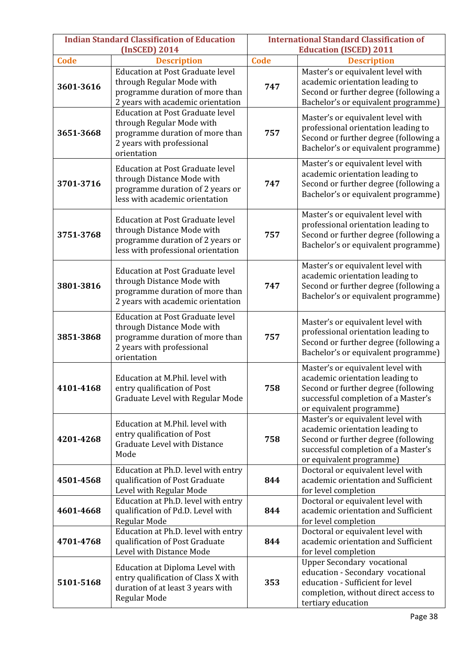| <b>Indian Standard Classification of Education</b><br>(InSCED) 2014 |                                                                                                                                                      | <b>International Standard Classification of</b><br><b>Education (ISCED) 2011</b> |                                                                                                                                                                                |
|---------------------------------------------------------------------|------------------------------------------------------------------------------------------------------------------------------------------------------|----------------------------------------------------------------------------------|--------------------------------------------------------------------------------------------------------------------------------------------------------------------------------|
| Code                                                                | <b>Description</b>                                                                                                                                   |                                                                                  | <b>Description</b>                                                                                                                                                             |
| 3601-3616                                                           | <b>Education at Post Graduate level</b><br>through Regular Mode with<br>programme duration of more than<br>2 years with academic orientation         | <b>Code</b><br>747                                                               | Master's or equivalent level with<br>academic orientation leading to<br>Second or further degree (following a<br>Bachelor's or equivalent programme)                           |
| 3651-3668                                                           | <b>Education at Post Graduate level</b><br>through Regular Mode with<br>programme duration of more than<br>2 years with professional<br>orientation  | 757                                                                              | Master's or equivalent level with<br>professional orientation leading to<br>Second or further degree (following a<br>Bachelor's or equivalent programme)                       |
| 3701-3716                                                           | <b>Education at Post Graduate level</b><br>through Distance Mode with<br>programme duration of 2 years or<br>less with academic orientation          | 747                                                                              | Master's or equivalent level with<br>academic orientation leading to<br>Second or further degree (following a<br>Bachelor's or equivalent programme)                           |
| 3751-3768                                                           | <b>Education at Post Graduate level</b><br>through Distance Mode with<br>programme duration of 2 years or<br>less with professional orientation      | 757                                                                              | Master's or equivalent level with<br>professional orientation leading to<br>Second or further degree (following a<br>Bachelor's or equivalent programme)                       |
| 3801-3816                                                           | <b>Education at Post Graduate level</b><br>through Distance Mode with<br>programme duration of more than<br>2 years with academic orientation        | 747                                                                              | Master's or equivalent level with<br>academic orientation leading to<br>Second or further degree (following a<br>Bachelor's or equivalent programme)                           |
| 3851-3868                                                           | <b>Education at Post Graduate level</b><br>through Distance Mode with<br>programme duration of more than<br>2 years with professional<br>orientation | 757                                                                              | Master's or equivalent level with<br>professional orientation leading to<br>Second or further degree (following a<br>Bachelor's or equivalent programme)                       |
| 4101-4168                                                           | Education at M.Phil. level with<br>entry qualification of Post<br>Graduate Level with Regular Mode                                                   | 758                                                                              | Master's or equivalent level with<br>academic orientation leading to<br>Second or further degree (following<br>successful completion of a Master's<br>or equivalent programme) |
| 4201-4268                                                           | Education at M.Phil. level with<br>entry qualification of Post<br><b>Graduate Level with Distance</b><br>Mode                                        | 758                                                                              | Master's or equivalent level with<br>academic orientation leading to<br>Second or further degree (following<br>successful completion of a Master's<br>or equivalent programme) |
| 4501-4568                                                           | Education at Ph.D. level with entry<br>qualification of Post Graduate<br>Level with Regular Mode                                                     | 844                                                                              | Doctoral or equivalent level with<br>academic orientation and Sufficient<br>for level completion                                                                               |
| 4601-4668                                                           | Education at Ph.D. level with entry<br>qualification of Pd.D. Level with<br>Regular Mode                                                             | 844                                                                              | Doctoral or equivalent level with<br>academic orientation and Sufficient<br>for level completion                                                                               |
| 4701-4768                                                           | Education at Ph.D. level with entry<br>qualification of Post Graduate<br>Level with Distance Mode                                                    | 844                                                                              | Doctoral or equivalent level with<br>academic orientation and Sufficient<br>for level completion                                                                               |
| 5101-5168                                                           | Education at Diploma Level with<br>entry qualification of Class X with<br>duration of at least 3 years with<br>Regular Mode                          | 353                                                                              | <b>Upper Secondary vocational</b><br>education - Secondary vocational<br>education - Sufficient for level<br>completion, without direct access to<br>tertiary education        |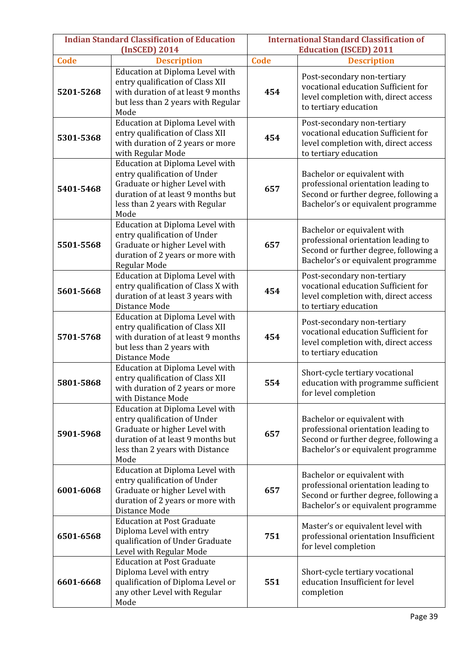| <b>Indian Standard Classification of Education</b><br>(InSCED) 2014 |                                                                                                                                                                                  | <b>International Standard Classification of</b><br><b>Education (ISCED) 2011</b> |                                                                                                                                                   |
|---------------------------------------------------------------------|----------------------------------------------------------------------------------------------------------------------------------------------------------------------------------|----------------------------------------------------------------------------------|---------------------------------------------------------------------------------------------------------------------------------------------------|
| <b>Code</b>                                                         | <b>Description</b>                                                                                                                                                               |                                                                                  | <b>Description</b>                                                                                                                                |
| 5201-5268                                                           | Education at Diploma Level with<br>entry qualification of Class XII<br>with duration of at least 9 months<br>but less than 2 years with Regular<br>Mode                          | <b>Code</b><br>454                                                               | Post-secondary non-tertiary<br>vocational education Sufficient for<br>level completion with, direct access<br>to tertiary education               |
| 5301-5368                                                           | <b>Education at Diploma Level with</b><br>entry qualification of Class XII<br>with duration of 2 years or more<br>with Regular Mode                                              | 454                                                                              | Post-secondary non-tertiary<br>vocational education Sufficient for<br>level completion with, direct access<br>to tertiary education               |
| 5401-5468                                                           | Education at Diploma Level with<br>entry qualification of Under<br>Graduate or higher Level with<br>duration of at least 9 months but<br>less than 2 years with Regular<br>Mode  | 657                                                                              | Bachelor or equivalent with<br>professional orientation leading to<br>Second or further degree, following a<br>Bachelor's or equivalent programme |
| 5501-5568                                                           | Education at Diploma Level with<br>entry qualification of Under<br>Graduate or higher Level with<br>duration of 2 years or more with<br>Regular Mode                             | 657                                                                              | Bachelor or equivalent with<br>professional orientation leading to<br>Second or further degree, following a<br>Bachelor's or equivalent programme |
| 5601-5668                                                           | Education at Diploma Level with<br>entry qualification of Class X with<br>duration of at least 3 years with<br>Distance Mode                                                     | 454                                                                              | Post-secondary non-tertiary<br>vocational education Sufficient for<br>level completion with, direct access<br>to tertiary education               |
| 5701-5768                                                           | Education at Diploma Level with<br>entry qualification of Class XII<br>with duration of at least 9 months<br>but less than 2 years with<br>Distance Mode                         | 454                                                                              | Post-secondary non-tertiary<br>vocational education Sufficient for<br>level completion with, direct access<br>to tertiary education               |
| 5801-5868                                                           | Education at Diploma Level with<br>entry qualification of Class XII<br>with duration of 2 years or more<br>with Distance Mode                                                    | 554                                                                              | Short-cycle tertiary vocational<br>education with programme sufficient<br>for level completion                                                    |
| 5901-5968                                                           | Education at Diploma Level with<br>entry qualification of Under<br>Graduate or higher Level with<br>duration of at least 9 months but<br>less than 2 years with Distance<br>Mode | 657                                                                              | Bachelor or equivalent with<br>professional orientation leading to<br>Second or further degree, following a<br>Bachelor's or equivalent programme |
| 6001-6068                                                           | Education at Diploma Level with<br>entry qualification of Under<br>Graduate or higher Level with<br>duration of 2 years or more with<br>Distance Mode                            | 657                                                                              | Bachelor or equivalent with<br>professional orientation leading to<br>Second or further degree, following a<br>Bachelor's or equivalent programme |
| 6501-6568                                                           | <b>Education at Post Graduate</b><br>Diploma Level with entry<br>qualification of Under Graduate<br>Level with Regular Mode                                                      | 751                                                                              | Master's or equivalent level with<br>professional orientation Insufficient<br>for level completion                                                |
| 6601-6668                                                           | <b>Education at Post Graduate</b><br>Diploma Level with entry<br>qualification of Diploma Level or<br>any other Level with Regular<br>Mode                                       | 551                                                                              | Short-cycle tertiary vocational<br>education Insufficient for level<br>completion                                                                 |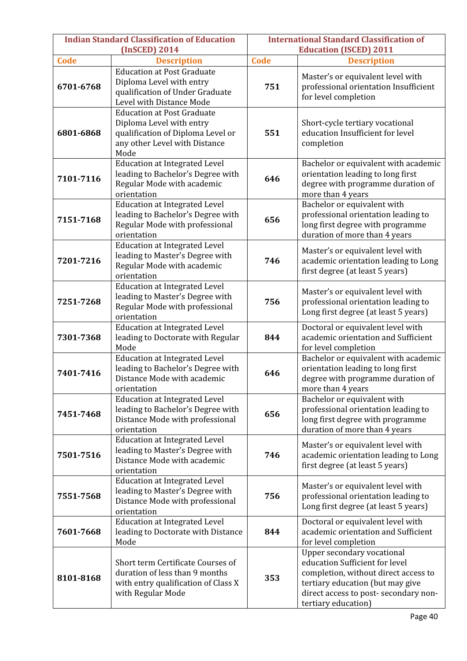| <b>Indian Standard Classification of Education</b><br>(InSCED) 2014 |                                                                                                                                             | <b>International Standard Classification of</b><br><b>Education (ISCED) 2011</b> |                                                                                                                                                                                                          |
|---------------------------------------------------------------------|---------------------------------------------------------------------------------------------------------------------------------------------|----------------------------------------------------------------------------------|----------------------------------------------------------------------------------------------------------------------------------------------------------------------------------------------------------|
| <b>Code</b>                                                         | <b>Description</b>                                                                                                                          | <b>Code</b>                                                                      | <b>Description</b>                                                                                                                                                                                       |
| 6701-6768                                                           | <b>Education at Post Graduate</b><br>Diploma Level with entry<br>qualification of Under Graduate<br>Level with Distance Mode                | 751                                                                              | Master's or equivalent level with<br>professional orientation Insufficient<br>for level completion                                                                                                       |
| 6801-6868                                                           | <b>Education at Post Graduate</b><br>Diploma Level with entry<br>qualification of Diploma Level or<br>any other Level with Distance<br>Mode | 551                                                                              | Short-cycle tertiary vocational<br>education Insufficient for level<br>completion                                                                                                                        |
| 7101-7116                                                           | <b>Education at Integrated Level</b><br>leading to Bachelor's Degree with<br>Regular Mode with academic<br>orientation                      | 646                                                                              | Bachelor or equivalent with academic<br>orientation leading to long first<br>degree with programme duration of<br>more than 4 years                                                                      |
| 7151-7168                                                           | <b>Education at Integrated Level</b><br>leading to Bachelor's Degree with<br>Regular Mode with professional<br>orientation                  | 656                                                                              | Bachelor or equivalent with<br>professional orientation leading to<br>long first degree with programme<br>duration of more than 4 years                                                                  |
| 7201-7216                                                           | <b>Education at Integrated Level</b><br>leading to Master's Degree with<br>Regular Mode with academic<br>orientation                        | 746                                                                              | Master's or equivalent level with<br>academic orientation leading to Long<br>first degree (at least 5 years)                                                                                             |
| 7251-7268                                                           | <b>Education at Integrated Level</b><br>leading to Master's Degree with<br>Regular Mode with professional<br>orientation                    | 756                                                                              | Master's or equivalent level with<br>professional orientation leading to<br>Long first degree (at least 5 years)                                                                                         |
| 7301-7368                                                           | <b>Education at Integrated Level</b><br>leading to Doctorate with Regular<br>Mode                                                           | 844                                                                              | Doctoral or equivalent level with<br>academic orientation and Sufficient<br>for level completion                                                                                                         |
| 7401-7416                                                           | <b>Education at Integrated Level</b><br>leading to Bachelor's Degree with<br>Distance Mode with academic<br>orientation                     | 646                                                                              | Bachelor or equivalent with academic<br>orientation leading to long first<br>degree with programme duration of<br>more than 4 years                                                                      |
| 7451-7468                                                           | <b>Education at Integrated Level</b><br>leading to Bachelor's Degree with<br>Distance Mode with professional<br>orientation                 | 656                                                                              | Bachelor or equivalent with<br>professional orientation leading to<br>long first degree with programme<br>duration of more than 4 years                                                                  |
| 7501-7516                                                           | <b>Education at Integrated Level</b><br>leading to Master's Degree with<br>Distance Mode with academic<br>orientation                       | 746                                                                              | Master's or equivalent level with<br>academic orientation leading to Long<br>first degree (at least 5 years)                                                                                             |
| 7551-7568                                                           | <b>Education at Integrated Level</b><br>leading to Master's Degree with<br>Distance Mode with professional<br>orientation                   | 756                                                                              | Master's or equivalent level with<br>professional orientation leading to<br>Long first degree (at least 5 years)                                                                                         |
| 7601-7668                                                           | <b>Education at Integrated Level</b><br>leading to Doctorate with Distance<br>Mode                                                          | 844                                                                              | Doctoral or equivalent level with<br>academic orientation and Sufficient<br>for level completion                                                                                                         |
| 8101-8168                                                           | Short term Certificate Courses of<br>duration of less than 9 months<br>with entry qualification of Class X<br>with Regular Mode             | 353                                                                              | Upper secondary vocational<br>education Sufficient for level<br>completion, without direct access to<br>tertiary education (but may give<br>direct access to post- secondary non-<br>tertiary education) |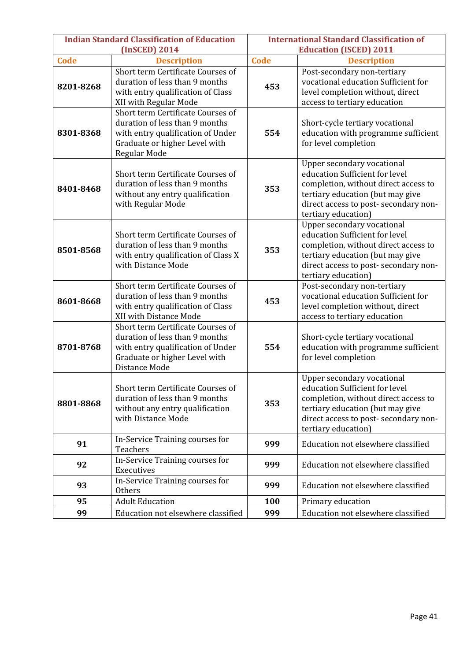| <b>Indian Standard Classification of Education</b> |                                                                                                                                                            | <b>International Standard Classification of</b> |                                                                                                                                                                                                                |  |
|----------------------------------------------------|------------------------------------------------------------------------------------------------------------------------------------------------------------|-------------------------------------------------|----------------------------------------------------------------------------------------------------------------------------------------------------------------------------------------------------------------|--|
|                                                    | (InSCED) 2014                                                                                                                                              | <b>Education (ISCED) 2011</b>                   |                                                                                                                                                                                                                |  |
| <b>Code</b>                                        | <b>Description</b>                                                                                                                                         | <b>Code</b>                                     | <b>Description</b>                                                                                                                                                                                             |  |
| 8201-8268                                          | Short term Certificate Courses of<br>duration of less than 9 months<br>with entry qualification of Class<br>XII with Regular Mode                          | 453                                             | Post-secondary non-tertiary<br>vocational education Sufficient for<br>level completion without, direct<br>access to tertiary education                                                                         |  |
| 8301-8368                                          | Short term Certificate Courses of<br>duration of less than 9 months<br>with entry qualification of Under<br>Graduate or higher Level with<br>Regular Mode  | 554                                             | Short-cycle tertiary vocational<br>education with programme sufficient<br>for level completion                                                                                                                 |  |
| 8401-8468                                          | Short term Certificate Courses of<br>duration of less than 9 months<br>without any entry qualification<br>with Regular Mode                                | 353                                             | Upper secondary vocational<br>education Sufficient for level<br>completion, without direct access to<br>tertiary education (but may give<br>direct access to post- secondary non-<br>tertiary education)       |  |
| 8501-8568                                          | Short term Certificate Courses of<br>duration of less than 9 months<br>with entry qualification of Class X<br>with Distance Mode                           | 353                                             | Upper secondary vocational<br>education Sufficient for level<br>completion, without direct access to<br>tertiary education (but may give<br>direct access to post- secondary non-<br>tertiary education)       |  |
| 8601-8668                                          | Short term Certificate Courses of<br>duration of less than 9 months<br>with entry qualification of Class<br>XII with Distance Mode                         | 453                                             | Post-secondary non-tertiary<br>vocational education Sufficient for<br>level completion without, direct<br>access to tertiary education                                                                         |  |
| 8701-8768                                          | Short term Certificate Courses of<br>duration of less than 9 months<br>with entry qualification of Under<br>Graduate or higher Level with<br>Distance Mode | 554                                             | Short-cycle tertiary vocational<br>education with programme sufficient<br>for level completion                                                                                                                 |  |
| 8801-8868                                          | Short term Certificate Courses of<br>duration of less than 9 months<br>without any entry qualification<br>with Distance Mode                               |                                                 | <b>Upper secondary vocational</b><br>education Sufficient for level<br>completion, without direct access to<br>tertiary education (but may give<br>direct access to post-secondary non-<br>tertiary education) |  |
| 91                                                 | In-Service Training courses for<br>Teachers                                                                                                                |                                                 | Education not elsewhere classified                                                                                                                                                                             |  |
| 92                                                 | In-Service Training courses for<br>Executives                                                                                                              | 999                                             | Education not elsewhere classified                                                                                                                                                                             |  |
| 93                                                 | In-Service Training courses for<br>Others                                                                                                                  | 999                                             | Education not elsewhere classified                                                                                                                                                                             |  |
| 95                                                 | <b>Adult Education</b>                                                                                                                                     | 100                                             | Primary education                                                                                                                                                                                              |  |
| 99                                                 | Education not elsewhere classified                                                                                                                         | 999                                             | Education not elsewhere classified                                                                                                                                                                             |  |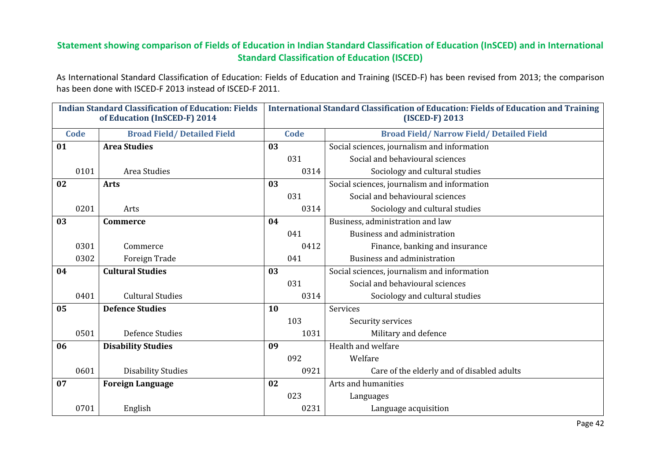### Statement showing comparison of Fields of Education in Indian Standard Classification of Education (InSCED) and in International Standard Classification of Education (ISCED)

As International Standard Classification of Education: Fields of Education and Training (ISCED-F) has been revised from 2013; the comparison has been done with ISCED-F 2013 instead of ISCED-F 2011.

| <b>Indian Standard Classification of Education: Fields</b><br>of Education (InSCED-F) 2014 |                                   | <b>International Standard Classification of Education: Fields of Education and Training</b><br>(ISCED-F) 2013 |             |                                                  |  |
|--------------------------------------------------------------------------------------------|-----------------------------------|---------------------------------------------------------------------------------------------------------------|-------------|--------------------------------------------------|--|
| <b>Code</b>                                                                                | <b>Broad Field/Detailed Field</b> |                                                                                                               | <b>Code</b> | <b>Broad Field/ Narrow Field/ Detailed Field</b> |  |
| 01                                                                                         | <b>Area Studies</b>               | 03                                                                                                            |             | Social sciences, journalism and information      |  |
|                                                                                            |                                   |                                                                                                               | 031         | Social and behavioural sciences                  |  |
| 0101                                                                                       | Area Studies                      |                                                                                                               | 0314        | Sociology and cultural studies                   |  |
| 02                                                                                         | <b>Arts</b>                       | 03                                                                                                            |             | Social sciences, journalism and information      |  |
|                                                                                            |                                   |                                                                                                               | 031         | Social and behavioural sciences                  |  |
| 0201                                                                                       | Arts                              |                                                                                                               | 0314        | Sociology and cultural studies                   |  |
| 03                                                                                         | <b>Commerce</b>                   | 04                                                                                                            |             | Business, administration and law                 |  |
|                                                                                            |                                   |                                                                                                               | 041         | Business and administration                      |  |
| 0301                                                                                       | Commerce                          |                                                                                                               | 0412        | Finance, banking and insurance                   |  |
| 0302                                                                                       | Foreign Trade                     |                                                                                                               | 041         | Business and administration                      |  |
| 04                                                                                         | <b>Cultural Studies</b>           | 03                                                                                                            |             | Social sciences, journalism and information      |  |
|                                                                                            |                                   |                                                                                                               | 031         | Social and behavioural sciences                  |  |
| 0401                                                                                       | <b>Cultural Studies</b>           |                                                                                                               | 0314        | Sociology and cultural studies                   |  |
| 05                                                                                         | <b>Defence Studies</b>            | <b>10</b>                                                                                                     |             | Services                                         |  |
|                                                                                            |                                   |                                                                                                               | 103         | Security services                                |  |
| 0501                                                                                       | <b>Defence Studies</b>            |                                                                                                               | 1031        | Military and defence                             |  |
| 06                                                                                         | <b>Disability Studies</b>         | 09                                                                                                            |             | Health and welfare                               |  |
|                                                                                            |                                   |                                                                                                               | 092         | Welfare                                          |  |
| 0601                                                                                       | <b>Disability Studies</b>         |                                                                                                               | 0921        | Care of the elderly and of disabled adults       |  |
| 07                                                                                         | <b>Foreign Language</b>           | 02                                                                                                            |             | Arts and humanities                              |  |
|                                                                                            |                                   |                                                                                                               | 023         | Languages                                        |  |
| 0701                                                                                       | English                           |                                                                                                               | 0231        | Language acquisition                             |  |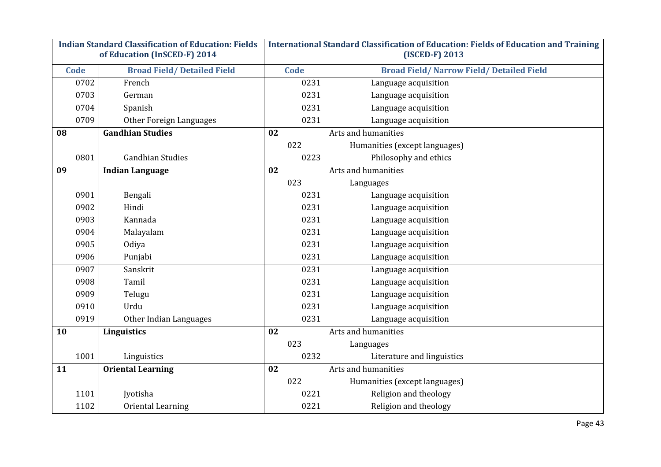| <b>Indian Standard Classification of Education: Fields</b> |                                   | International Standard Classification of Education: Fields of Education and Training |                                                  |  |  |
|------------------------------------------------------------|-----------------------------------|--------------------------------------------------------------------------------------|--------------------------------------------------|--|--|
|                                                            | of Education (InSCED-F) 2014      |                                                                                      | (ISCED-F) 2013                                   |  |  |
| Code                                                       | <b>Broad Field/Detailed Field</b> | Code                                                                                 | <b>Broad Field/ Narrow Field/ Detailed Field</b> |  |  |
| 0702                                                       | French                            | 0231                                                                                 | Language acquisition                             |  |  |
| 0703                                                       | German                            | 0231                                                                                 | Language acquisition                             |  |  |
| 0704                                                       | Spanish                           | 0231                                                                                 | Language acquisition                             |  |  |
| 0709                                                       | Other Foreign Languages           | 0231                                                                                 | Language acquisition                             |  |  |
| 08                                                         | <b>Gandhian Studies</b>           | 02                                                                                   | Arts and humanities                              |  |  |
|                                                            |                                   | 022                                                                                  | Humanities (except languages)                    |  |  |
| 0801                                                       | <b>Gandhian Studies</b>           | 0223                                                                                 | Philosophy and ethics                            |  |  |
| 09                                                         | <b>Indian Language</b>            | 02                                                                                   | Arts and humanities                              |  |  |
|                                                            |                                   | 023                                                                                  | Languages                                        |  |  |
| 0901                                                       | Bengali                           | 0231                                                                                 | Language acquisition                             |  |  |
| 0902                                                       | Hindi                             | 0231                                                                                 | Language acquisition                             |  |  |
| 0903                                                       | Kannada                           | 0231                                                                                 | Language acquisition                             |  |  |
| 0904                                                       | Malayalam                         | 0231                                                                                 | Language acquisition                             |  |  |
| 0905                                                       | Odiya                             | 0231                                                                                 | Language acquisition                             |  |  |
| 0906                                                       | Punjabi                           | 0231                                                                                 | Language acquisition                             |  |  |
| 0907                                                       | Sanskrit                          | 0231                                                                                 | Language acquisition                             |  |  |
| 0908                                                       | Tamil                             | 0231                                                                                 | Language acquisition                             |  |  |
| 0909                                                       | Telugu                            | 0231                                                                                 | Language acquisition                             |  |  |
| 0910                                                       | Urdu                              | 0231                                                                                 | Language acquisition                             |  |  |
| 0919                                                       | Other Indian Languages            | 0231                                                                                 | Language acquisition                             |  |  |
| 10                                                         | Linguistics                       | 02                                                                                   | Arts and humanities                              |  |  |
|                                                            |                                   | 023                                                                                  | Languages                                        |  |  |
| 1001                                                       | Linguistics                       | 0232                                                                                 | Literature and linguistics                       |  |  |
| 11                                                         | <b>Oriental Learning</b>          | 02                                                                                   | Arts and humanities                              |  |  |
|                                                            |                                   | 022                                                                                  | Humanities (except languages)                    |  |  |
| 1101                                                       | Jyotisha                          | 0221                                                                                 | Religion and theology                            |  |  |
| 1102                                                       | Oriental Learning                 | 0221                                                                                 | Religion and theology                            |  |  |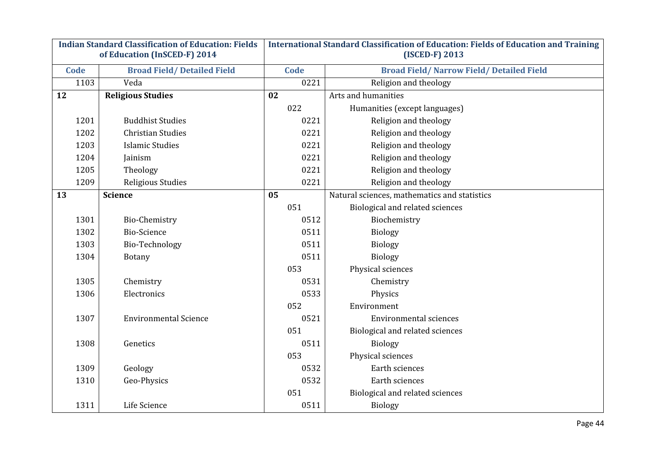| <b>Indian Standard Classification of Education: Fields</b> |                                   | International Standard Classification of Education: Fields of Education and Training |                                                  |  |  |
|------------------------------------------------------------|-----------------------------------|--------------------------------------------------------------------------------------|--------------------------------------------------|--|--|
|                                                            | of Education (InSCED-F) 2014      |                                                                                      | (ISCED-F) 2013                                   |  |  |
| <b>Code</b>                                                | <b>Broad Field/Detailed Field</b> | Code                                                                                 | <b>Broad Field/ Narrow Field/ Detailed Field</b> |  |  |
| 1103                                                       | Veda                              | 0221                                                                                 | Religion and theology                            |  |  |
| 12                                                         | <b>Religious Studies</b>          | 02                                                                                   | Arts and humanities                              |  |  |
|                                                            |                                   | 022                                                                                  | Humanities (except languages)                    |  |  |
| 1201                                                       | <b>Buddhist Studies</b>           | 0221                                                                                 | Religion and theology                            |  |  |
| 1202                                                       | <b>Christian Studies</b>          | 0221                                                                                 | Religion and theology                            |  |  |
| 1203                                                       | <b>Islamic Studies</b>            | 0221                                                                                 | Religion and theology                            |  |  |
| 1204                                                       | Jainism                           | 0221                                                                                 | Religion and theology                            |  |  |
| 1205                                                       | Theology                          | 0221                                                                                 | Religion and theology                            |  |  |
| 1209                                                       | Religious Studies                 | 0221                                                                                 | Religion and theology                            |  |  |
| 13                                                         | <b>Science</b>                    | 05                                                                                   | Natural sciences, mathematics and statistics     |  |  |
|                                                            |                                   | 051                                                                                  | Biological and related sciences                  |  |  |
| 1301                                                       | <b>Bio-Chemistry</b>              | 0512                                                                                 | Biochemistry                                     |  |  |
| 1302                                                       | <b>Bio-Science</b>                | 0511                                                                                 | Biology                                          |  |  |
| 1303                                                       | Bio-Technology                    | 0511                                                                                 | Biology                                          |  |  |
| 1304                                                       | <b>Botany</b>                     | 0511                                                                                 | Biology                                          |  |  |
|                                                            |                                   | 053                                                                                  | Physical sciences                                |  |  |
| 1305                                                       | Chemistry                         | 0531                                                                                 | Chemistry                                        |  |  |
| 1306                                                       | Electronics                       | 0533                                                                                 | Physics                                          |  |  |
|                                                            |                                   | 052                                                                                  | Environment                                      |  |  |
| 1307                                                       | <b>Environmental Science</b>      | 0521                                                                                 | <b>Environmental sciences</b>                    |  |  |
|                                                            |                                   | 051                                                                                  | Biological and related sciences                  |  |  |
| 1308                                                       | Genetics                          | 0511                                                                                 | <b>Biology</b>                                   |  |  |
|                                                            |                                   | 053                                                                                  | Physical sciences                                |  |  |
| 1309                                                       | Geology                           | 0532                                                                                 | Earth sciences                                   |  |  |
| 1310                                                       | Geo-Physics                       | 0532                                                                                 | Earth sciences                                   |  |  |
|                                                            |                                   | 051                                                                                  | Biological and related sciences                  |  |  |
| 1311                                                       | Life Science                      | 0511                                                                                 | <b>Biology</b>                                   |  |  |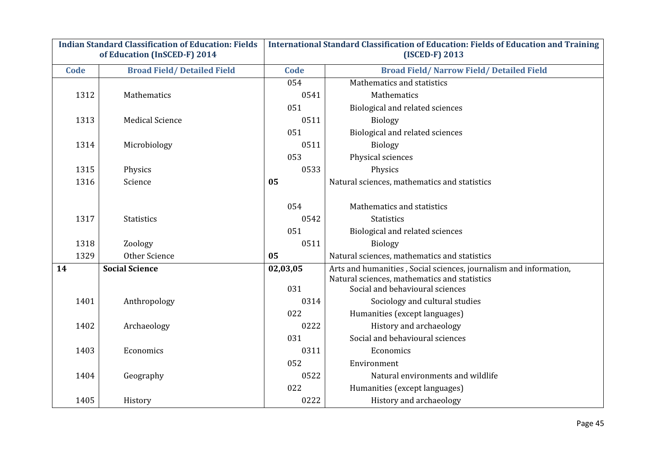| <b>Indian Standard Classification of Education: Fields</b><br>of Education (InSCED-F) 2014 |                                   |             | <b>International Standard Classification of Education: Fields of Education and Training</b><br>(ISCED-F) 2013 |  |  |
|--------------------------------------------------------------------------------------------|-----------------------------------|-------------|---------------------------------------------------------------------------------------------------------------|--|--|
| Code                                                                                       | <b>Broad Field/Detailed Field</b> | <b>Code</b> | <b>Broad Field/ Narrow Field/ Detailed Field</b>                                                              |  |  |
|                                                                                            |                                   | 054         | Mathematics and statistics                                                                                    |  |  |
| 1312                                                                                       | Mathematics                       | 0541        | Mathematics                                                                                                   |  |  |
|                                                                                            |                                   | 051         | Biological and related sciences                                                                               |  |  |
| 1313                                                                                       | <b>Medical Science</b>            | 0511        | <b>Biology</b>                                                                                                |  |  |
|                                                                                            |                                   | 051         | Biological and related sciences                                                                               |  |  |
| 1314                                                                                       | Microbiology                      | 0511        | <b>Biology</b>                                                                                                |  |  |
|                                                                                            |                                   | 053         | Physical sciences                                                                                             |  |  |
| 1315                                                                                       | Physics                           | 0533        | Physics                                                                                                       |  |  |
| 1316                                                                                       | Science                           | 05          | Natural sciences, mathematics and statistics                                                                  |  |  |
|                                                                                            |                                   |             |                                                                                                               |  |  |
|                                                                                            |                                   | 054         | Mathematics and statistics                                                                                    |  |  |
| 1317                                                                                       | <b>Statistics</b>                 | 0542        | <b>Statistics</b>                                                                                             |  |  |
|                                                                                            |                                   | 051         | Biological and related sciences                                                                               |  |  |
| 1318                                                                                       | Zoology                           | 0511        | <b>Biology</b>                                                                                                |  |  |
| 1329                                                                                       | Other Science                     | 05          | Natural sciences, mathematics and statistics                                                                  |  |  |
| 14                                                                                         | <b>Social Science</b>             | 02,03,05    | Arts and humanities, Social sciences, journalism and information,                                             |  |  |
|                                                                                            |                                   | 031         | Natural sciences, mathematics and statistics<br>Social and behavioural sciences                               |  |  |
| 1401                                                                                       | Anthropology                      | 0314        | Sociology and cultural studies                                                                                |  |  |
|                                                                                            |                                   | 022         | Humanities (except languages)                                                                                 |  |  |
| 1402                                                                                       | Archaeology                       | 0222        | History and archaeology                                                                                       |  |  |
|                                                                                            |                                   | 031         | Social and behavioural sciences                                                                               |  |  |
| 1403                                                                                       | Economics                         | 0311        | Economics                                                                                                     |  |  |
|                                                                                            |                                   | 052         | Environment                                                                                                   |  |  |
| 1404                                                                                       | Geography                         | 0522        | Natural environments and wildlife                                                                             |  |  |
|                                                                                            |                                   | 022         | Humanities (except languages)                                                                                 |  |  |
| 1405                                                                                       | History                           | 0222        | History and archaeology                                                                                       |  |  |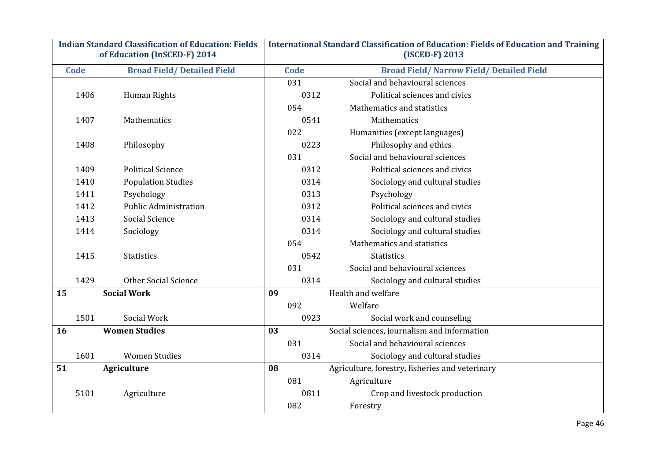| <b>Indian Standard Classification of Education: Fields</b><br>of Education (InSCED-F) 2014 |                                   |    | International Standard Classification of Education: Fields of Education and Training<br>(ISCED-F) 2013 |                                                  |  |
|--------------------------------------------------------------------------------------------|-----------------------------------|----|--------------------------------------------------------------------------------------------------------|--------------------------------------------------|--|
| Code                                                                                       | <b>Broad Field/Detailed Field</b> |    | <b>Code</b>                                                                                            | <b>Broad Field/ Narrow Field/ Detailed Field</b> |  |
|                                                                                            |                                   |    | 031                                                                                                    | Social and behavioural sciences                  |  |
| 1406                                                                                       | Human Rights                      |    | 0312                                                                                                   | Political sciences and civics                    |  |
|                                                                                            |                                   |    | 054                                                                                                    | Mathematics and statistics                       |  |
| 1407                                                                                       | Mathematics                       |    | 0541                                                                                                   | Mathematics                                      |  |
|                                                                                            |                                   |    | 022                                                                                                    | Humanities (except languages)                    |  |
| 1408                                                                                       | Philosophy                        |    | 0223                                                                                                   | Philosophy and ethics                            |  |
|                                                                                            |                                   |    | 031                                                                                                    | Social and behavioural sciences                  |  |
| 1409                                                                                       | <b>Political Science</b>          |    | 0312                                                                                                   | Political sciences and civics                    |  |
| 1410                                                                                       | <b>Population Studies</b>         |    | 0314                                                                                                   | Sociology and cultural studies                   |  |
| 1411                                                                                       | Psychology                        |    | 0313                                                                                                   | Psychology                                       |  |
| 1412                                                                                       | <b>Public Administration</b>      |    | 0312                                                                                                   | Political sciences and civics                    |  |
| 1413                                                                                       | <b>Social Science</b>             |    | 0314                                                                                                   | Sociology and cultural studies                   |  |
| 1414                                                                                       | Sociology                         |    | 0314                                                                                                   | Sociology and cultural studies                   |  |
|                                                                                            |                                   |    | 054                                                                                                    | Mathematics and statistics                       |  |
| 1415                                                                                       | <b>Statistics</b>                 |    | 0542                                                                                                   | <b>Statistics</b>                                |  |
|                                                                                            |                                   |    | 031                                                                                                    | Social and behavioural sciences                  |  |
| 1429                                                                                       | <b>Other Social Science</b>       |    | 0314                                                                                                   | Sociology and cultural studies                   |  |
| 15                                                                                         | Social Work                       | 09 |                                                                                                        | Health and welfare                               |  |
|                                                                                            |                                   |    | 092                                                                                                    | Welfare                                          |  |
| 1501                                                                                       | Social Work                       |    | 0923                                                                                                   | Social work and counseling                       |  |
| 16                                                                                         | <b>Women Studies</b>              | 03 |                                                                                                        | Social sciences, journalism and information      |  |
|                                                                                            |                                   |    | 031                                                                                                    | Social and behavioural sciences                  |  |
| 1601                                                                                       | <b>Women Studies</b>              |    | 0314                                                                                                   | Sociology and cultural studies                   |  |
| 51                                                                                         | <b>Agriculture</b>                | 08 |                                                                                                        | Agriculture, forestry, fisheries and veterinary  |  |
|                                                                                            |                                   |    | 081                                                                                                    | Agriculture                                      |  |
| 5101                                                                                       | Agriculture                       |    | 0811                                                                                                   | Crop and livestock production                    |  |
|                                                                                            |                                   |    | 082                                                                                                    | Forestry                                         |  |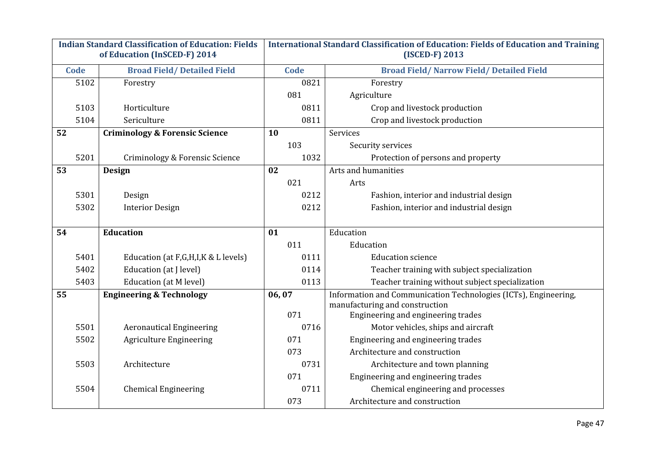| <b>Indian Standard Classification of Education: Fields</b><br>of Education (InSCED-F) 2014 |      | International Standard Classification of Education: Fields of Education and Training<br>(ISCED-F) 2013 |       |                                                                                                   |
|--------------------------------------------------------------------------------------------|------|--------------------------------------------------------------------------------------------------------|-------|---------------------------------------------------------------------------------------------------|
|                                                                                            | Code | <b>Broad Field/Detailed Field</b>                                                                      | Code  | <b>Broad Field/ Narrow Field/ Detailed Field</b>                                                  |
|                                                                                            | 5102 | Forestry                                                                                               | 0821  | Forestry                                                                                          |
|                                                                                            |      |                                                                                                        | 081   | Agriculture                                                                                       |
|                                                                                            | 5103 | Horticulture                                                                                           | 0811  | Crop and livestock production                                                                     |
|                                                                                            | 5104 | Sericulture                                                                                            | 0811  | Crop and livestock production                                                                     |
| 52                                                                                         |      | <b>Criminology &amp; Forensic Science</b>                                                              | 10    | Services                                                                                          |
|                                                                                            |      |                                                                                                        | 103   | Security services                                                                                 |
|                                                                                            | 5201 | Criminology & Forensic Science                                                                         | 1032  | Protection of persons and property                                                                |
| 53                                                                                         |      | Design                                                                                                 | 02    | Arts and humanities                                                                               |
|                                                                                            |      |                                                                                                        | 021   | Arts                                                                                              |
|                                                                                            | 5301 | Design                                                                                                 | 0212  | Fashion, interior and industrial design                                                           |
|                                                                                            | 5302 | <b>Interior Design</b>                                                                                 | 0212  | Fashion, interior and industrial design                                                           |
|                                                                                            |      |                                                                                                        |       |                                                                                                   |
| 54                                                                                         |      | <b>Education</b>                                                                                       | 01    | Education                                                                                         |
|                                                                                            |      |                                                                                                        | 011   | Education                                                                                         |
|                                                                                            | 5401 | Education (at F,G,H,I,K & L levels)                                                                    | 0111  | <b>Education science</b>                                                                          |
|                                                                                            | 5402 | Education (at J level)                                                                                 | 0114  | Teacher training with subject specialization                                                      |
|                                                                                            | 5403 | Education (at M level)                                                                                 | 0113  | Teacher training without subject specialization                                                   |
| 55                                                                                         |      | <b>Engineering &amp; Technology</b>                                                                    | 06,07 | Information and Communication Technologies (ICTs), Engineering,<br>manufacturing and construction |
|                                                                                            |      |                                                                                                        | 071   | Engineering and engineering trades                                                                |
|                                                                                            | 5501 | <b>Aeronautical Engineering</b>                                                                        | 0716  | Motor vehicles, ships and aircraft                                                                |
|                                                                                            | 5502 | <b>Agriculture Engineering</b>                                                                         | 071   | Engineering and engineering trades                                                                |
|                                                                                            |      |                                                                                                        | 073   | Architecture and construction                                                                     |
|                                                                                            | 5503 | Architecture                                                                                           | 0731  | Architecture and town planning                                                                    |
|                                                                                            |      |                                                                                                        | 071   | Engineering and engineering trades                                                                |
|                                                                                            | 5504 | <b>Chemical Engineering</b>                                                                            | 0711  | Chemical engineering and processes                                                                |
|                                                                                            |      |                                                                                                        | 073   | Architecture and construction                                                                     |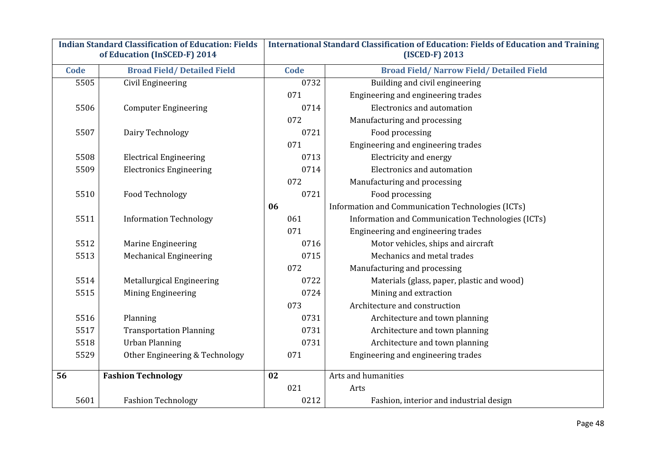| <b>Indian Standard Classification of Education: Fields</b><br>of Education (InSCED-F) 2014 |                                   |    |      | <b>International Standard Classification of Education: Fields of Education and Training</b><br>(ISCED-F) 2013 |
|--------------------------------------------------------------------------------------------|-----------------------------------|----|------|---------------------------------------------------------------------------------------------------------------|
| Code                                                                                       | <b>Broad Field/Detailed Field</b> |    | Code | <b>Broad Field/ Narrow Field/ Detailed Field</b>                                                              |
| 5505                                                                                       | Civil Engineering                 |    | 0732 | Building and civil engineering                                                                                |
|                                                                                            |                                   |    | 071  | Engineering and engineering trades                                                                            |
| 5506                                                                                       | <b>Computer Engineering</b>       |    | 0714 | Electronics and automation                                                                                    |
|                                                                                            |                                   |    | 072  | Manufacturing and processing                                                                                  |
| 5507                                                                                       | Dairy Technology                  |    | 0721 | Food processing                                                                                               |
|                                                                                            |                                   |    | 071  | Engineering and engineering trades                                                                            |
| 5508                                                                                       | <b>Electrical Engineering</b>     |    | 0713 | Electricity and energy                                                                                        |
| 5509                                                                                       | <b>Electronics Engineering</b>    |    | 0714 | Electronics and automation                                                                                    |
|                                                                                            |                                   |    | 072  | Manufacturing and processing                                                                                  |
| 5510                                                                                       | Food Technology                   |    | 0721 | Food processing                                                                                               |
|                                                                                            |                                   | 06 |      | Information and Communication Technologies (ICTs)                                                             |
| 5511                                                                                       | <b>Information Technology</b>     |    | 061  | Information and Communication Technologies (ICTs)                                                             |
|                                                                                            |                                   |    | 071  | Engineering and engineering trades                                                                            |
| 5512                                                                                       | Marine Engineering                |    | 0716 | Motor vehicles, ships and aircraft                                                                            |
| 5513                                                                                       | <b>Mechanical Engineering</b>     |    | 0715 | Mechanics and metal trades                                                                                    |
|                                                                                            |                                   |    | 072  | Manufacturing and processing                                                                                  |
| 5514                                                                                       | Metallurgical Engineering         |    | 0722 | Materials (glass, paper, plastic and wood)                                                                    |
| 5515                                                                                       | Mining Engineering                |    | 0724 | Mining and extraction                                                                                         |
|                                                                                            |                                   |    | 073  | Architecture and construction                                                                                 |
| 5516                                                                                       | Planning                          |    | 0731 | Architecture and town planning                                                                                |
| 5517                                                                                       | <b>Transportation Planning</b>    |    | 0731 | Architecture and town planning                                                                                |
| 5518                                                                                       | <b>Urban Planning</b>             |    | 0731 | Architecture and town planning                                                                                |
| 5529                                                                                       | Other Engineering & Technology    |    | 071  | Engineering and engineering trades                                                                            |
| 56                                                                                         | <b>Fashion Technology</b>         | 02 |      | Arts and humanities                                                                                           |
|                                                                                            |                                   |    | 021  | Arts                                                                                                          |
| 5601                                                                                       | <b>Fashion Technology</b>         |    | 0212 | Fashion, interior and industrial design                                                                       |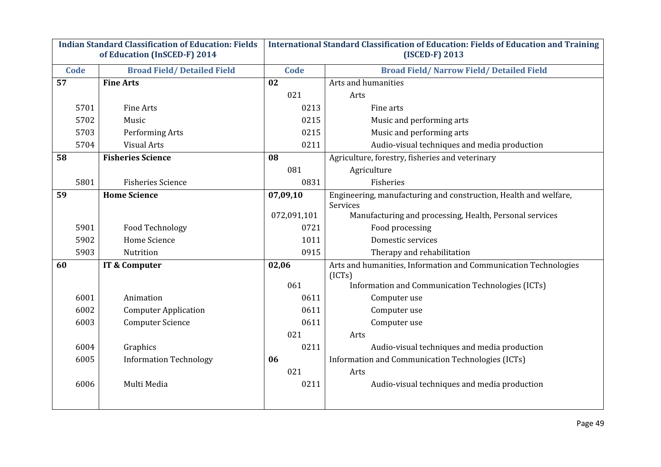| <b>Indian Standard Classification of Education: Fields</b><br>of Education (InSCED-F) 2014 |                                   |             | <b>International Standard Classification of Education: Fields of Education and Training</b><br>(ISCED-F) 2013 |
|--------------------------------------------------------------------------------------------|-----------------------------------|-------------|---------------------------------------------------------------------------------------------------------------|
| Code                                                                                       | <b>Broad Field/Detailed Field</b> | Code        | <b>Broad Field/ Narrow Field/ Detailed Field</b>                                                              |
| 57                                                                                         | <b>Fine Arts</b>                  | 02          | Arts and humanities                                                                                           |
|                                                                                            |                                   | 021         | Arts                                                                                                          |
| 5701                                                                                       | Fine Arts                         | 0213        | Fine arts                                                                                                     |
| 5702                                                                                       | Music                             | 0215        | Music and performing arts                                                                                     |
| 5703                                                                                       | Performing Arts                   | 0215        | Music and performing arts                                                                                     |
| 5704                                                                                       | <b>Visual Arts</b>                | 0211        | Audio-visual techniques and media production                                                                  |
| 58                                                                                         | <b>Fisheries Science</b>          | 08          | Agriculture, forestry, fisheries and veterinary                                                               |
|                                                                                            |                                   | 081         | Agriculture                                                                                                   |
| 5801                                                                                       | <b>Fisheries Science</b>          | 0831        | Fisheries                                                                                                     |
| 59                                                                                         | <b>Home Science</b>               | 07,09,10    | Engineering, manufacturing and construction, Health and welfare,<br>Services                                  |
|                                                                                            |                                   | 072,091,101 | Manufacturing and processing, Health, Personal services                                                       |
| 5901                                                                                       | Food Technology                   | 0721        | Food processing                                                                                               |
| 5902                                                                                       | Home Science                      | 1011        | Domestic services                                                                                             |
| 5903                                                                                       | Nutrition                         | 0915        | Therapy and rehabilitation                                                                                    |
| 60                                                                                         | IT & Computer                     | 02,06       | Arts and humanities, Information and Communication Technologies<br>(ICTs)                                     |
|                                                                                            |                                   | 061         | Information and Communication Technologies (ICTs)                                                             |
| 6001                                                                                       | Animation                         | 0611        | Computer use                                                                                                  |
| 6002                                                                                       | <b>Computer Application</b>       | 0611        | Computer use                                                                                                  |
| 6003                                                                                       | <b>Computer Science</b>           | 0611        | Computer use                                                                                                  |
|                                                                                            |                                   | 021         | Arts                                                                                                          |
| 6004                                                                                       | Graphics                          | 0211        | Audio-visual techniques and media production                                                                  |
| 6005                                                                                       | <b>Information Technology</b>     | 06          | Information and Communication Technologies (ICTs)                                                             |
|                                                                                            |                                   | 021         | Arts                                                                                                          |
| 6006                                                                                       | Multi Media                       | 0211        | Audio-visual techniques and media production                                                                  |
|                                                                                            |                                   |             |                                                                                                               |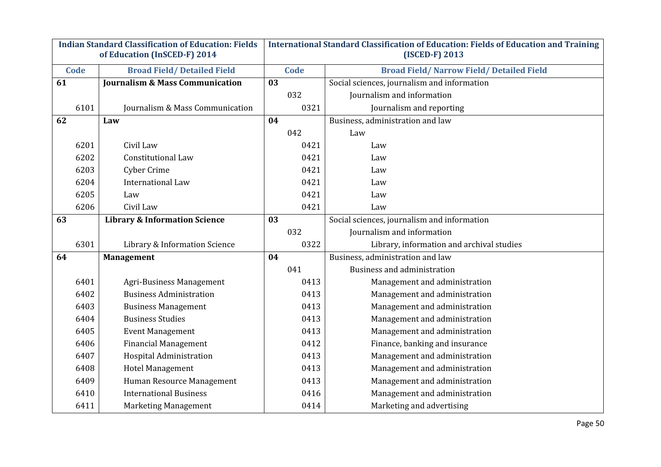| <b>Indian Standard Classification of Education: Fields</b><br>of Education (InSCED-F) 2014 |      | <b>International Standard Classification of Education: Fields of Education and Training</b><br>(ISCED-F) 2013 |      |      |                                                  |
|--------------------------------------------------------------------------------------------|------|---------------------------------------------------------------------------------------------------------------|------|------|--------------------------------------------------|
|                                                                                            | Code | <b>Broad Field/Detailed Field</b>                                                                             | Code |      | <b>Broad Field/ Narrow Field/ Detailed Field</b> |
| 61                                                                                         |      | <b>Journalism &amp; Mass Communication</b>                                                                    | 03   |      | Social sciences, journalism and information      |
|                                                                                            |      |                                                                                                               |      | 032  | Journalism and information                       |
|                                                                                            | 6101 | Journalism & Mass Communication                                                                               |      | 0321 | Journalism and reporting                         |
| 62                                                                                         |      | Law                                                                                                           | 04   |      | Business, administration and law                 |
|                                                                                            |      |                                                                                                               |      | 042  | Law                                              |
|                                                                                            | 6201 | Civil Law                                                                                                     |      | 0421 | Law                                              |
|                                                                                            | 6202 | <b>Constitutional Law</b>                                                                                     |      | 0421 | Law                                              |
|                                                                                            | 6203 | <b>Cyber Crime</b>                                                                                            |      | 0421 | Law                                              |
|                                                                                            | 6204 | <b>International Law</b>                                                                                      |      | 0421 | Law                                              |
|                                                                                            | 6205 | Law                                                                                                           |      | 0421 | Law                                              |
|                                                                                            | 6206 | Civil Law                                                                                                     |      | 0421 | Law                                              |
| 63                                                                                         |      | <b>Library &amp; Information Science</b>                                                                      | 03   |      | Social sciences, journalism and information      |
|                                                                                            |      |                                                                                                               |      | 032  | Journalism and information                       |
|                                                                                            | 6301 | Library & Information Science                                                                                 |      | 0322 | Library, information and archival studies        |
| 64                                                                                         |      | <b>Management</b>                                                                                             | 04   |      | Business, administration and law                 |
|                                                                                            |      |                                                                                                               |      | 041  | <b>Business and administration</b>               |
|                                                                                            | 6401 | Agri-Business Management                                                                                      |      | 0413 | Management and administration                    |
|                                                                                            | 6402 | <b>Business Administration</b>                                                                                |      | 0413 | Management and administration                    |
|                                                                                            | 6403 | <b>Business Management</b>                                                                                    |      | 0413 | Management and administration                    |
|                                                                                            | 6404 | <b>Business Studies</b>                                                                                       |      | 0413 | Management and administration                    |
|                                                                                            | 6405 | <b>Event Management</b>                                                                                       |      | 0413 | Management and administration                    |
|                                                                                            | 6406 | <b>Financial Management</b>                                                                                   |      | 0412 | Finance, banking and insurance                   |
|                                                                                            | 6407 | Hospital Administration                                                                                       |      | 0413 | Management and administration                    |
|                                                                                            | 6408 | <b>Hotel Management</b>                                                                                       |      | 0413 | Management and administration                    |
|                                                                                            | 6409 | Human Resource Management                                                                                     |      | 0413 | Management and administration                    |
|                                                                                            | 6410 | <b>International Business</b>                                                                                 |      | 0416 | Management and administration                    |
|                                                                                            | 6411 | <b>Marketing Management</b>                                                                                   |      | 0414 | Marketing and advertising                        |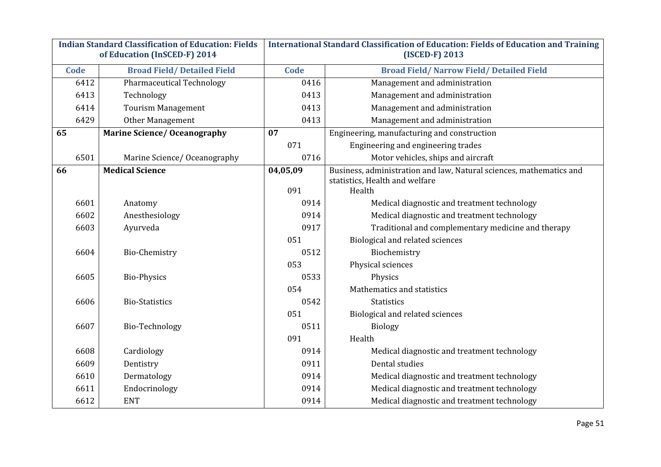| <b>Indian Standard Classification of Education: Fields</b> |                                     | International Standard Classification of Education: Fields of Education and Training |                                                                                                       |  |  |
|------------------------------------------------------------|-------------------------------------|--------------------------------------------------------------------------------------|-------------------------------------------------------------------------------------------------------|--|--|
|                                                            | of Education (InSCED-F) 2014        |                                                                                      | (ISCED-F) 2013                                                                                        |  |  |
| Code                                                       | <b>Broad Field/Detailed Field</b>   | Code                                                                                 | <b>Broad Field/ Narrow Field/ Detailed Field</b>                                                      |  |  |
| 6412                                                       | <b>Pharmaceutical Technology</b>    | 0416                                                                                 | Management and administration                                                                         |  |  |
| 6413                                                       | Technology                          | 0413                                                                                 | Management and administration                                                                         |  |  |
| 6414                                                       | <b>Tourism Management</b>           | 0413                                                                                 | Management and administration                                                                         |  |  |
| 6429                                                       | Other Management                    | 0413                                                                                 | Management and administration                                                                         |  |  |
| 65                                                         | <b>Marine Science/ Oceanography</b> | 07                                                                                   | Engineering, manufacturing and construction                                                           |  |  |
|                                                            |                                     | 071                                                                                  | Engineering and engineering trades                                                                    |  |  |
| 6501                                                       | Marine Science/Oceanography         | 0716                                                                                 | Motor vehicles, ships and aircraft                                                                    |  |  |
| 66                                                         | <b>Medical Science</b>              | 04,05,09                                                                             | Business, administration and law, Natural sciences, mathematics and<br>statistics, Health and welfare |  |  |
|                                                            |                                     | 091                                                                                  | Health                                                                                                |  |  |
| 6601                                                       | Anatomy                             | 0914                                                                                 | Medical diagnostic and treatment technology                                                           |  |  |
| 6602                                                       | Anesthesiology                      | 0914                                                                                 | Medical diagnostic and treatment technology                                                           |  |  |
| 6603                                                       | Ayurveda                            | 0917                                                                                 | Traditional and complementary medicine and therapy                                                    |  |  |
|                                                            |                                     | 051                                                                                  | Biological and related sciences                                                                       |  |  |
| 6604                                                       | Bio-Chemistry                       | 0512                                                                                 | Biochemistry                                                                                          |  |  |
|                                                            |                                     | 053                                                                                  | Physical sciences                                                                                     |  |  |
| 6605                                                       | <b>Bio-Physics</b>                  | 0533                                                                                 | Physics                                                                                               |  |  |
|                                                            |                                     | 054                                                                                  | Mathematics and statistics                                                                            |  |  |
| 6606                                                       | <b>Bio-Statistics</b>               | 0542                                                                                 | <b>Statistics</b>                                                                                     |  |  |
|                                                            |                                     | 051                                                                                  | Biological and related sciences                                                                       |  |  |
| 6607                                                       | Bio-Technology                      | 0511                                                                                 | <b>Biology</b>                                                                                        |  |  |
|                                                            |                                     | 091                                                                                  | Health                                                                                                |  |  |
| 6608                                                       | Cardiology                          | 0914                                                                                 | Medical diagnostic and treatment technology                                                           |  |  |
| 6609                                                       | Dentistry                           | 0911                                                                                 | Dental studies                                                                                        |  |  |
| 6610                                                       | Dermatology                         | 0914                                                                                 | Medical diagnostic and treatment technology                                                           |  |  |
| 6611                                                       | Endocrinology                       | 0914                                                                                 | Medical diagnostic and treatment technology                                                           |  |  |
| 6612                                                       | <b>ENT</b>                          | 0914                                                                                 | Medical diagnostic and treatment technology                                                           |  |  |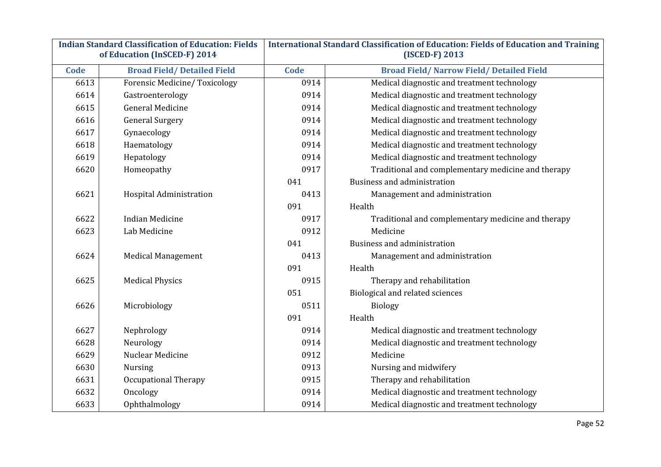| <b>Indian Standard Classification of Education: Fields</b><br>of Education (InSCED-F) 2014 |                                     | International Standard Classification of Education: Fields of Education and Training<br>(ISCED-F) 2013 |                                                    |  |  |
|--------------------------------------------------------------------------------------------|-------------------------------------|--------------------------------------------------------------------------------------------------------|----------------------------------------------------|--|--|
|                                                                                            |                                     |                                                                                                        |                                                    |  |  |
| Code                                                                                       | <b>Broad Field/Detailed Field</b>   | <b>Code</b>                                                                                            | <b>Broad Field/ Narrow Field/ Detailed Field</b>   |  |  |
| 6613                                                                                       | <b>Forensic Medicine/Toxicology</b> | 0914                                                                                                   | Medical diagnostic and treatment technology        |  |  |
| 6614                                                                                       | Gastroenterology                    | 0914                                                                                                   | Medical diagnostic and treatment technology        |  |  |
| 6615                                                                                       | <b>General Medicine</b>             | 0914                                                                                                   | Medical diagnostic and treatment technology        |  |  |
| 6616                                                                                       | <b>General Surgery</b>              | 0914                                                                                                   | Medical diagnostic and treatment technology        |  |  |
| 6617                                                                                       | Gynaecology                         | 0914                                                                                                   | Medical diagnostic and treatment technology        |  |  |
| 6618                                                                                       | Haematology                         | 0914                                                                                                   | Medical diagnostic and treatment technology        |  |  |
| 6619                                                                                       | Hepatology                          | 0914                                                                                                   | Medical diagnostic and treatment technology        |  |  |
| 6620                                                                                       | Homeopathy                          | 0917                                                                                                   | Traditional and complementary medicine and therapy |  |  |
|                                                                                            |                                     | 041                                                                                                    | <b>Business and administration</b>                 |  |  |
| 6621                                                                                       | Hospital Administration             | 0413                                                                                                   | Management and administration                      |  |  |
|                                                                                            |                                     | 091                                                                                                    | Health                                             |  |  |
| 6622                                                                                       | <b>Indian Medicine</b>              | 0917                                                                                                   | Traditional and complementary medicine and therapy |  |  |
| 6623                                                                                       | Lab Medicine                        | 0912                                                                                                   | Medicine                                           |  |  |
|                                                                                            |                                     | 041                                                                                                    | Business and administration                        |  |  |
| 6624                                                                                       | <b>Medical Management</b>           | 0413                                                                                                   | Management and administration                      |  |  |
|                                                                                            |                                     | 091                                                                                                    | Health                                             |  |  |
| 6625                                                                                       | <b>Medical Physics</b>              | 0915                                                                                                   | Therapy and rehabilitation                         |  |  |
|                                                                                            |                                     | 051                                                                                                    | Biological and related sciences                    |  |  |
| 6626                                                                                       | Microbiology                        | 0511                                                                                                   | <b>Biology</b>                                     |  |  |
|                                                                                            |                                     | 091                                                                                                    | Health                                             |  |  |
| 6627                                                                                       | Nephrology                          | 0914                                                                                                   | Medical diagnostic and treatment technology        |  |  |
| 6628                                                                                       | Neurology                           | 0914                                                                                                   | Medical diagnostic and treatment technology        |  |  |
| 6629                                                                                       | Nuclear Medicine                    | 0912                                                                                                   | Medicine                                           |  |  |
| 6630                                                                                       | <b>Nursing</b>                      | 0913                                                                                                   | Nursing and midwifery                              |  |  |
| 6631                                                                                       | <b>Occupational Therapy</b>         | 0915                                                                                                   | Therapy and rehabilitation                         |  |  |
| 6632                                                                                       | Oncology                            | 0914                                                                                                   | Medical diagnostic and treatment technology        |  |  |
| 6633                                                                                       | Ophthalmology                       | 0914                                                                                                   | Medical diagnostic and treatment technology        |  |  |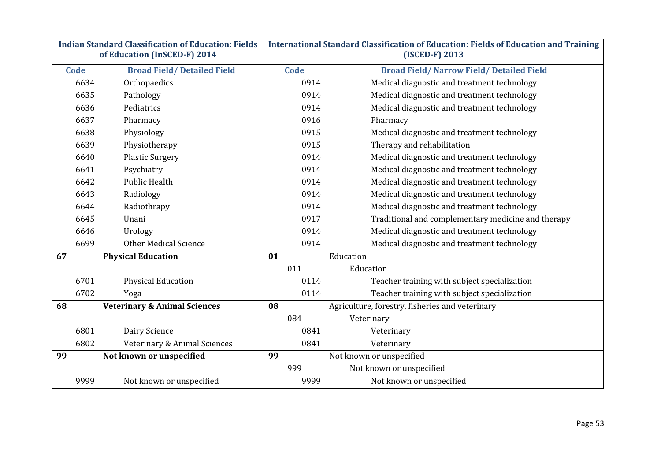| <b>Indian Standard Classification of Education: Fields</b><br>of Education (InSCED-F) 2014 |      |                                         | International Standard Classification of Education: Fields of Education and Training<br>(ISCED-F) 2013 |      |                                                    |  |
|--------------------------------------------------------------------------------------------|------|-----------------------------------------|--------------------------------------------------------------------------------------------------------|------|----------------------------------------------------|--|
|                                                                                            | Code | <b>Broad Field/Detailed Field</b>       |                                                                                                        | Code | <b>Broad Field/ Narrow Field/ Detailed Field</b>   |  |
|                                                                                            | 6634 | Orthopaedics                            |                                                                                                        | 0914 | Medical diagnostic and treatment technology        |  |
|                                                                                            | 6635 | Pathology                               |                                                                                                        | 0914 | Medical diagnostic and treatment technology        |  |
|                                                                                            | 6636 | Pediatrics                              |                                                                                                        | 0914 | Medical diagnostic and treatment technology        |  |
|                                                                                            | 6637 | Pharmacy                                |                                                                                                        | 0916 | Pharmacy                                           |  |
|                                                                                            | 6638 | Physiology                              |                                                                                                        | 0915 | Medical diagnostic and treatment technology        |  |
|                                                                                            | 6639 | Physiotherapy                           |                                                                                                        | 0915 | Therapy and rehabilitation                         |  |
|                                                                                            | 6640 | <b>Plastic Surgery</b>                  |                                                                                                        | 0914 | Medical diagnostic and treatment technology        |  |
|                                                                                            | 6641 | Psychiatry                              |                                                                                                        | 0914 | Medical diagnostic and treatment technology        |  |
|                                                                                            | 6642 | <b>Public Health</b>                    |                                                                                                        | 0914 | Medical diagnostic and treatment technology        |  |
|                                                                                            | 6643 | Radiology                               |                                                                                                        | 0914 | Medical diagnostic and treatment technology        |  |
|                                                                                            | 6644 | Radiothrapy                             |                                                                                                        | 0914 | Medical diagnostic and treatment technology        |  |
|                                                                                            | 6645 | Unani                                   |                                                                                                        | 0917 | Traditional and complementary medicine and therapy |  |
|                                                                                            | 6646 | Urology                                 |                                                                                                        | 0914 | Medical diagnostic and treatment technology        |  |
|                                                                                            | 6699 | <b>Other Medical Science</b>            |                                                                                                        | 0914 | Medical diagnostic and treatment technology        |  |
| 67                                                                                         |      | <b>Physical Education</b>               | 01                                                                                                     |      | Education                                          |  |
|                                                                                            |      |                                         |                                                                                                        | 011  | Education                                          |  |
|                                                                                            | 6701 | <b>Physical Education</b>               |                                                                                                        | 0114 | Teacher training with subject specialization       |  |
|                                                                                            | 6702 | Yoga                                    |                                                                                                        | 0114 | Teacher training with subject specialization       |  |
| 68                                                                                         |      | <b>Veterinary &amp; Animal Sciences</b> | 08                                                                                                     |      | Agriculture, forestry, fisheries and veterinary    |  |
|                                                                                            |      |                                         |                                                                                                        | 084  | Veterinary                                         |  |
|                                                                                            | 6801 | Dairy Science                           |                                                                                                        | 0841 | Veterinary                                         |  |
|                                                                                            | 6802 | Veterinary & Animal Sciences            |                                                                                                        | 0841 | Veterinary                                         |  |
| 99                                                                                         |      | Not known or unspecified                | 99                                                                                                     |      | Not known or unspecified                           |  |
|                                                                                            |      |                                         |                                                                                                        | 999  | Not known or unspecified                           |  |
|                                                                                            | 9999 | Not known or unspecified                |                                                                                                        | 9999 | Not known or unspecified                           |  |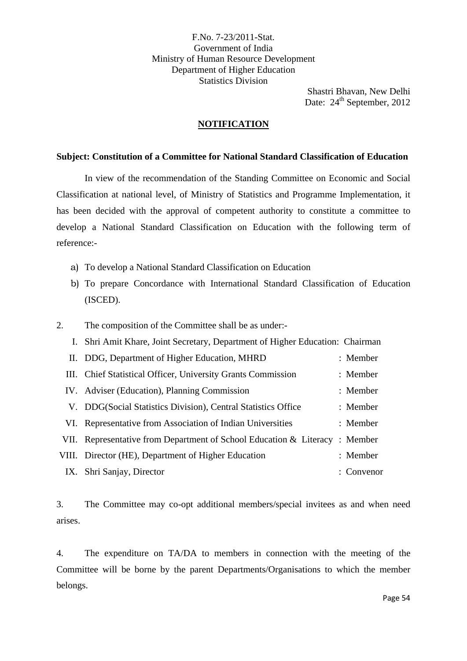F.No. 7-23/2011-Stat. Government of India Ministry of Human Resource Development Department of Higher Education Statistics Division

> Shastri Bhavan, New Delhi Date: 24<sup>th</sup> September, 2012

#### **NOTIFICATION**

#### **Subject: Constitution of a Committee for National Standard Classification of Education**

In view of the recommendation of the Standing Committee on Economic and Social Classification at national level, of Ministry of Statistics and Programme Implementation, it has been decided with the approval of competent authority to constitute a committee to develop a National Standard Classification on Education with the following term of reference:-

- a) To develop a National Standard Classification on Education
- b) To prepare Concordance with International Standard Classification of Education (ISCED).
- 2. The composition of the Committee shall be as under:-
	- I. Shri Amit Khare, Joint Secretary, Department of Higher Education: Chairman

| II. DDG, Department of Higher Education, MHRD                              | : Member   |
|----------------------------------------------------------------------------|------------|
| III. Chief Statistical Officer, University Grants Commission               | : Member   |
| IV. Adviser (Education), Planning Commission                               | : Member   |
| V. DDG(Social Statistics Division), Central Statistics Office              | : Member   |
| VI. Representative from Association of Indian Universities                 | : Member   |
| VII. Representative from Department of School Education & Literacy: Member |            |
| VIII. Director (HE), Department of Higher Education                        | : Member   |
| IX. Shri Sanjay, Director                                                  | : Convenor |

3. The Committee may co-opt additional members/special invitees as and when need arises.

4. The expenditure on TA/DA to members in connection with the meeting of the Committee will be borne by the parent Departments/Organisations to which the member belongs.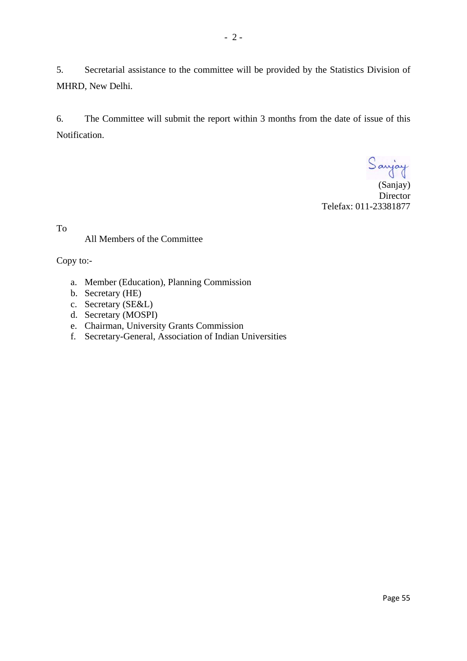5. Secretarial assistance to the committee will be provided by the Statistics Division of MHRD, New Delhi.

6. The Committee will submit the report within 3 months from the date of issue of this Notification.

(Sanjay)

**Director** Telefax: 011-23381877

To

#### All Members of the Committee

Copy to:-

- a. Member (Education), Planning Commission
- b. Secretary (HE)
- c. Secretary (SE&L)
- d. Secretary (MOSPI)
- e. Chairman, University Grants Commission
- f. Secretary-General, Association of Indian Universities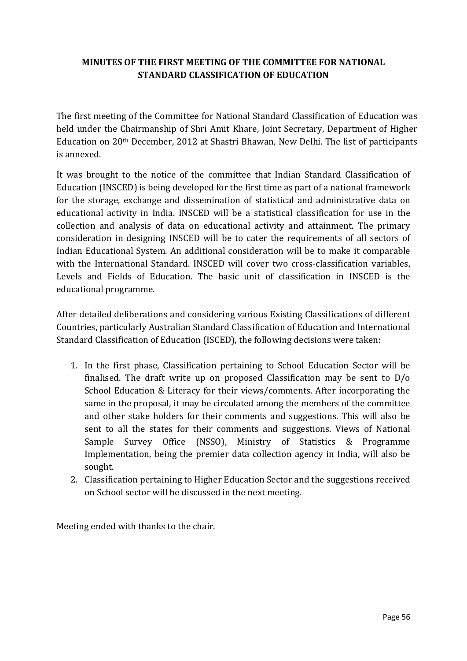## **MINUTES OF THE FIRST MEETING OF THE COMMITTEE FOR NATIONAL STANDARD CLASSIFICATION OF EDUCATION**

The first meeting of the Committee for National Standard Classification of Education was held under the Chairmanship of Shri Amit Khare, Joint Secretary, Department of Higher Education on 20th December, 2012 at Shastri Bhawan, New Delhi. The list of participants is annexed.

It was brought to the notice of the committee that Indian Standard Classification of Education (INSCED) is being developed for the first time as part of a national framework for the storage, exchange and dissemination of statistical and administrative data on educational activity in India. INSCED will be a statistical classification for use in the collection and analysis of data on educational activity and attainment. The primary consideration in designing INSCED will be to cater the requirements of all sectors of Indian Educational System. An additional consideration will be to make it comparable with the International Standard. INSCED will cover two cross-classification variables, Levels and Fields of Education. The basic unit of classification in INSCED is the educational programme.

After detailed deliberations and considering various Existing Classifications of different Countries, particularly Australian Standard Classification of Education and International Standard Classification of Education (ISCED), the following decisions were taken:

- 1. In the first phase, Classification pertaining to School Education Sector will be finalised. The draft write up on proposed Classification may be sent to  $D/O$ School Education & Literacy for their views/comments. After incorporating the same in the proposal, it may be circulated among the members of the committee and other stake holders for their comments and suggestions. This will also be sent to all the states for their comments and suggestions. Views of National Sample Survey Office (NSSO), Ministry of Statistics & Programme Implementation, being the premier data collection agency in India, will also be sought.
- 2. Classification pertaining to Higher Education Sector and the suggestions received on School sector will be discussed in the next meeting.

Meeting ended with thanks to the chair.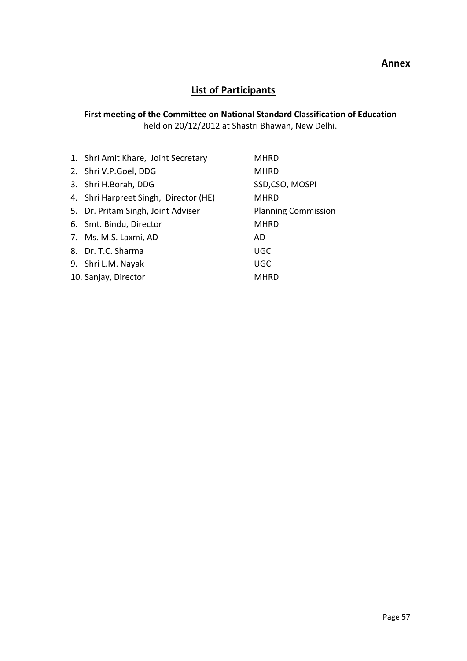#### **Annex**

## **List of Participants**

## **First meeting of the Committee on National Standard Classification of Education** held on 20/12/2012 at Shastri Bhawan, New Delhi.

| 1. Shri Amit Khare, Joint Secretary   | <b>MHRD</b>                |
|---------------------------------------|----------------------------|
| 2. Shri V.P.Goel, DDG                 | <b>MHRD</b>                |
| 3. Shri H.Borah, DDG                  | SSD,CSO, MOSPI             |
| 4. Shri Harpreet Singh, Director (HE) | <b>MHRD</b>                |
| 5. Dr. Pritam Singh, Joint Adviser    | <b>Planning Commission</b> |
| 6. Smt. Bindu, Director               | <b>MHRD</b>                |
| 7. Ms. M.S. Laxmi, AD                 | AD.                        |
| 8. Dr. T.C. Sharma                    | <b>UGC</b>                 |
| 9. Shri L.M. Nayak                    | <b>UGC</b>                 |
| 10. Sanjay, Director                  | <b>MHRD</b>                |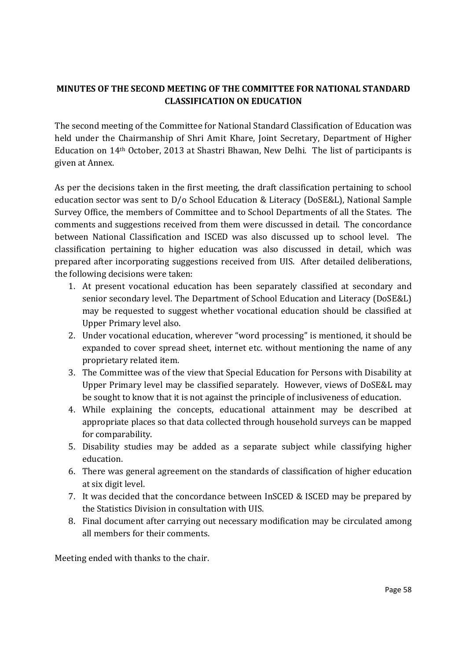## **MINUTES OF THE SECOND MEETING OF THE COMMITTEE FOR NATIONAL STANDARD CLASSIFICATION ON EDUCATION**

The second meeting of the Committee for National Standard Classification of Education was held under the Chairmanship of Shri Amit Khare, Joint Secretary, Department of Higher Education on 14th October, 2013 at Shastri Bhawan, New Delhi. The list of participants is given at Annex.

As per the decisions taken in the first meeting, the draft classification pertaining to school education sector was sent to D/o School Education & Literacy (DoSE&L), National Sample Survey Office, the members of Committee and to School Departments of all the States. The comments and suggestions received from them were discussed in detail. The concordance between National Classification and ISCED was also discussed up to school level. The classification pertaining to higher education was also discussed in detail, which was prepared after incorporating suggestions received from UIS. After detailed deliberations, the following decisions were taken:

- 1. At present vocational education has been separately classified at secondary and senior secondary level. The Department of School Education and Literacy (DoSE&L) may be requested to suggest whether vocational education should be classified at Upper Primary level also.
- 2. Under vocational education, wherever "word processing" is mentioned, it should be expanded to cover spread sheet, internet etc. without mentioning the name of any proprietary related item.
- 3. The Committee was of the view that Special Education for Persons with Disability at Upper Primary level may be classified separately. However, views of DoSE&L may be sought to know that it is not against the principle of inclusiveness of education.
- 4. While explaining the concepts, educational attainment may be described at appropriate places so that data collected through household surveys can be mapped for comparability.
- 5. Disability studies may be added as a separate subject while classifying higher education.
- 6. There was general agreement on the standards of classification of higher education at six digit level.
- 7. It was decided that the concordance between InSCED & ISCED may be prepared by the Statistics Division in consultation with UIS.
- 8. Final document after carrying out necessary modification may be circulated among all members for their comments.

Meeting ended with thanks to the chair.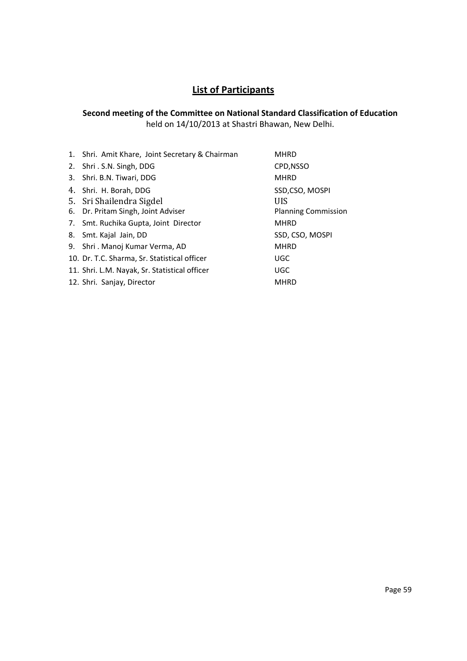## **List of Participants**

#### **Second meeting of the Committee on National Standard Classification of Education** held on 14/10/2013 at Shastri Bhawan, New Delhi.

| 1. Shri. Amit Khare, Joint Secretary & Chairman | <b>MHRD</b>                |
|-------------------------------------------------|----------------------------|
| 2. Shri . S.N. Singh, DDG                       | CPD, NSSO                  |
| 3. Shri. B.N. Tiwari, DDG                       | <b>MHRD</b>                |
| 4. Shri. H. Borah, DDG                          | SSD,CSO, MOSPI             |
| 5. Sri Shailendra Sigdel                        | UIS                        |
| 6. Dr. Pritam Singh, Joint Adviser              | <b>Planning Commission</b> |
| 7. Smt. Ruchika Gupta, Joint Director           | <b>MHRD</b>                |
| 8. Smt. Kajal Jain, DD                          | SSD, CSO, MOSPI            |
| 9. Shri . Manoj Kumar Verma, AD                 | <b>MHRD</b>                |
| 10. Dr. T.C. Sharma, Sr. Statistical officer    | UGC                        |
| 11. Shri. L.M. Nayak, Sr. Statistical officer   | <b>UGC</b>                 |
| 12. Shri. Sanjay, Director                      | <b>MHRD</b>                |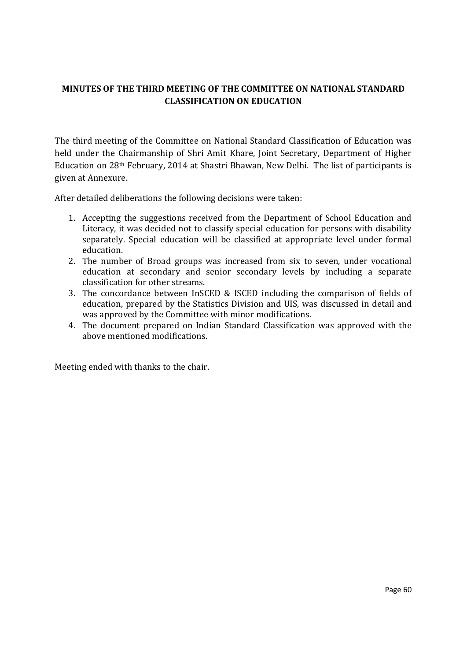## **MINUTES OF THE THIRD MEETING OF THE COMMITTEE ON NATIONAL STANDARD CLASSIFICATION ON EDUCATION**

The third meeting of the Committee on National Standard Classification of Education was held under the Chairmanship of Shri Amit Khare, Joint Secretary, Department of Higher Education on 28th February, 2014 at Shastri Bhawan, New Delhi. The list of participants is given at Annexure.

After detailed deliberations the following decisions were taken:

- 1. Accepting the suggestions received from the Department of School Education and Literacy, it was decided not to classify special education for persons with disability separately. Special education will be classified at appropriate level under formal education.
- 2. The number of Broad groups was increased from six to seven, under vocational education at secondary and senior secondary levels by including a separate classification for other streams.
- 3. The concordance between InSCED & ISCED including the comparison of fields of education, prepared by the Statistics Division and UIS, was discussed in detail and was approved by the Committee with minor modifications.
- 4. The document prepared on Indian Standard Classification was approved with the above mentioned modifications.

Meeting ended with thanks to the chair.